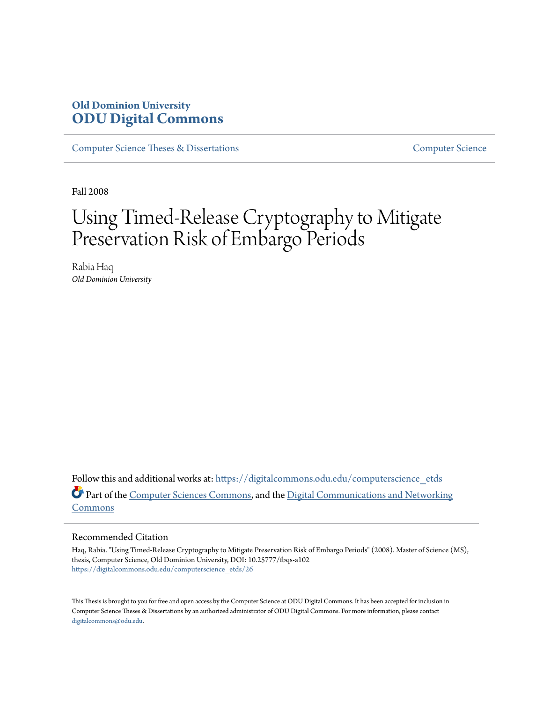## **Old Dominion University [ODU Digital Commons](https://digitalcommons.odu.edu?utm_source=digitalcommons.odu.edu%2Fcomputerscience_etds%2F26&utm_medium=PDF&utm_campaign=PDFCoverPages)**

[Computer Science Theses & Dissertations](https://digitalcommons.odu.edu/computerscience_etds?utm_source=digitalcommons.odu.edu%2Fcomputerscience_etds%2F26&utm_medium=PDF&utm_campaign=PDFCoverPages) [Computer Science](https://digitalcommons.odu.edu/computerscience?utm_source=digitalcommons.odu.edu%2Fcomputerscience_etds%2F26&utm_medium=PDF&utm_campaign=PDFCoverPages)

Fall 2008

# Using Timed-Release Cryptography to Mitigate Preservation Risk of Embargo Periods

Rabia Haq *Old Dominion University*

Follow this and additional works at: [https://digitalcommons.odu.edu/computerscience\\_etds](https://digitalcommons.odu.edu/computerscience_etds?utm_source=digitalcommons.odu.edu%2Fcomputerscience_etds%2F26&utm_medium=PDF&utm_campaign=PDFCoverPages) Part of the [Computer Sciences Commons](http://network.bepress.com/hgg/discipline/142?utm_source=digitalcommons.odu.edu%2Fcomputerscience_etds%2F26&utm_medium=PDF&utm_campaign=PDFCoverPages), and the [Digital Communications and Networking](http://network.bepress.com/hgg/discipline/262?utm_source=digitalcommons.odu.edu%2Fcomputerscience_etds%2F26&utm_medium=PDF&utm_campaign=PDFCoverPages) [Commons](http://network.bepress.com/hgg/discipline/262?utm_source=digitalcommons.odu.edu%2Fcomputerscience_etds%2F26&utm_medium=PDF&utm_campaign=PDFCoverPages)

#### Recommended Citation

Haq, Rabia. "Using Timed-Release Cryptography to Mitigate Preservation Risk of Embargo Periods" (2008). Master of Science (MS), thesis, Computer Science, Old Dominion University, DOI: 10.25777/fbqs-a102 [https://digitalcommons.odu.edu/computerscience\\_etds/26](https://digitalcommons.odu.edu/computerscience_etds/26?utm_source=digitalcommons.odu.edu%2Fcomputerscience_etds%2F26&utm_medium=PDF&utm_campaign=PDFCoverPages)

This Thesis is brought to you for free and open access by the Computer Science at ODU Digital Commons. It has been accepted for inclusion in Computer Science Theses & Dissertations by an authorized administrator of ODU Digital Commons. For more information, please contact [digitalcommons@odu.edu.](mailto:digitalcommons@odu.edu)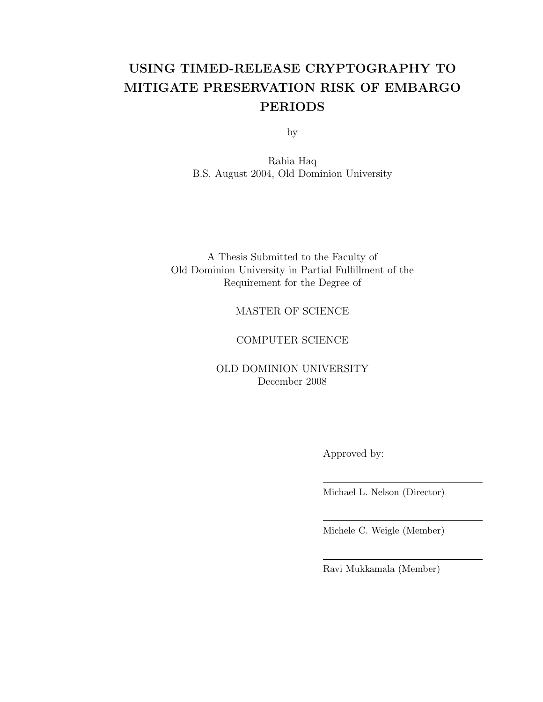## USING TIMED-RELEASE CRYPTOGRAPHY TO MITIGATE PRESERVATION RISK OF EMBARGO PERIODS

by

Rabia Haq B.S. August 2004, Old Dominion University

A Thesis Submitted to the Faculty of Old Dominion University in Partial Fulfillment of the Requirement for the Degree of

#### MASTER OF SCIENCE

#### COMPUTER SCIENCE

OLD DOMINION UNIVERSITY December 2008

Approved by:

Michael L. Nelson (Director)

Michele C. Weigle (Member)

Ravi Mukkamala (Member)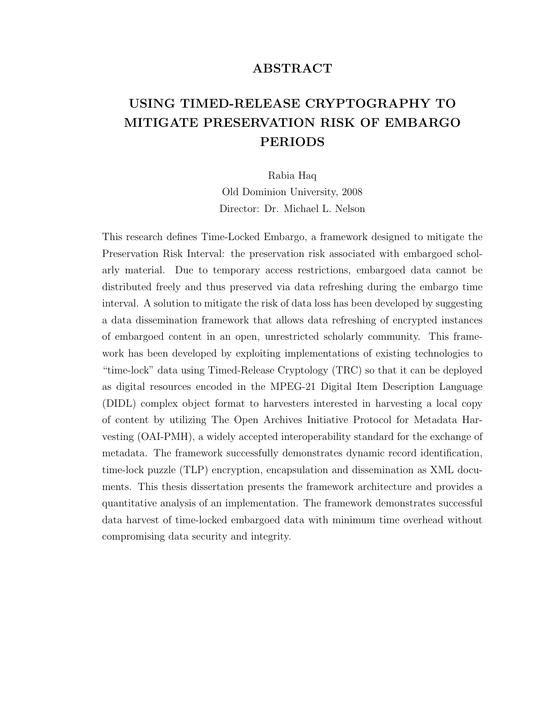#### ABSTRACT

## USING TIMED-RELEASE CRYPTOGRAPHY TO MITIGATE PRESERVATION RISK OF EMBARGO PERIODS

Rabia Haq Old Dominion University, 2008 Director: Dr. Michael L. Nelson

This research defines Time-Locked Embargo, a framework designed to mitigate the Preservation Risk Interval: the preservation risk associated with embargoed scholarly material. Due to temporary access restrictions, embargoed data cannot be distributed freely and thus preserved via data refreshing during the embargo time interval. A solution to mitigate the risk of data loss has been developed by suggesting a data dissemination framework that allows data refreshing of encrypted instances of embargoed content in an open, unrestricted scholarly community. This framework has been developed by exploiting implementations of existing technologies to "time-lock" data using Timed-Release Cryptology (TRC) so that it can be deployed as digital resources encoded in the MPEG-21 Digital Item Description Language (DIDL) complex object format to harvesters interested in harvesting a local copy of content by utilizing The Open Archives Initiative Protocol for Metadata Harvesting (OAI-PMH), a widely accepted interoperability standard for the exchange of metadata. The framework successfully demonstrates dynamic record identification, time-lock puzzle (TLP) encryption, encapsulation and dissemination as XML documents. This thesis dissertation presents the framework architecture and provides a quantitative analysis of an implementation. The framework demonstrates successful data harvest of time-locked embargoed data with minimum time overhead without compromising data security and integrity.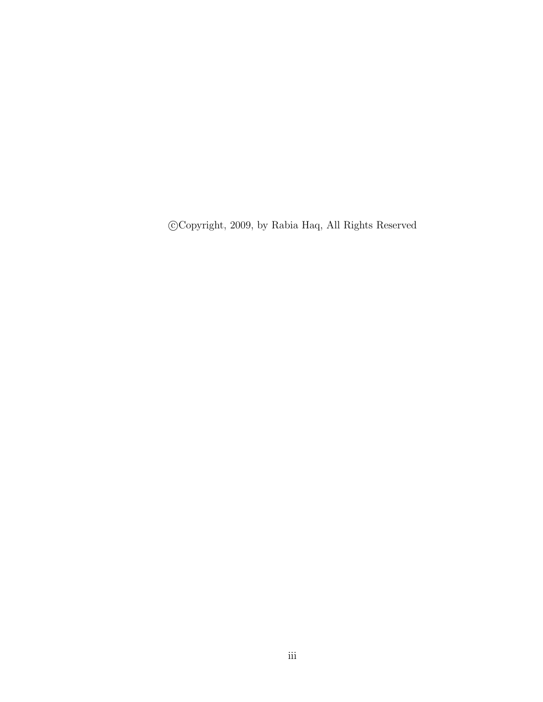$\odot$  Copyright, 2009, by Rabia Haq, All Rights Reserved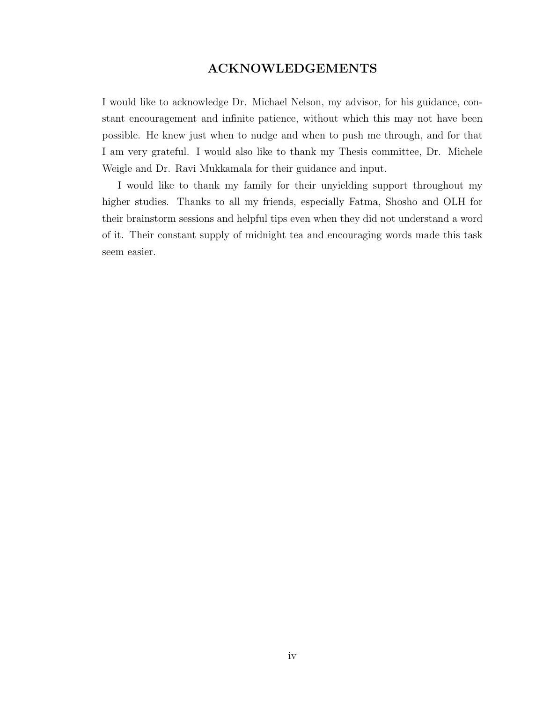#### ACKNOWLEDGEMENTS

I would like to acknowledge Dr. Michael Nelson, my advisor, for his guidance, constant encouragement and infinite patience, without which this may not have been possible. He knew just when to nudge and when to push me through, and for that I am very grateful. I would also like to thank my Thesis committee, Dr. Michele Weigle and Dr. Ravi Mukkamala for their guidance and input.

I would like to thank my family for their unyielding support throughout my higher studies. Thanks to all my friends, especially Fatma, Shosho and OLH for their brainstorm sessions and helpful tips even when they did not understand a word of it. Their constant supply of midnight tea and encouraging words made this task seem easier.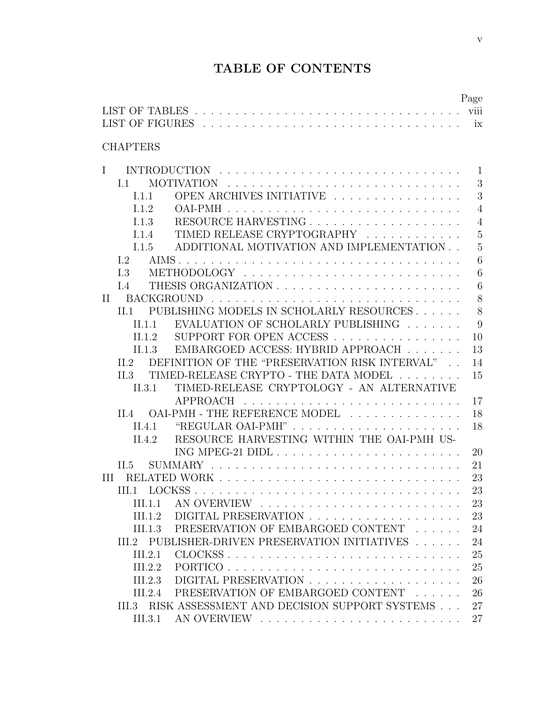## TABLE OF CONTENTS

|              |                   |         |                                                       | Page           |
|--------------|-------------------|---------|-------------------------------------------------------|----------------|
|              |                   |         |                                                       |                |
|              |                   |         |                                                       |                |
|              |                   |         |                                                       |                |
|              | <b>CHAPTERS</b>   |         |                                                       |                |
| $\mathbf{I}$ |                   |         |                                                       | $\mathbf{1}$   |
|              | L1                |         |                                                       | 3              |
|              | 1.1.1             |         | OPEN ARCHIVES INITIATIVE                              | 3              |
|              | 112               |         | OAI-PMH                                               | $\overline{4}$ |
|              | 113               |         |                                                       | $\overline{4}$ |
|              | 1.1.4             |         | TIMED RELEASE CRYPTOGRAPHY                            | $\overline{5}$ |
|              | 1.1.5             |         | ADDITIONAL MOTIVATION AND IMPLEMENTATION              | $\overline{5}$ |
|              | I.2               |         |                                                       | 6              |
|              | L <sub>3</sub>    |         |                                                       | 6              |
|              | I.4               |         |                                                       | 6              |
| $\mathbf{H}$ |                   |         |                                                       | 8              |
|              | $\Pi.1$           |         | PUBLISHING MODELS IN SCHOLARLY RESOURCES              | 8              |
|              |                   | II.1.1  | EVALUATION OF SCHOLARLY PUBLISHING                    | 9              |
|              |                   | II.1.2  | SUPPORT FOR OPEN ACCESS                               | 10             |
|              |                   | II.1.3  | EMBARGOED ACCESS: HYBRID APPROACH $\ldots \ldots$     | 13             |
|              | II.2              |         | DEFINITION OF THE "PRESERVATION RISK INTERVAL"        | 14             |
|              | II.3              |         | TIMED-RELEASE CRYPTO - THE DATA MODEL<br>$\mathbf{r}$ | 15             |
|              |                   | II.3.1  | TIMED-RELEASE CRYPTOLOGY - AN ALTERNATIVE             |                |
|              |                   |         | APPROACH                                              | 17             |
|              | $\overline{11.4}$ |         | OAI-PMH - THE REFERENCE MODEL                         | 18             |
|              | II.4.1            |         |                                                       | 18             |
|              |                   | II.4.2  | RESOURCE HARVESTING WITHIN THE OAI-PMH US-            |                |
|              |                   |         |                                                       | 20             |
|              | II.5              |         | <b>SUMMARY</b>                                        | 21             |
| Ш            |                   |         |                                                       | 23             |
|              |                   |         |                                                       | 23             |
|              |                   | III.1.1 |                                                       | 23             |
|              |                   | III.1.2 |                                                       | 23             |
|              |                   | III.1.3 | PRESERVATION OF EMBARGOED CONTENT                     | 24             |
|              |                   |         | III.2 PUBLISHER-DRIVEN PRESERVATION INITIATIVES       | 24             |
|              |                   | III.2.1 |                                                       | 25             |
|              |                   | III.2.2 | PORTICO                                               | 25             |
|              |                   | III.2.3 |                                                       | 26             |
|              |                   | III.2.4 | PRESERVATION OF EMBARGOED CONTENT                     | 26             |
|              |                   |         | III.3 RISK ASSESSMENT AND DECISION SUPPORT SYSTEMS    | 27             |
|              |                   | III.3.1 |                                                       | 27             |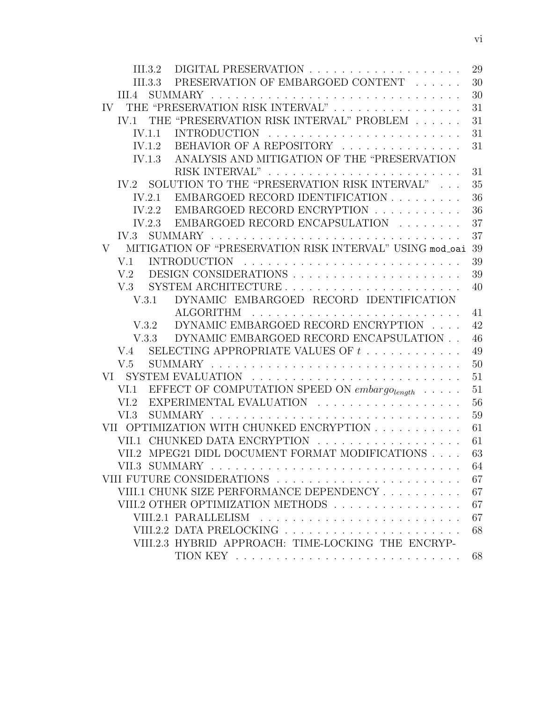|        |                      |                                                               | 29 |
|--------|----------------------|---------------------------------------------------------------|----|
|        | $\overline{III}.3.3$ | PRESERVATION OF EMBARGOED CONTENT                             | 30 |
| III.4  |                      |                                                               | 30 |
|        |                      | IV THE "PRESERVATION RISK INTERVAL"                           | 31 |
|        |                      | IV.1 THE "PRESERVATION RISK INTERVAL" PROBLEM                 | 31 |
| IV.1.1 |                      |                                                               | 31 |
| IV.1.2 |                      | BEHAVIOR OF A REPOSITORY                                      | 31 |
|        | IV.1.3               | ANALYSIS AND MITIGATION OF THE "PRESERVATION                  |    |
|        |                      |                                                               | 31 |
|        |                      | IV.2 SOLUTION TO THE "PRESERVATION RISK INTERVAL"             | 35 |
|        | IV.2.1               | EMBARGOED RECORD IDENTIFICATION                               | 36 |
|        | IV.2.2               | EMBARGOED RECORD ENCRYPTION                                   | 36 |
|        |                      | IV.2.3 EMBARGOED RECORD ENCAPSULATION $\ldots \ldots$         | 37 |
| IV.3   |                      |                                                               | 37 |
|        |                      | V MITIGATION OF "PRESERVATION RISK INTERVAL" USING mod_oai 39 |    |
| V.1    |                      |                                                               | 39 |
| V.2    |                      |                                                               | 39 |
|        |                      |                                                               | 40 |
| V.3.1  |                      | DYNAMIC EMBARGOED RECORD IDENTIFICATION                       |    |
|        |                      |                                                               | 41 |
|        |                      | V.3.2 DYNAMIC EMBARGOED RECORD ENCRYPTION                     | 42 |
|        |                      | V.3.3 DYNAMIC EMBARGOED RECORD ENCAPSULATION                  | 46 |
| V.4    |                      | SELECTING APPROPRIATE VALUES OF $t$                           | 49 |
| V.5    |                      |                                                               | 50 |
|        |                      |                                                               | 51 |
|        |                      | VI.1 EFFECT OF COMPUTATION SPEED ON $embargo_{length} \dots$  | 51 |
| VI.2   |                      | EXPERIMENTAL EVALUATION                                       | 56 |
|        |                      |                                                               | 59 |
|        |                      | VII OPTIMIZATION WITH CHUNKED ENCRYPTION                      | 61 |
|        |                      | VII.1 CHUNKED DATA ENCRYPTION                                 | 61 |
|        |                      | VII.2 MPEG21 DIDL DOCUMENT FORMAT MODIFICATIONS               | 63 |
|        |                      |                                                               | 64 |
|        |                      |                                                               | 67 |
|        |                      | VIII.1 CHUNK SIZE PERFORMANCE DEPENDENCY                      | 67 |
|        |                      | VIII.2 OTHER OPTIMIZATION METHODS                             | 67 |
|        |                      |                                                               | 67 |
|        |                      | VIII.2.2 DATA PRELOCKING                                      | 68 |
|        |                      | VIII.2.3 HYBRID APPROACH: TIME-LOCKING THE ENCRYP-            |    |
|        |                      |                                                               | 68 |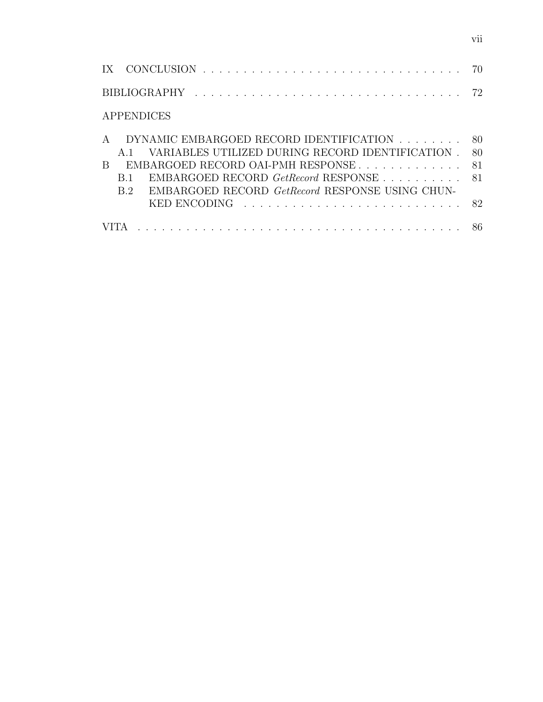IX CONCLUSION . . . . . . . . . . . . . . . . . . . . . . . . . . . . . . . . 70 BIBLIOGRAPHY . . . . . . . . . . . . . . . . . . . . . . . . . . . . . . . . . 72 APPENDICES A DYNAMIC EMBARGOED RECORD IDENTIFICATION . . . . . . . . 80 A.1 VARIABLES UTILIZED DURING RECORD IDENTIFICATION . 80 B EMBARGOED RECORD OAI-PMH RESPONSE . . . . . . . . . . . . 81 B.1 EMBARGOED RECORD GetRecord RESPONSE . . . . . . . . . 81 B.2 EMBARGOED RECORD GetRecord RESPONSE USING CHUN-KED ENCODING . . . . . . . . . . . . . . . . . . . . . . . . . . . 82 VITA . . . . . . . . . . . . . . . . . . . . . . . . . . . . . . . . . . . . . . . . 86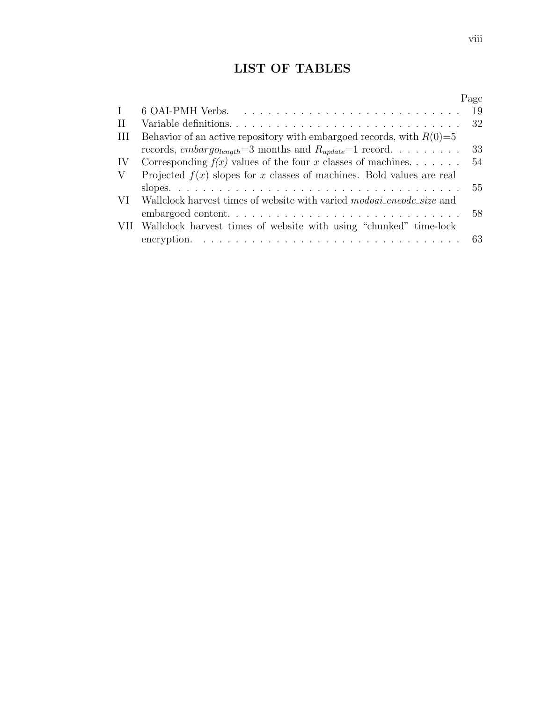## LIST OF TABLES

|              |                                                                                 | Page |
|--------------|---------------------------------------------------------------------------------|------|
| $\mathbf{I}$ |                                                                                 | -19  |
| $\rm II$     |                                                                                 | -32  |
| H            | Behavior of an active repository with embargoed records, with $R(0)=5$          |      |
|              | records, embargo <sub>length</sub> =3 months and $R_{update}$ =1 record         | 33   |
| IV           | Corresponding $f(x)$ values of the four x classes of machines                   | 54   |
| V            | Projected $f(x)$ slopes for x classes of machines. Bold values are real         |      |
|              |                                                                                 | 55   |
|              | VI Wallclock harvest times of website with varied <i>modoai_encode_size</i> and |      |
|              |                                                                                 | 58   |
|              | VII Wallclock harvest times of website with using "chunked" time-lock           |      |
|              |                                                                                 |      |
|              |                                                                                 |      |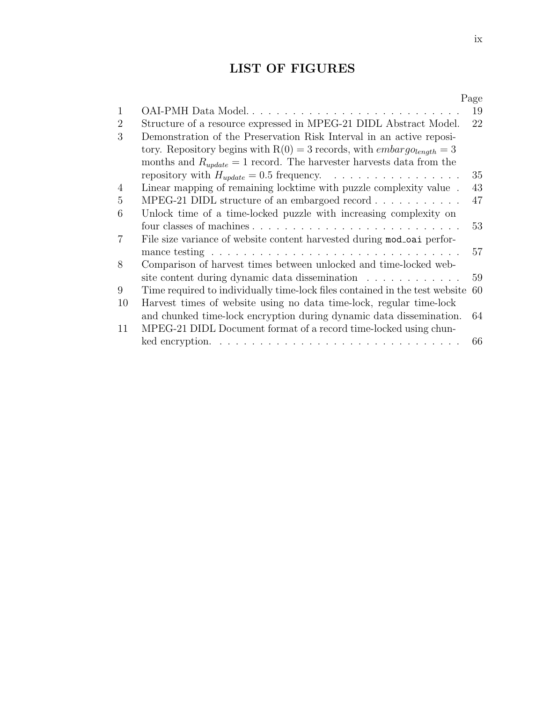## LIST OF FIGURES

|                |                                                                                         | Page |
|----------------|-----------------------------------------------------------------------------------------|------|
| $\mathbf{1}$   | OAI-PMH Data Model                                                                      | 19   |
| $\overline{2}$ | Structure of a resource expressed in MPEG-21 DIDL Abstract Model.                       | 22   |
| 3              | Demonstration of the Preservation Risk Interval in an active reposi-                    |      |
|                | tory. Repository begins with $R(0) = 3$ records, with <i>embargolength</i> = 3          |      |
|                | months and $R_{update} = 1$ record. The harvester harvests data from the                |      |
|                |                                                                                         | 35   |
| 4              | Linear mapping of remaining locktime with puzzle complexity value.                      | 43   |
| 5              | MPEG-21 DIDL structure of an embargoed record $\ldots \ldots \ldots$                    | 47   |
| 6              | Unlock time of a time-locked puzzle with increasing complexity on                       |      |
|                |                                                                                         | 53   |
| $\overline{7}$ | File size variance of website content harvested during mod_oai perfor-                  |      |
|                |                                                                                         | 57   |
| 8              | Comparison of harvest times between unlocked and time-locked web-                       |      |
|                | site content during dynamic data dissemination                                          | 59   |
| 9              | Time required to individually time-lock files contained in the test website             | 60   |
| 10             | Harvest times of website using no data time-lock, regular time-lock                     |      |
|                | and chunked time-lock encryption during dynamic data dissemination.                     | 64   |
| 11             | MPEG-21 DIDL Document format of a record time-locked using chun-                        |      |
|                | ked encryption. $\ldots \ldots \ldots \ldots \ldots \ldots \ldots \ldots \ldots \ldots$ | 66   |
|                |                                                                                         |      |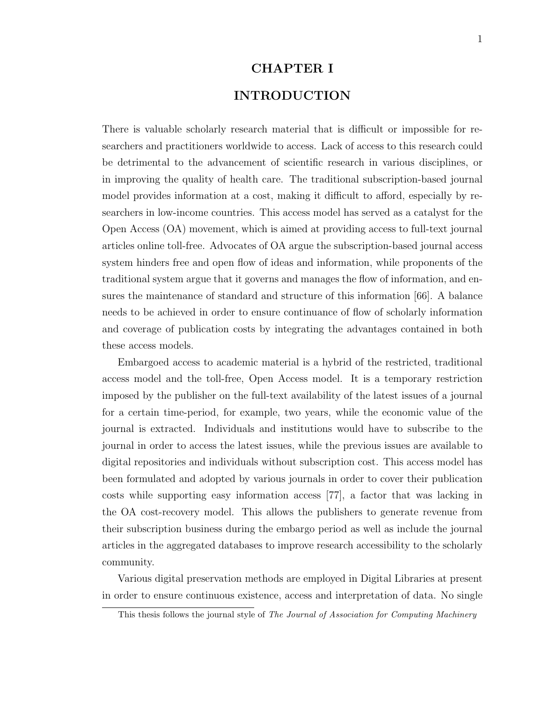#### CHAPTER I

### INTRODUCTION

There is valuable scholarly research material that is difficult or impossible for researchers and practitioners worldwide to access. Lack of access to this research could be detrimental to the advancement of scientific research in various disciplines, or in improving the quality of health care. The traditional subscription-based journal model provides information at a cost, making it difficult to afford, especially by researchers in low-income countries. This access model has served as a catalyst for the Open Access (OA) movement, which is aimed at providing access to full-text journal articles online toll-free. Advocates of OA argue the subscription-based journal access system hinders free and open flow of ideas and information, while proponents of the traditional system argue that it governs and manages the flow of information, and ensures the maintenance of standard and structure of this information [66]. A balance needs to be achieved in order to ensure continuance of flow of scholarly information and coverage of publication costs by integrating the advantages contained in both these access models.

Embargoed access to academic material is a hybrid of the restricted, traditional access model and the toll-free, Open Access model. It is a temporary restriction imposed by the publisher on the full-text availability of the latest issues of a journal for a certain time-period, for example, two years, while the economic value of the journal is extracted. Individuals and institutions would have to subscribe to the journal in order to access the latest issues, while the previous issues are available to digital repositories and individuals without subscription cost. This access model has been formulated and adopted by various journals in order to cover their publication costs while supporting easy information access [77], a factor that was lacking in the OA cost-recovery model. This allows the publishers to generate revenue from their subscription business during the embargo period as well as include the journal articles in the aggregated databases to improve research accessibility to the scholarly community.

Various digital preservation methods are employed in Digital Libraries at present in order to ensure continuous existence, access and interpretation of data. No single

This thesis follows the journal style of The Journal of Association for Computing Machinery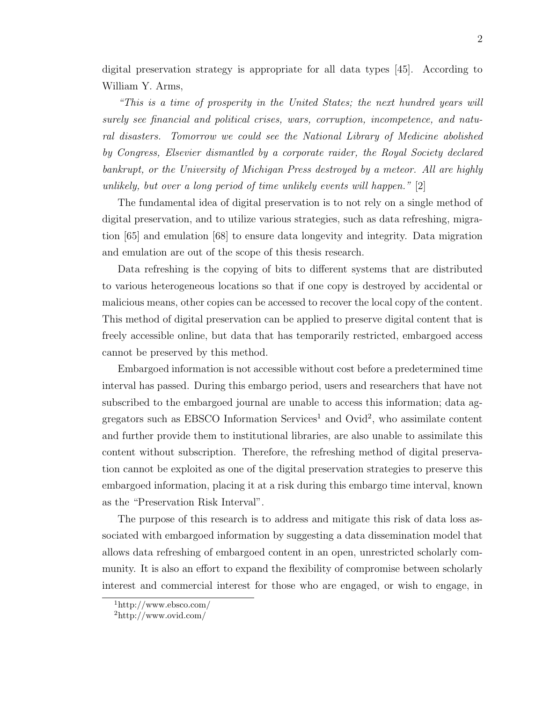digital preservation strategy is appropriate for all data types [45]. According to William Y. Arms,

"This is a time of prosperity in the United States; the next hundred years will surely see financial and political crises, wars, corruption, incompetence, and natural disasters. Tomorrow we could see the National Library of Medicine abolished by Congress, Elsevier dismantled by a corporate raider, the Royal Society declared bankrupt, or the University of Michigan Press destroyed by a meteor. All are highly unlikely, but over a long period of time unlikely events will happen."  $[2]$ 

The fundamental idea of digital preservation is to not rely on a single method of digital preservation, and to utilize various strategies, such as data refreshing, migration [65] and emulation [68] to ensure data longevity and integrity. Data migration and emulation are out of the scope of this thesis research.

Data refreshing is the copying of bits to different systems that are distributed to various heterogeneous locations so that if one copy is destroyed by accidental or malicious means, other copies can be accessed to recover the local copy of the content. This method of digital preservation can be applied to preserve digital content that is freely accessible online, but data that has temporarily restricted, embargoed access cannot be preserved by this method.

Embargoed information is not accessible without cost before a predetermined time interval has passed. During this embargo period, users and researchers that have not subscribed to the embargoed journal are unable to access this information; data aggregators such as EBSCO Information Services<sup>1</sup> and  $Ovid^2$ , who assimilate content and further provide them to institutional libraries, are also unable to assimilate this content without subscription. Therefore, the refreshing method of digital preservation cannot be exploited as one of the digital preservation strategies to preserve this embargoed information, placing it at a risk during this embargo time interval, known as the "Preservation Risk Interval".

The purpose of this research is to address and mitigate this risk of data loss associated with embargoed information by suggesting a data dissemination model that allows data refreshing of embargoed content in an open, unrestricted scholarly community. It is also an effort to expand the flexibility of compromise between scholarly interest and commercial interest for those who are engaged, or wish to engage, in

<sup>1</sup>http://www.ebsco.com/

<sup>2</sup>http://www.ovid.com/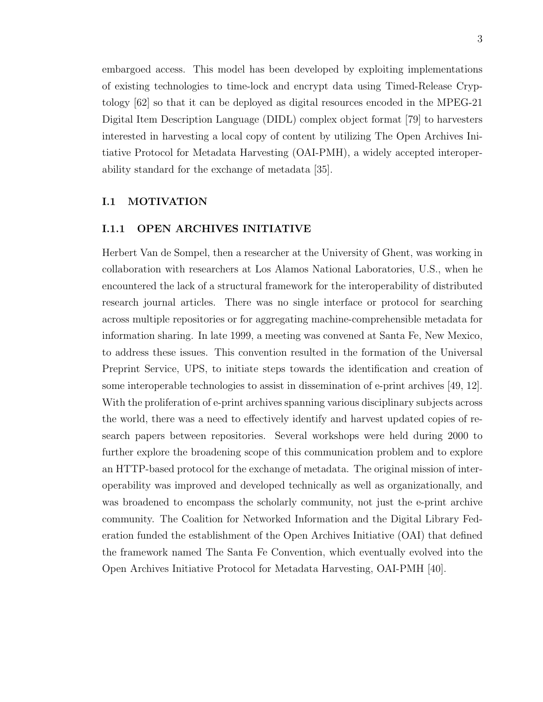embargoed access. This model has been developed by exploiting implementations of existing technologies to time-lock and encrypt data using Timed-Release Cryptology [62] so that it can be deployed as digital resources encoded in the MPEG-21 Digital Item Description Language (DIDL) complex object format [79] to harvesters interested in harvesting a local copy of content by utilizing The Open Archives Initiative Protocol for Metadata Harvesting (OAI-PMH), a widely accepted interoperability standard for the exchange of metadata [35].

#### I.1 MOTIVATION

#### I.1.1 OPEN ARCHIVES INITIATIVE

Herbert Van de Sompel, then a researcher at the University of Ghent, was working in collaboration with researchers at Los Alamos National Laboratories, U.S., when he encountered the lack of a structural framework for the interoperability of distributed research journal articles. There was no single interface or protocol for searching across multiple repositories or for aggregating machine-comprehensible metadata for information sharing. In late 1999, a meeting was convened at Santa Fe, New Mexico, to address these issues. This convention resulted in the formation of the Universal Preprint Service, UPS, to initiate steps towards the identification and creation of some interoperable technologies to assist in dissemination of e-print archives [49, 12]. With the proliferation of e-print archives spanning various disciplinary subjects across the world, there was a need to effectively identify and harvest updated copies of research papers between repositories. Several workshops were held during 2000 to further explore the broadening scope of this communication problem and to explore an HTTP-based protocol for the exchange of metadata. The original mission of interoperability was improved and developed technically as well as organizationally, and was broadened to encompass the scholarly community, not just the e-print archive community. The Coalition for Networked Information and the Digital Library Federation funded the establishment of the Open Archives Initiative (OAI) that defined the framework named The Santa Fe Convention, which eventually evolved into the Open Archives Initiative Protocol for Metadata Harvesting, OAI-PMH [40].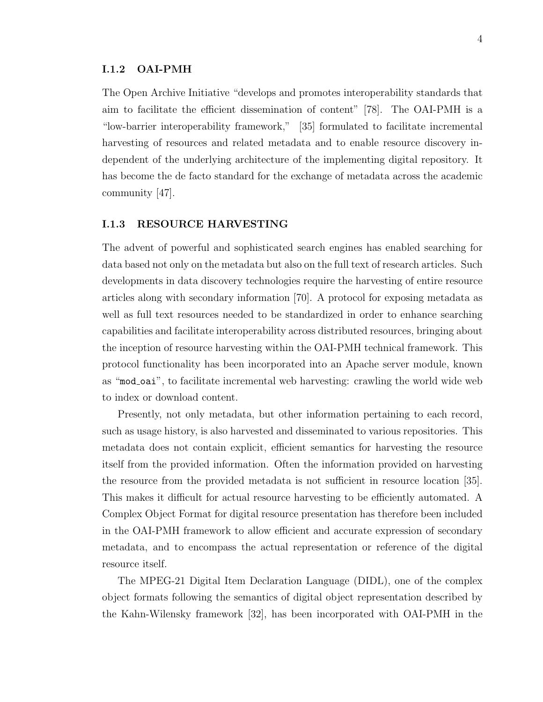#### I.1.2 OAI-PMH

The Open Archive Initiative "develops and promotes interoperability standards that aim to facilitate the efficient dissemination of content" [78]. The OAI-PMH is a "low-barrier interoperability framework," [35] formulated to facilitate incremental harvesting of resources and related metadata and to enable resource discovery independent of the underlying architecture of the implementing digital repository. It has become the de facto standard for the exchange of metadata across the academic community [47].

#### I.1.3 RESOURCE HARVESTING

The advent of powerful and sophisticated search engines has enabled searching for data based not only on the metadata but also on the full text of research articles. Such developments in data discovery technologies require the harvesting of entire resource articles along with secondary information [70]. A protocol for exposing metadata as well as full text resources needed to be standardized in order to enhance searching capabilities and facilitate interoperability across distributed resources, bringing about the inception of resource harvesting within the OAI-PMH technical framework. This protocol functionality has been incorporated into an Apache server module, known as "mod oai", to facilitate incremental web harvesting: crawling the world wide web to index or download content.

Presently, not only metadata, but other information pertaining to each record, such as usage history, is also harvested and disseminated to various repositories. This metadata does not contain explicit, efficient semantics for harvesting the resource itself from the provided information. Often the information provided on harvesting the resource from the provided metadata is not sufficient in resource location [35]. This makes it difficult for actual resource harvesting to be efficiently automated. A Complex Object Format for digital resource presentation has therefore been included in the OAI-PMH framework to allow efficient and accurate expression of secondary metadata, and to encompass the actual representation or reference of the digital resource itself.

The MPEG-21 Digital Item Declaration Language (DIDL), one of the complex object formats following the semantics of digital object representation described by the Kahn-Wilensky framework [32], has been incorporated with OAI-PMH in the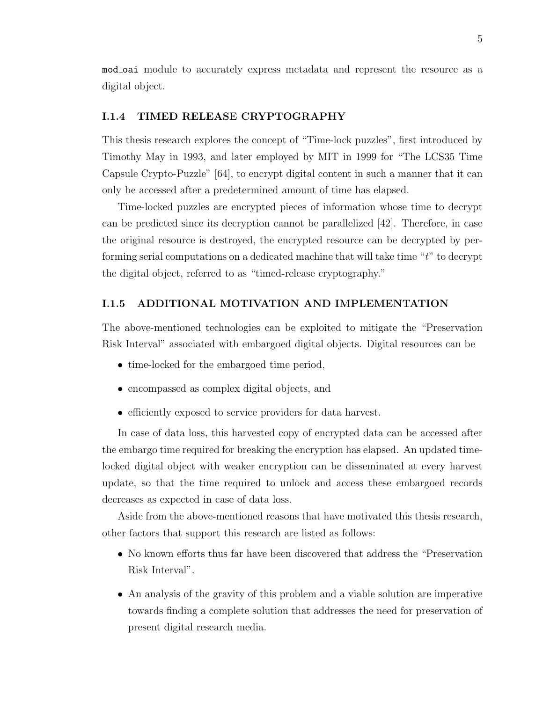mod oai module to accurately express metadata and represent the resource as a digital object.

#### I.1.4 TIMED RELEASE CRYPTOGRAPHY

This thesis research explores the concept of "Time-lock puzzles", first introduced by Timothy May in 1993, and later employed by MIT in 1999 for "The LCS35 Time Capsule Crypto-Puzzle" [64], to encrypt digital content in such a manner that it can only be accessed after a predetermined amount of time has elapsed.

Time-locked puzzles are encrypted pieces of information whose time to decrypt can be predicted since its decryption cannot be parallelized [42]. Therefore, in case the original resource is destroyed, the encrypted resource can be decrypted by performing serial computations on a dedicated machine that will take time "t" to decrypt the digital object, referred to as "timed-release cryptography."

#### I.1.5 ADDITIONAL MOTIVATION AND IMPLEMENTATION

The above-mentioned technologies can be exploited to mitigate the "Preservation Risk Interval" associated with embargoed digital objects. Digital resources can be

- time-locked for the embargoed time period,
- encompassed as complex digital objects, and
- efficiently exposed to service providers for data harvest.

In case of data loss, this harvested copy of encrypted data can be accessed after the embargo time required for breaking the encryption has elapsed. An updated timelocked digital object with weaker encryption can be disseminated at every harvest update, so that the time required to unlock and access these embargoed records decreases as expected in case of data loss.

Aside from the above-mentioned reasons that have motivated this thesis research, other factors that support this research are listed as follows:

- No known efforts thus far have been discovered that address the "Preservation Risk Interval".
- An analysis of the gravity of this problem and a viable solution are imperative towards finding a complete solution that addresses the need for preservation of present digital research media.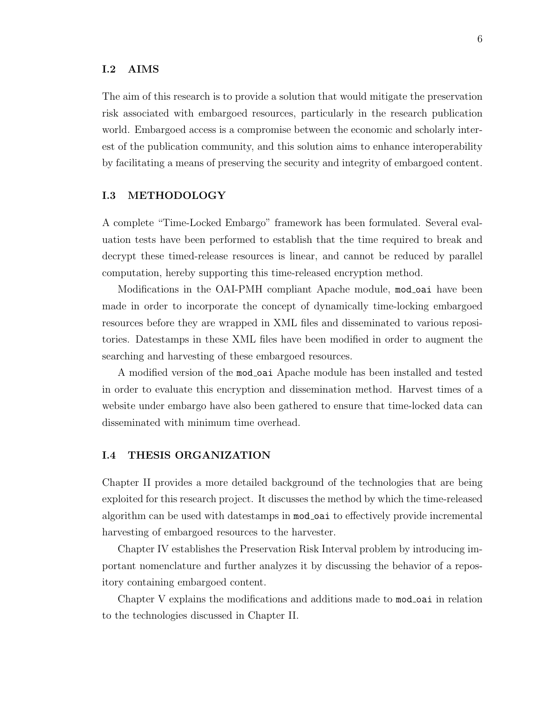#### I.2 AIMS

The aim of this research is to provide a solution that would mitigate the preservation risk associated with embargoed resources, particularly in the research publication world. Embargoed access is a compromise between the economic and scholarly interest of the publication community, and this solution aims to enhance interoperability by facilitating a means of preserving the security and integrity of embargoed content.

#### I.3 METHODOLOGY

A complete "Time-Locked Embargo" framework has been formulated. Several evaluation tests have been performed to establish that the time required to break and decrypt these timed-release resources is linear, and cannot be reduced by parallel computation, hereby supporting this time-released encryption method.

Modifications in the OAI-PMH compliant Apache module, mod oai have been made in order to incorporate the concept of dynamically time-locking embargoed resources before they are wrapped in XML files and disseminated to various repositories. Datestamps in these XML files have been modified in order to augment the searching and harvesting of these embargoed resources.

A modified version of the mod oai Apache module has been installed and tested in order to evaluate this encryption and dissemination method. Harvest times of a website under embargo have also been gathered to ensure that time-locked data can disseminated with minimum time overhead.

#### I.4 THESIS ORGANIZATION

Chapter II provides a more detailed background of the technologies that are being exploited for this research project. It discusses the method by which the time-released algorithm can be used with datestamps in mod oai to effectively provide incremental harvesting of embargoed resources to the harvester.

Chapter IV establishes the Preservation Risk Interval problem by introducing important nomenclature and further analyzes it by discussing the behavior of a repository containing embargoed content.

Chapter V explains the modifications and additions made to mod oai in relation to the technologies discussed in Chapter II.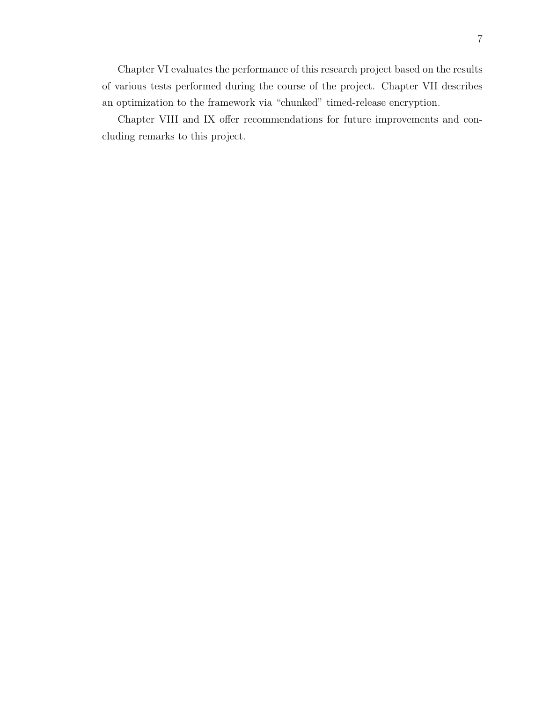Chapter VI evaluates the performance of this research project based on the results of various tests performed during the course of the project. Chapter VII describes an optimization to the framework via "chunked" timed-release encryption.

Chapter VIII and IX offer recommendations for future improvements and concluding remarks to this project.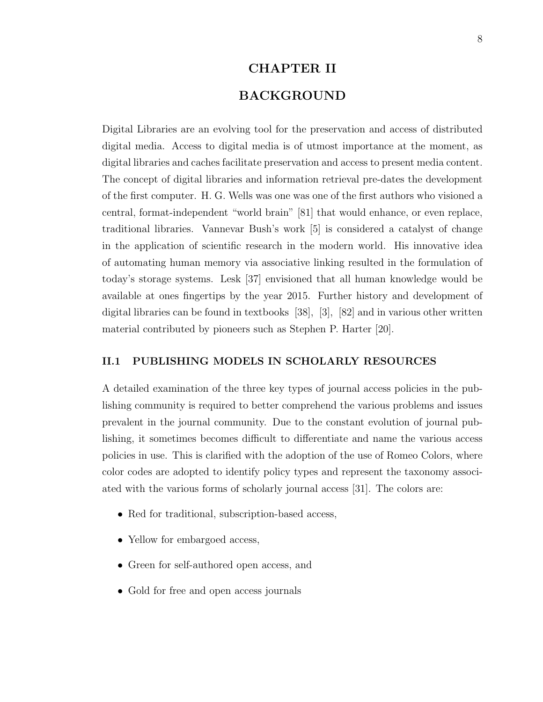## CHAPTER II BACKGROUND

Digital Libraries are an evolving tool for the preservation and access of distributed digital media. Access to digital media is of utmost importance at the moment, as digital libraries and caches facilitate preservation and access to present media content. The concept of digital libraries and information retrieval pre-dates the development of the first computer. H. G. Wells was one was one of the first authors who visioned a central, format-independent "world brain" [81] that would enhance, or even replace, traditional libraries. Vannevar Bush's work [5] is considered a catalyst of change in the application of scientific research in the modern world. His innovative idea of automating human memory via associative linking resulted in the formulation of today's storage systems. Lesk [37] envisioned that all human knowledge would be available at ones fingertips by the year 2015. Further history and development of digital libraries can be found in textbooks [38], [3], [82] and in various other written material contributed by pioneers such as Stephen P. Harter [20].

#### II.1 PUBLISHING MODELS IN SCHOLARLY RESOURCES

A detailed examination of the three key types of journal access policies in the publishing community is required to better comprehend the various problems and issues prevalent in the journal community. Due to the constant evolution of journal publishing, it sometimes becomes difficult to differentiate and name the various access policies in use. This is clarified with the adoption of the use of Romeo Colors, where color codes are adopted to identify policy types and represent the taxonomy associated with the various forms of scholarly journal access [31]. The colors are:

- Red for traditional, subscription-based access,
- Yellow for embargoed access,
- Green for self-authored open access, and
- Gold for free and open access journals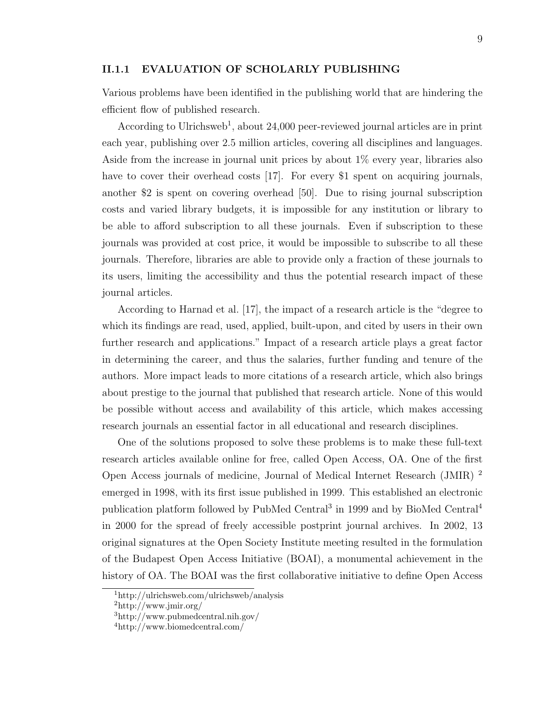#### II.1.1 EVALUATION OF SCHOLARLY PUBLISHING

Various problems have been identified in the publishing world that are hindering the efficient flow of published research.

According to Ulrichsweb<sup>1</sup>, about 24,000 peer-reviewed journal articles are in print each year, publishing over 2.5 million articles, covering all disciplines and languages. Aside from the increase in journal unit prices by about 1% every year, libraries also have to cover their overhead costs [17]. For every \$1 spent on acquiring journals, another \$2 is spent on covering overhead [50]. Due to rising journal subscription costs and varied library budgets, it is impossible for any institution or library to be able to afford subscription to all these journals. Even if subscription to these journals was provided at cost price, it would be impossible to subscribe to all these journals. Therefore, libraries are able to provide only a fraction of these journals to its users, limiting the accessibility and thus the potential research impact of these journal articles.

According to Harnad et al. [17], the impact of a research article is the "degree to which its findings are read, used, applied, built-upon, and cited by users in their own further research and applications." Impact of a research article plays a great factor in determining the career, and thus the salaries, further funding and tenure of the authors. More impact leads to more citations of a research article, which also brings about prestige to the journal that published that research article. None of this would be possible without access and availability of this article, which makes accessing research journals an essential factor in all educational and research disciplines.

One of the solutions proposed to solve these problems is to make these full-text research articles available online for free, called Open Access, OA. One of the first Open Access journals of medicine, Journal of Medical Internet Research (JMIR) <sup>2</sup> emerged in 1998, with its first issue published in 1999. This established an electronic publication platform followed by PubMed Central<sup>3</sup> in 1999 and by BioMed Central<sup>4</sup> in 2000 for the spread of freely accessible postprint journal archives. In 2002, 13 original signatures at the Open Society Institute meeting resulted in the formulation of the Budapest Open Access Initiative (BOAI), a monumental achievement in the history of OA. The BOAI was the first collaborative initiative to define Open Access

<sup>1</sup>http://ulrichsweb.com/ulrichsweb/analysis

 $^{2}$ http://www.jmir.org/

<sup>3</sup>http://www.pubmedcentral.nih.gov/

<sup>4</sup>http://www.biomedcentral.com/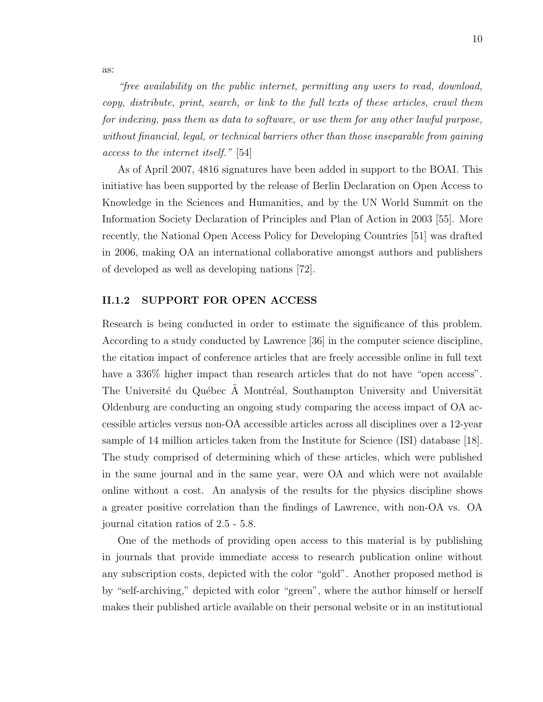"free availability on the public internet, permitting any users to read, download, copy, distribute, print, search, or link to the full texts of these articles, crawl them for indexing, pass them as data to software, or use them for any other lawful purpose, without financial, legal, or technical barriers other than those inseparable from gaining access to the internet itself." [54]

As of April 2007, 4816 signatures have been added in support to the BOAI. This initiative has been supported by the release of Berlin Declaration on Open Access to Knowledge in the Sciences and Humanities, and by the UN World Summit on the Information Society Declaration of Principles and Plan of Action in 2003 [55]. More recently, the National Open Access Policy for Developing Countries [51] was drafted in 2006, making OA an international collaborative amongst authors and publishers of developed as well as developing nations [72].

#### II.1.2 SUPPORT FOR OPEN ACCESS

Research is being conducted in order to estimate the significance of this problem. According to a study conducted by Lawrence [36] in the computer science discipline, the citation impact of conference articles that are freely accessible online in full text have a 336% higher impact than research articles that do not have "open access". The Université du Québec A Montréal, Southampton University and Universität Oldenburg are conducting an ongoing study comparing the access impact of OA accessible articles versus non-OA accessible articles across all disciplines over a 12-year sample of 14 million articles taken from the Institute for Science (ISI) database [18]. The study comprised of determining which of these articles, which were published in the same journal and in the same year, were OA and which were not available online without a cost. An analysis of the results for the physics discipline shows a greater positive correlation than the findings of Lawrence, with non-OA vs. OA journal citation ratios of 2.5 - 5.8.

One of the methods of providing open access to this material is by publishing in journals that provide immediate access to research publication online without any subscription costs, depicted with the color "gold". Another proposed method is by "self-archiving," depicted with color "green", where the author himself or herself makes their published article available on their personal website or in an institutional

as: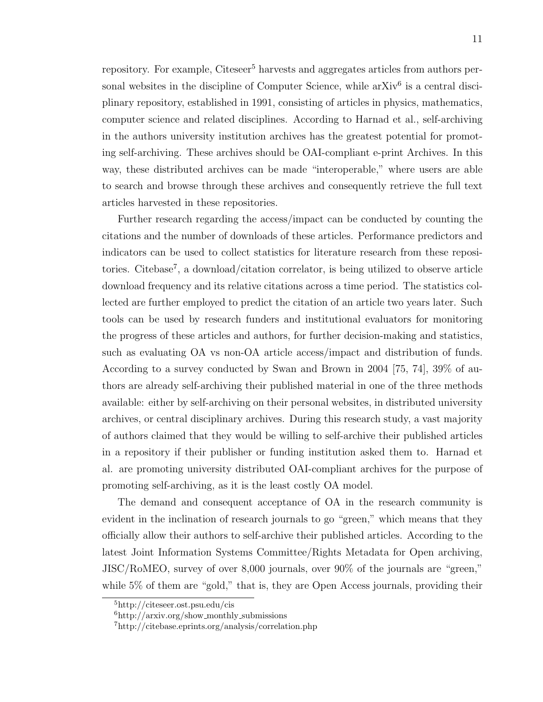repository. For example, Citeseer<sup>5</sup> harvests and aggregates articles from authors personal websites in the discipline of Computer Science, while  $arXiv^6$  is a central disciplinary repository, established in 1991, consisting of articles in physics, mathematics, computer science and related disciplines. According to Harnad et al., self-archiving in the authors university institution archives has the greatest potential for promoting self-archiving. These archives should be OAI-compliant e-print Archives. In this way, these distributed archives can be made "interoperable," where users are able to search and browse through these archives and consequently retrieve the full text articles harvested in these repositories.

Further research regarding the access/impact can be conducted by counting the citations and the number of downloads of these articles. Performance predictors and indicators can be used to collect statistics for literature research from these repositories. Citebase<sup>7</sup> , a download/citation correlator, is being utilized to observe article download frequency and its relative citations across a time period. The statistics collected are further employed to predict the citation of an article two years later. Such tools can be used by research funders and institutional evaluators for monitoring the progress of these articles and authors, for further decision-making and statistics, such as evaluating OA vs non-OA article access/impact and distribution of funds. According to a survey conducted by Swan and Brown in 2004 [75, 74], 39% of authors are already self-archiving their published material in one of the three methods available: either by self-archiving on their personal websites, in distributed university archives, or central disciplinary archives. During this research study, a vast majority of authors claimed that they would be willing to self-archive their published articles in a repository if their publisher or funding institution asked them to. Harnad et al. are promoting university distributed OAI-compliant archives for the purpose of promoting self-archiving, as it is the least costly OA model.

The demand and consequent acceptance of OA in the research community is evident in the inclination of research journals to go "green," which means that they officially allow their authors to self-archive their published articles. According to the latest Joint Information Systems Committee/Rights Metadata for Open archiving, JISC/RoMEO, survey of over 8,000 journals, over 90% of the journals are "green," while 5% of them are "gold," that is, they are Open Access journals, providing their

<sup>5</sup>http://citeseer.ost.psu.edu/cis

 $6$ http://arxiv.org/show\_monthly\_submissions

<sup>7</sup>http://citebase.eprints.org/analysis/correlation.php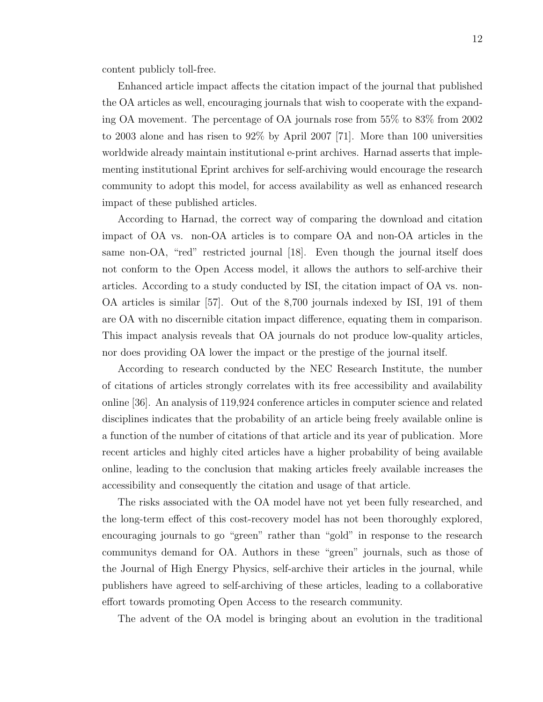content publicly toll-free.

Enhanced article impact affects the citation impact of the journal that published the OA articles as well, encouraging journals that wish to cooperate with the expanding OA movement. The percentage of OA journals rose from 55% to 83% from 2002 to 2003 alone and has risen to 92% by April 2007 [71]. More than 100 universities worldwide already maintain institutional e-print archives. Harnad asserts that implementing institutional Eprint archives for self-archiving would encourage the research community to adopt this model, for access availability as well as enhanced research impact of these published articles.

According to Harnad, the correct way of comparing the download and citation impact of OA vs. non-OA articles is to compare OA and non-OA articles in the same non-OA, "red" restricted journal [18]. Even though the journal itself does not conform to the Open Access model, it allows the authors to self-archive their articles. According to a study conducted by ISI, the citation impact of OA vs. non-OA articles is similar [57]. Out of the 8,700 journals indexed by ISI, 191 of them are OA with no discernible citation impact difference, equating them in comparison. This impact analysis reveals that OA journals do not produce low-quality articles, nor does providing OA lower the impact or the prestige of the journal itself.

According to research conducted by the NEC Research Institute, the number of citations of articles strongly correlates with its free accessibility and availability online [36]. An analysis of 119,924 conference articles in computer science and related disciplines indicates that the probability of an article being freely available online is a function of the number of citations of that article and its year of publication. More recent articles and highly cited articles have a higher probability of being available online, leading to the conclusion that making articles freely available increases the accessibility and consequently the citation and usage of that article.

The risks associated with the OA model have not yet been fully researched, and the long-term effect of this cost-recovery model has not been thoroughly explored, encouraging journals to go "green" rather than "gold" in response to the research communitys demand for OA. Authors in these "green" journals, such as those of the Journal of High Energy Physics, self-archive their articles in the journal, while publishers have agreed to self-archiving of these articles, leading to a collaborative effort towards promoting Open Access to the research community.

The advent of the OA model is bringing about an evolution in the traditional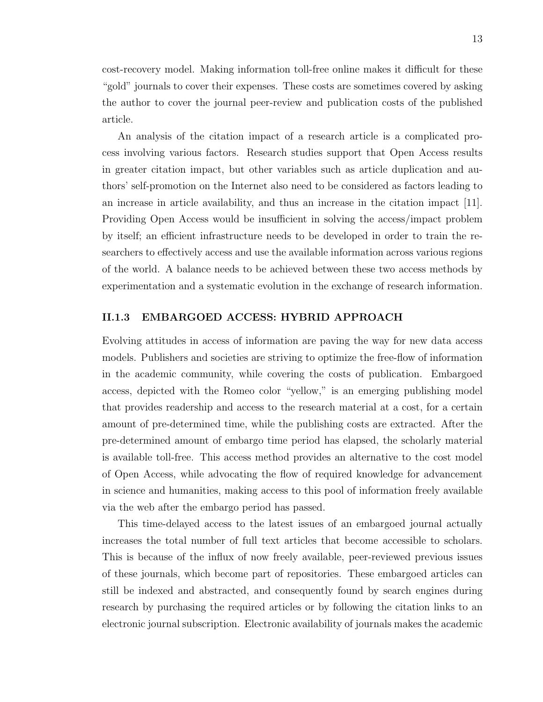cost-recovery model. Making information toll-free online makes it difficult for these "gold" journals to cover their expenses. These costs are sometimes covered by asking the author to cover the journal peer-review and publication costs of the published article.

An analysis of the citation impact of a research article is a complicated process involving various factors. Research studies support that Open Access results in greater citation impact, but other variables such as article duplication and authors' self-promotion on the Internet also need to be considered as factors leading to an increase in article availability, and thus an increase in the citation impact [11]. Providing Open Access would be insufficient in solving the access/impact problem by itself; an efficient infrastructure needs to be developed in order to train the researchers to effectively access and use the available information across various regions of the world. A balance needs to be achieved between these two access methods by experimentation and a systematic evolution in the exchange of research information.

#### II.1.3 EMBARGOED ACCESS: HYBRID APPROACH

Evolving attitudes in access of information are paving the way for new data access models. Publishers and societies are striving to optimize the free-flow of information in the academic community, while covering the costs of publication. Embargoed access, depicted with the Romeo color "yellow," is an emerging publishing model that provides readership and access to the research material at a cost, for a certain amount of pre-determined time, while the publishing costs are extracted. After the pre-determined amount of embargo time period has elapsed, the scholarly material is available toll-free. This access method provides an alternative to the cost model of Open Access, while advocating the flow of required knowledge for advancement in science and humanities, making access to this pool of information freely available via the web after the embargo period has passed.

This time-delayed access to the latest issues of an embargoed journal actually increases the total number of full text articles that become accessible to scholars. This is because of the influx of now freely available, peer-reviewed previous issues of these journals, which become part of repositories. These embargoed articles can still be indexed and abstracted, and consequently found by search engines during research by purchasing the required articles or by following the citation links to an electronic journal subscription. Electronic availability of journals makes the academic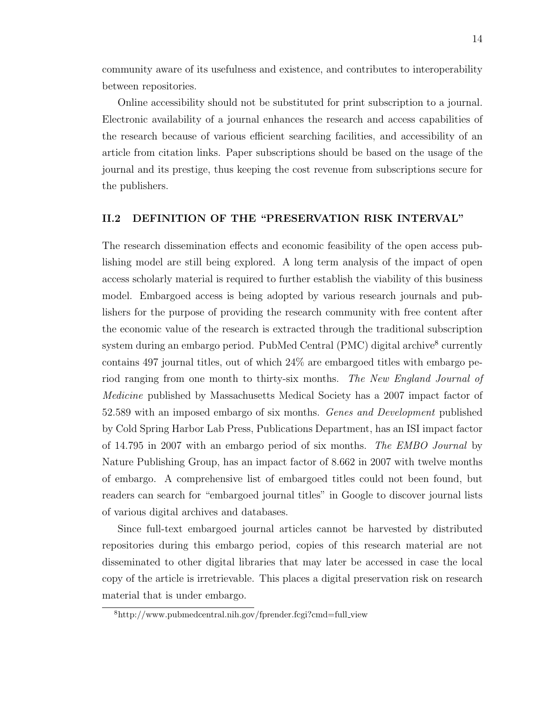community aware of its usefulness and existence, and contributes to interoperability between repositories.

Online accessibility should not be substituted for print subscription to a journal. Electronic availability of a journal enhances the research and access capabilities of the research because of various efficient searching facilities, and accessibility of an article from citation links. Paper subscriptions should be based on the usage of the journal and its prestige, thus keeping the cost revenue from subscriptions secure for the publishers.

#### II.2 DEFINITION OF THE "PRESERVATION RISK INTERVAL"

The research dissemination effects and economic feasibility of the open access publishing model are still being explored. A long term analysis of the impact of open access scholarly material is required to further establish the viability of this business model. Embargoed access is being adopted by various research journals and publishers for the purpose of providing the research community with free content after the economic value of the research is extracted through the traditional subscription system during an embargo period. PubMed Central (PMC) digital archive<sup>8</sup> currently contains  $497$  journal titles, out of which  $24\%$  are embargoed titles with embargo period ranging from one month to thirty-six months. The New England Journal of Medicine published by Massachusetts Medical Society has a 2007 impact factor of 52.589 with an imposed embargo of six months. Genes and Development published by Cold Spring Harbor Lab Press, Publications Department, has an ISI impact factor of 14.795 in 2007 with an embargo period of six months. The EMBO Journal by Nature Publishing Group, has an impact factor of 8.662 in 2007 with twelve months of embargo. A comprehensive list of embargoed titles could not been found, but readers can search for "embargoed journal titles" in Google to discover journal lists of various digital archives and databases.

Since full-text embargoed journal articles cannot be harvested by distributed repositories during this embargo period, copies of this research material are not disseminated to other digital libraries that may later be accessed in case the local copy of the article is irretrievable. This places a digital preservation risk on research material that is under embargo.

<sup>8</sup>http://www.pubmedcentral.nih.gov/fprender.fcgi?cmd=full view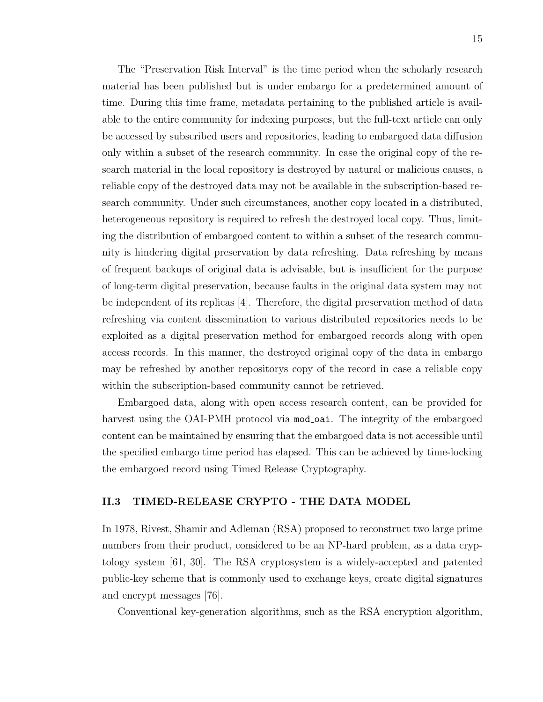The "Preservation Risk Interval" is the time period when the scholarly research material has been published but is under embargo for a predetermined amount of time. During this time frame, metadata pertaining to the published article is available to the entire community for indexing purposes, but the full-text article can only be accessed by subscribed users and repositories, leading to embargoed data diffusion only within a subset of the research community. In case the original copy of the research material in the local repository is destroyed by natural or malicious causes, a reliable copy of the destroyed data may not be available in the subscription-based research community. Under such circumstances, another copy located in a distributed, heterogeneous repository is required to refresh the destroyed local copy. Thus, limiting the distribution of embargoed content to within a subset of the research community is hindering digital preservation by data refreshing. Data refreshing by means of frequent backups of original data is advisable, but is insufficient for the purpose of long-term digital preservation, because faults in the original data system may not be independent of its replicas [4]. Therefore, the digital preservation method of data refreshing via content dissemination to various distributed repositories needs to be exploited as a digital preservation method for embargoed records along with open access records. In this manner, the destroyed original copy of the data in embargo may be refreshed by another repositorys copy of the record in case a reliable copy within the subscription-based community cannot be retrieved.

Embargoed data, along with open access research content, can be provided for harvest using the OAI-PMH protocol via mod<sub>-</sub>oai. The integrity of the embargoed content can be maintained by ensuring that the embargoed data is not accessible until the specified embargo time period has elapsed. This can be achieved by time-locking the embargoed record using Timed Release Cryptography.

#### II.3 TIMED-RELEASE CRYPTO - THE DATA MODEL

In 1978, Rivest, Shamir and Adleman (RSA) proposed to reconstruct two large prime numbers from their product, considered to be an NP-hard problem, as a data cryptology system [61, 30]. The RSA cryptosystem is a widely-accepted and patented public-key scheme that is commonly used to exchange keys, create digital signatures and encrypt messages [76].

Conventional key-generation algorithms, such as the RSA encryption algorithm,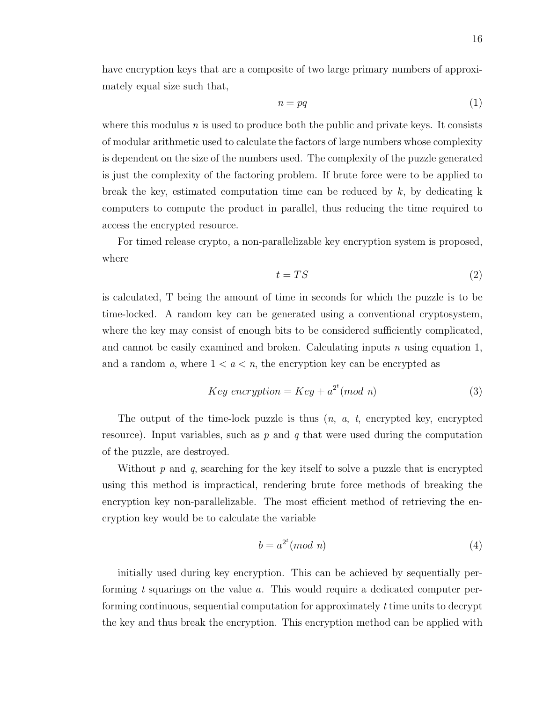have encryption keys that are a composite of two large primary numbers of approximately equal size such that,

$$
n = pq \tag{1}
$$

where this modulus  $n$  is used to produce both the public and private keys. It consists of modular arithmetic used to calculate the factors of large numbers whose complexity is dependent on the size of the numbers used. The complexity of the puzzle generated is just the complexity of the factoring problem. If brute force were to be applied to break the key, estimated computation time can be reduced by  $k$ , by dedicating k computers to compute the product in parallel, thus reducing the time required to access the encrypted resource.

For timed release crypto, a non-parallelizable key encryption system is proposed, where

$$
t = TS \tag{2}
$$

is calculated, T being the amount of time in seconds for which the puzzle is to be time-locked. A random key can be generated using a conventional cryptosystem, where the key may consist of enough bits to be considered sufficiently complicated, and cannot be easily examined and broken. Calculating inputs  $n$  using equation 1, and a random a, where  $1 < a < n$ , the encryption key can be encrypted as

$$
Key\ encryption = Key + a^{2^t} (mod\ n)
$$
\n(3)

The output of the time-lock puzzle is thus  $(n, a, t,$  encrypted key, encrypted resource). Input variables, such as  $p$  and  $q$  that were used during the computation of the puzzle, are destroyed.

Without  $p$  and  $q$ , searching for the key itself to solve a puzzle that is encrypted using this method is impractical, rendering brute force methods of breaking the encryption key non-parallelizable. The most efficient method of retrieving the encryption key would be to calculate the variable

$$
b = a^{2^t} (mod \ n) \tag{4}
$$

initially used during key encryption. This can be achieved by sequentially performing t squarings on the value a. This would require a dedicated computer performing continuous, sequential computation for approximately t time units to decrypt the key and thus break the encryption. This encryption method can be applied with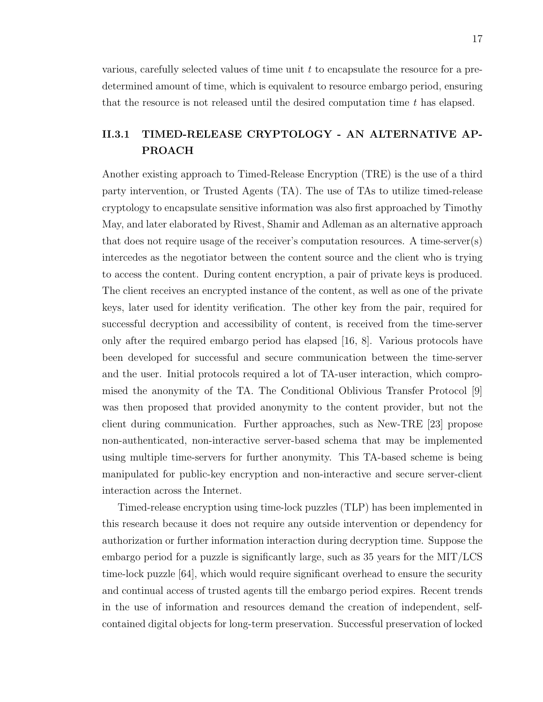various, carefully selected values of time unit t to encapsulate the resource for a predetermined amount of time, which is equivalent to resource embargo period, ensuring that the resource is not released until the desired computation time  $t$  has elapsed.

### II.3.1 TIMED-RELEASE CRYPTOLOGY - AN ALTERNATIVE AP-PROACH

Another existing approach to Timed-Release Encryption (TRE) is the use of a third party intervention, or Trusted Agents (TA). The use of TAs to utilize timed-release cryptology to encapsulate sensitive information was also first approached by Timothy May, and later elaborated by Rivest, Shamir and Adleman as an alternative approach that does not require usage of the receiver's computation resources. A time-server(s) intercedes as the negotiator between the content source and the client who is trying to access the content. During content encryption, a pair of private keys is produced. The client receives an encrypted instance of the content, as well as one of the private keys, later used for identity verification. The other key from the pair, required for successful decryption and accessibility of content, is received from the time-server only after the required embargo period has elapsed [16, 8]. Various protocols have been developed for successful and secure communication between the time-server and the user. Initial protocols required a lot of TA-user interaction, which compromised the anonymity of the TA. The Conditional Oblivious Transfer Protocol [9] was then proposed that provided anonymity to the content provider, but not the client during communication. Further approaches, such as New-TRE [23] propose non-authenticated, non-interactive server-based schema that may be implemented using multiple time-servers for further anonymity. This TA-based scheme is being manipulated for public-key encryption and non-interactive and secure server-client interaction across the Internet.

Timed-release encryption using time-lock puzzles (TLP) has been implemented in this research because it does not require any outside intervention or dependency for authorization or further information interaction during decryption time. Suppose the embargo period for a puzzle is significantly large, such as 35 years for the MIT/LCS time-lock puzzle [64], which would require significant overhead to ensure the security and continual access of trusted agents till the embargo period expires. Recent trends in the use of information and resources demand the creation of independent, selfcontained digital objects for long-term preservation. Successful preservation of locked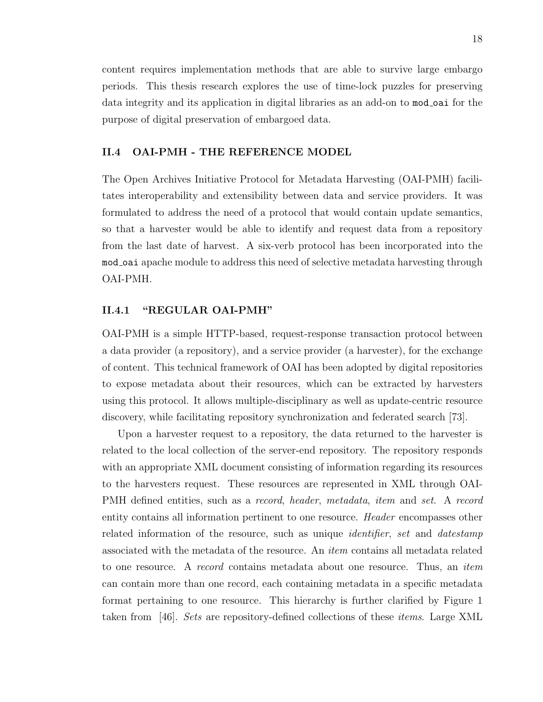content requires implementation methods that are able to survive large embargo periods. This thesis research explores the use of time-lock puzzles for preserving data integrity and its application in digital libraries as an add-on to mod oai for the purpose of digital preservation of embargoed data.

#### II.4 OAI-PMH - THE REFERENCE MODEL

The Open Archives Initiative Protocol for Metadata Harvesting (OAI-PMH) facilitates interoperability and extensibility between data and service providers. It was formulated to address the need of a protocol that would contain update semantics, so that a harvester would be able to identify and request data from a repository from the last date of harvest. A six-verb protocol has been incorporated into the mod oai apache module to address this need of selective metadata harvesting through OAI-PMH.

#### II.4.1 "REGULAR OAI-PMH"

OAI-PMH is a simple HTTP-based, request-response transaction protocol between a data provider (a repository), and a service provider (a harvester), for the exchange of content. This technical framework of OAI has been adopted by digital repositories to expose metadata about their resources, which can be extracted by harvesters using this protocol. It allows multiple-disciplinary as well as update-centric resource discovery, while facilitating repository synchronization and federated search [73].

Upon a harvester request to a repository, the data returned to the harvester is related to the local collection of the server-end repository. The repository responds with an appropriate XML document consisting of information regarding its resources to the harvesters request. These resources are represented in XML through OAI-PMH defined entities, such as a record, header, metadata, item and set. A record entity contains all information pertinent to one resource. Header encompasses other related information of the resource, such as unique *identifier*, set and *datestamp* associated with the metadata of the resource. An item contains all metadata related to one resource. A record contains metadata about one resource. Thus, an item can contain more than one record, each containing metadata in a specific metadata format pertaining to one resource. This hierarchy is further clarified by Figure 1 taken from [46]. Sets are repository-defined collections of these items. Large XML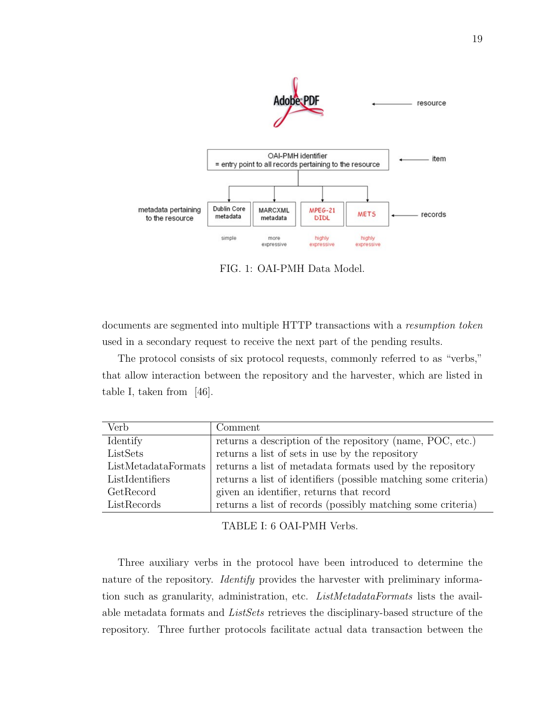

FIG. 1: OAI-PMH Data Model.

documents are segmented into multiple HTTP transactions with a resumption token used in a secondary request to receive the next part of the pending results.

The protocol consists of six protocol requests, commonly referred to as "verbs," that allow interaction between the repository and the harvester, which are listed in table I, taken from [46].

| Verb                | Comment                                                         |
|---------------------|-----------------------------------------------------------------|
| Identify            | returns a description of the repository (name, POC, etc.)       |
| ListSets            | returns a list of sets in use by the repository                 |
| ListMetadataFormats | returns a list of metadata formats used by the repository       |
| ListIdentifiers     | returns a list of identifiers (possible matching some criteria) |
| GetRecord           | given an identifier, returns that record                        |
| ListRecords         | returns a list of records (possibly matching some criteria)     |

TABLE I: 6 OAI-PMH Verbs.

Three auxiliary verbs in the protocol have been introduced to determine the nature of the repository. *Identify* provides the harvester with preliminary information such as granularity, administration, etc. *ListMetadataFormats* lists the available metadata formats and *ListSets* retrieves the disciplinary-based structure of the repository. Three further protocols facilitate actual data transaction between the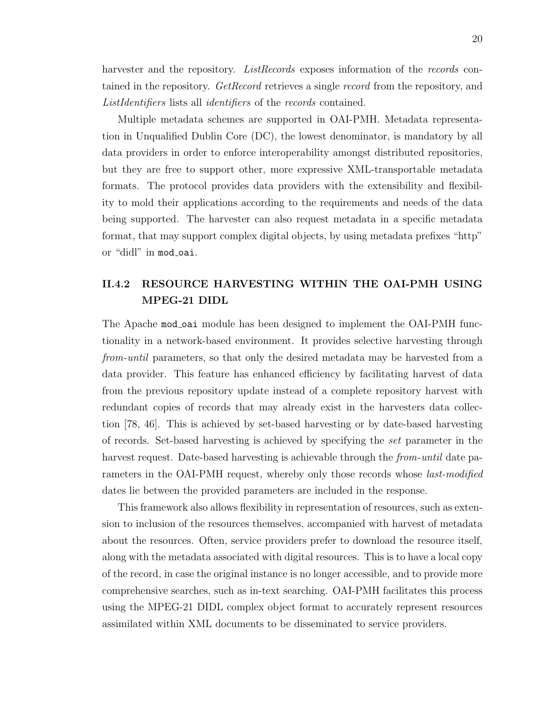harvester and the repository. ListRecords exposes information of the records contained in the repository. GetRecord retrieves a single record from the repository, and ListIdentifiers lists all *identifiers* of the *records* contained.

Multiple metadata schemes are supported in OAI-PMH. Metadata representation in Unqualified Dublin Core (DC), the lowest denominator, is mandatory by all data providers in order to enforce interoperability amongst distributed repositories, but they are free to support other, more expressive XML-transportable metadata formats. The protocol provides data providers with the extensibility and flexibility to mold their applications according to the requirements and needs of the data being supported. The harvester can also request metadata in a specific metadata format, that may support complex digital objects, by using metadata prefixes "http" or "didl" in mod\_oai.

### II.4.2 RESOURCE HARVESTING WITHIN THE OAI-PMH USING MPEG-21 DIDL

The Apache mod oai module has been designed to implement the OAI-PMH functionality in a network-based environment. It provides selective harvesting through from-until parameters, so that only the desired metadata may be harvested from a data provider. This feature has enhanced efficiency by facilitating harvest of data from the previous repository update instead of a complete repository harvest with redundant copies of records that may already exist in the harvesters data collection [78, 46]. This is achieved by set-based harvesting or by date-based harvesting of records. Set-based harvesting is achieved by specifying the set parameter in the harvest request. Date-based harvesting is achievable through the *from-until* date parameters in the OAI-PMH request, whereby only those records whose *last-modified* dates lie between the provided parameters are included in the response.

This framework also allows flexibility in representation of resources, such as extension to inclusion of the resources themselves, accompanied with harvest of metadata about the resources. Often, service providers prefer to download the resource itself, along with the metadata associated with digital resources. This is to have a local copy of the record, in case the original instance is no longer accessible, and to provide more comprehensive searches, such as in-text searching. OAI-PMH facilitates this process using the MPEG-21 DIDL complex object format to accurately represent resources assimilated within XML documents to be disseminated to service providers.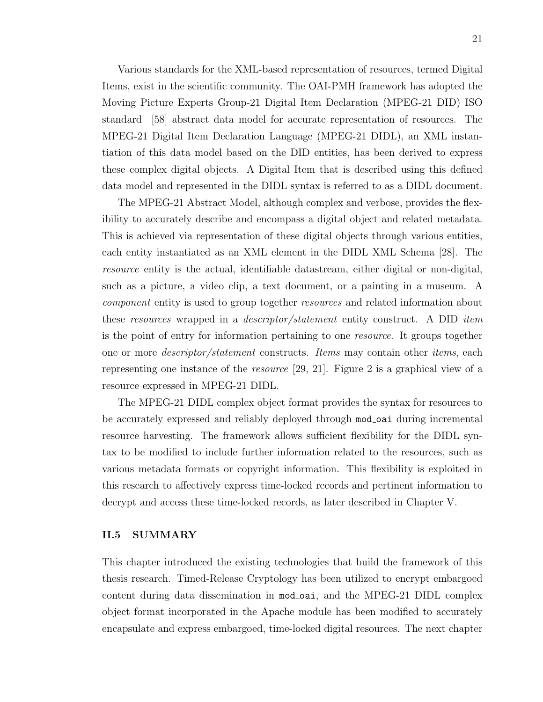Various standards for the XML-based representation of resources, termed Digital Items, exist in the scientific community. The OAI-PMH framework has adopted the Moving Picture Experts Group-21 Digital Item Declaration (MPEG-21 DID) ISO standard [58] abstract data model for accurate representation of resources. The MPEG-21 Digital Item Declaration Language (MPEG-21 DIDL), an XML instantiation of this data model based on the DID entities, has been derived to express these complex digital objects. A Digital Item that is described using this defined data model and represented in the DIDL syntax is referred to as a DIDL document.

The MPEG-21 Abstract Model, although complex and verbose, provides the flexibility to accurately describe and encompass a digital object and related metadata. This is achieved via representation of these digital objects through various entities, each entity instantiated as an XML element in the DIDL XML Schema [28]. The resource entity is the actual, identifiable datastream, either digital or non-digital, such as a picture, a video clip, a text document, or a painting in a museum. A component entity is used to group together resources and related information about these resources wrapped in a descriptor/statement entity construct. A DID item is the point of entry for information pertaining to one resource. It groups together one or more descriptor/statement constructs. Items may contain other items, each representing one instance of the resource [29, 21]. Figure 2 is a graphical view of a resource expressed in MPEG-21 DIDL.

The MPEG-21 DIDL complex object format provides the syntax for resources to be accurately expressed and reliably deployed through mod oai during incremental resource harvesting. The framework allows sufficient flexibility for the DIDL syntax to be modified to include further information related to the resources, such as various metadata formats or copyright information. This flexibility is exploited in this research to affectively express time-locked records and pertinent information to decrypt and access these time-locked records, as later described in Chapter V.

#### II.5 SUMMARY

This chapter introduced the existing technologies that build the framework of this thesis research. Timed-Release Cryptology has been utilized to encrypt embargoed content during data dissemination in mod oai, and the MPEG-21 DIDL complex object format incorporated in the Apache module has been modified to accurately encapsulate and express embargoed, time-locked digital resources. The next chapter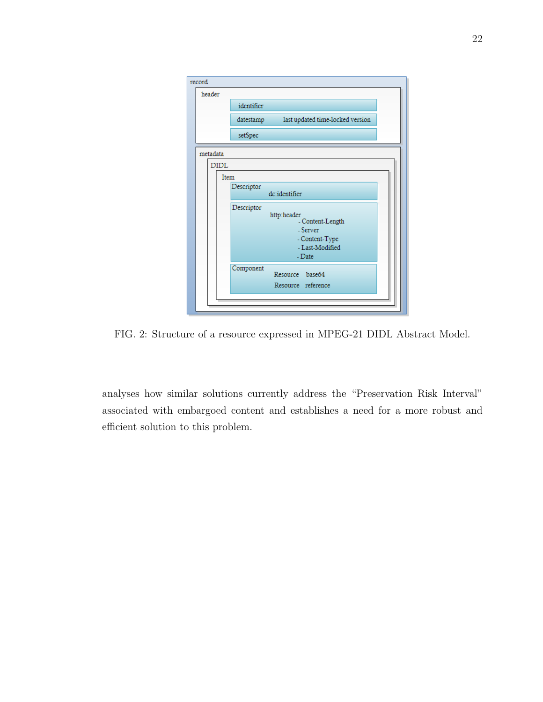| record |             |                                                                                                          |
|--------|-------------|----------------------------------------------------------------------------------------------------------|
|        | header      |                                                                                                          |
|        |             | identifier                                                                                               |
|        |             | last updated time-locked version<br>datestamp                                                            |
|        |             | setSpec                                                                                                  |
|        | metadata    |                                                                                                          |
|        | <b>DIDL</b> |                                                                                                          |
|        | Item        |                                                                                                          |
|        |             | Descriptor<br>dc:identifier                                                                              |
|        |             | Descriptor<br>http:header<br>- Content-Length<br>- Server<br>- Content-Type<br>- Last-Modified<br>- Date |
|        |             | Component<br>Resource base64<br>Resource reference                                                       |
|        |             |                                                                                                          |

FIG. 2: Structure of a resource expressed in MPEG-21 DIDL Abstract Model.

analyses how similar solutions currently address the "Preservation Risk Interval" associated with embargoed content and establishes a need for a more robust and efficient solution to this problem.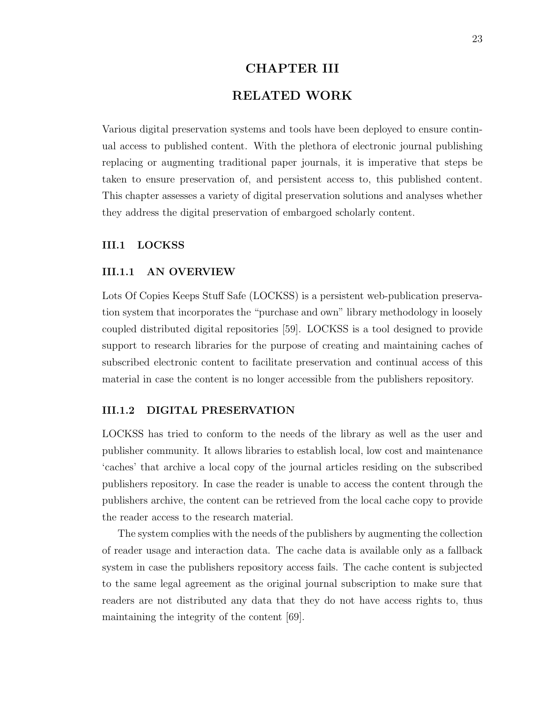# CHAPTER III RELATED WORK

Various digital preservation systems and tools have been deployed to ensure continual access to published content. With the plethora of electronic journal publishing replacing or augmenting traditional paper journals, it is imperative that steps be taken to ensure preservation of, and persistent access to, this published content. This chapter assesses a variety of digital preservation solutions and analyses whether they address the digital preservation of embargoed scholarly content.

#### III.1 LOCKSS

#### III.1.1 AN OVERVIEW

Lots Of Copies Keeps Stuff Safe (LOCKSS) is a persistent web-publication preservation system that incorporates the "purchase and own" library methodology in loosely coupled distributed digital repositories [59]. LOCKSS is a tool designed to provide support to research libraries for the purpose of creating and maintaining caches of subscribed electronic content to facilitate preservation and continual access of this material in case the content is no longer accessible from the publishers repository.

#### III.1.2 DIGITAL PRESERVATION

LOCKSS has tried to conform to the needs of the library as well as the user and publisher community. It allows libraries to establish local, low cost and maintenance 'caches' that archive a local copy of the journal articles residing on the subscribed publishers repository. In case the reader is unable to access the content through the publishers archive, the content can be retrieved from the local cache copy to provide the reader access to the research material.

The system complies with the needs of the publishers by augmenting the collection of reader usage and interaction data. The cache data is available only as a fallback system in case the publishers repository access fails. The cache content is subjected to the same legal agreement as the original journal subscription to make sure that readers are not distributed any data that they do not have access rights to, thus maintaining the integrity of the content [69].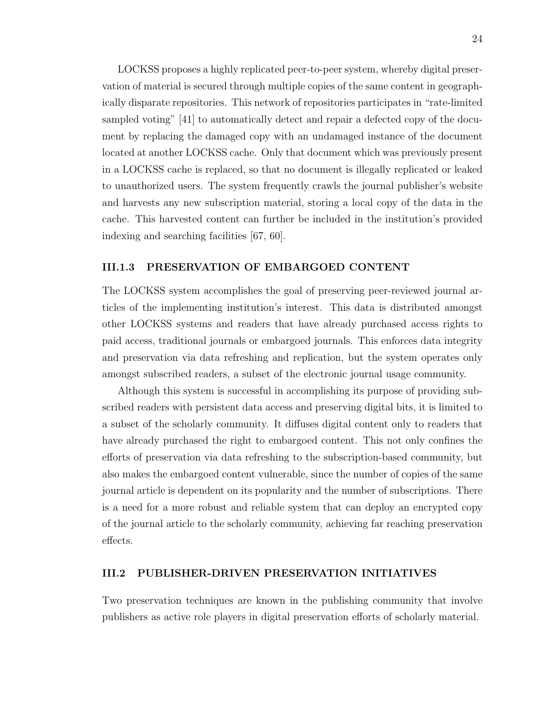LOCKSS proposes a highly replicated peer-to-peer system, whereby digital preservation of material is secured through multiple copies of the same content in geographically disparate repositories. This network of repositories participates in "rate-limited sampled voting" [41] to automatically detect and repair a defected copy of the document by replacing the damaged copy with an undamaged instance of the document located at another LOCKSS cache. Only that document which was previously present in a LOCKSS cache is replaced, so that no document is illegally replicated or leaked to unauthorized users. The system frequently crawls the journal publisher's website and harvests any new subscription material, storing a local copy of the data in the cache. This harvested content can further be included in the institution's provided indexing and searching facilities [67, 60].

#### III.1.3 PRESERVATION OF EMBARGOED CONTENT

The LOCKSS system accomplishes the goal of preserving peer-reviewed journal articles of the implementing institution's interest. This data is distributed amongst other LOCKSS systems and readers that have already purchased access rights to paid access, traditional journals or embargoed journals. This enforces data integrity and preservation via data refreshing and replication, but the system operates only amongst subscribed readers, a subset of the electronic journal usage community.

Although this system is successful in accomplishing its purpose of providing subscribed readers with persistent data access and preserving digital bits, it is limited to a subset of the scholarly community. It diffuses digital content only to readers that have already purchased the right to embargoed content. This not only confines the efforts of preservation via data refreshing to the subscription-based community, but also makes the embargoed content vulnerable, since the number of copies of the same journal article is dependent on its popularity and the number of subscriptions. There is a need for a more robust and reliable system that can deploy an encrypted copy of the journal article to the scholarly community, achieving far reaching preservation effects.

#### III.2 PUBLISHER-DRIVEN PRESERVATION INITIATIVES

Two preservation techniques are known in the publishing community that involve publishers as active role players in digital preservation efforts of scholarly material.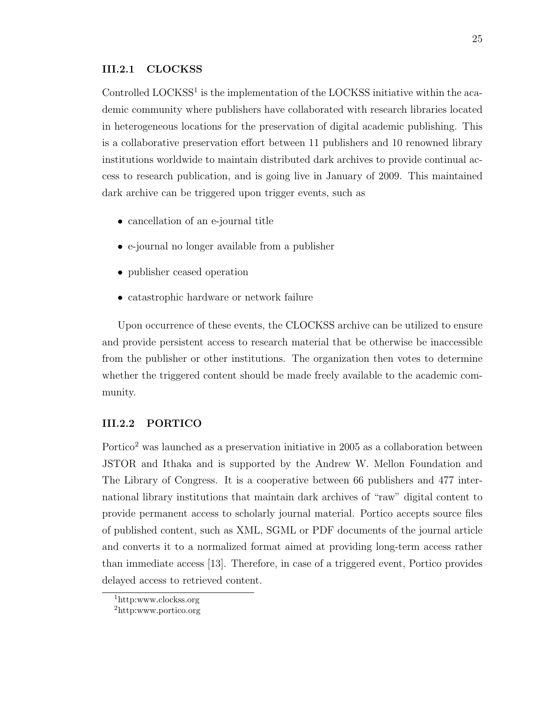#### III.2.1 CLOCKSS

Controlled LOCKSS<sup>1</sup> is the implementation of the LOCKSS initiative within the academic community where publishers have collaborated with research libraries located in heterogeneous locations for the preservation of digital academic publishing. This is a collaborative preservation effort between 11 publishers and 10 renowned library institutions worldwide to maintain distributed dark archives to provide continual access to research publication, and is going live in January of 2009. This maintained dark archive can be triggered upon trigger events, such as

- cancellation of an e-journal title
- e-journal no longer available from a publisher
- publisher ceased operation
- catastrophic hardware or network failure

Upon occurrence of these events, the CLOCKSS archive can be utilized to ensure and provide persistent access to research material that be otherwise be inaccessible from the publisher or other institutions. The organization then votes to determine whether the triggered content should be made freely available to the academic community.

#### III.2.2 PORTICO

Portico<sup>2</sup> was launched as a preservation initiative in 2005 as a collaboration between JSTOR and Ithaka and is supported by the Andrew W. Mellon Foundation and The Library of Congress. It is a cooperative between 66 publishers and 477 international library institutions that maintain dark archives of "raw" digital content to provide permanent access to scholarly journal material. Portico accepts source files of published content, such as XML, SGML or PDF documents of the journal article and converts it to a normalized format aimed at providing long-term access rather than immediate access [13]. Therefore, in case of a triggered event, Portico provides delayed access to retrieved content.

<sup>1</sup>http:www.clockss.org

<sup>2</sup>http:www.portico.org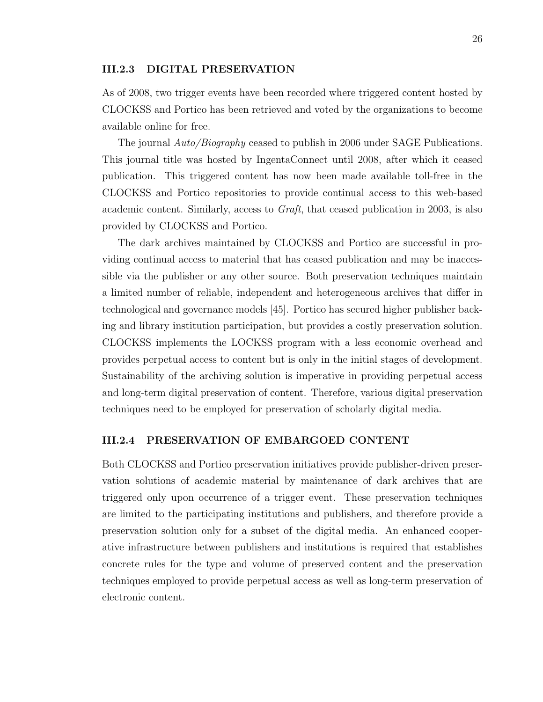#### III.2.3 DIGITAL PRESERVATION

As of 2008, two trigger events have been recorded where triggered content hosted by CLOCKSS and Portico has been retrieved and voted by the organizations to become available online for free.

The journal  $Auto/Biography$  ceased to publish in 2006 under SAGE Publications. This journal title was hosted by IngentaConnect until 2008, after which it ceased publication. This triggered content has now been made available toll-free in the CLOCKSS and Portico repositories to provide continual access to this web-based academic content. Similarly, access to Graft, that ceased publication in 2003, is also provided by CLOCKSS and Portico.

The dark archives maintained by CLOCKSS and Portico are successful in providing continual access to material that has ceased publication and may be inaccessible via the publisher or any other source. Both preservation techniques maintain a limited number of reliable, independent and heterogeneous archives that differ in technological and governance models [45]. Portico has secured higher publisher backing and library institution participation, but provides a costly preservation solution. CLOCKSS implements the LOCKSS program with a less economic overhead and provides perpetual access to content but is only in the initial stages of development. Sustainability of the archiving solution is imperative in providing perpetual access and long-term digital preservation of content. Therefore, various digital preservation techniques need to be employed for preservation of scholarly digital media.

#### III.2.4 PRESERVATION OF EMBARGOED CONTENT

Both CLOCKSS and Portico preservation initiatives provide publisher-driven preservation solutions of academic material by maintenance of dark archives that are triggered only upon occurrence of a trigger event. These preservation techniques are limited to the participating institutions and publishers, and therefore provide a preservation solution only for a subset of the digital media. An enhanced cooperative infrastructure between publishers and institutions is required that establishes concrete rules for the type and volume of preserved content and the preservation techniques employed to provide perpetual access as well as long-term preservation of electronic content.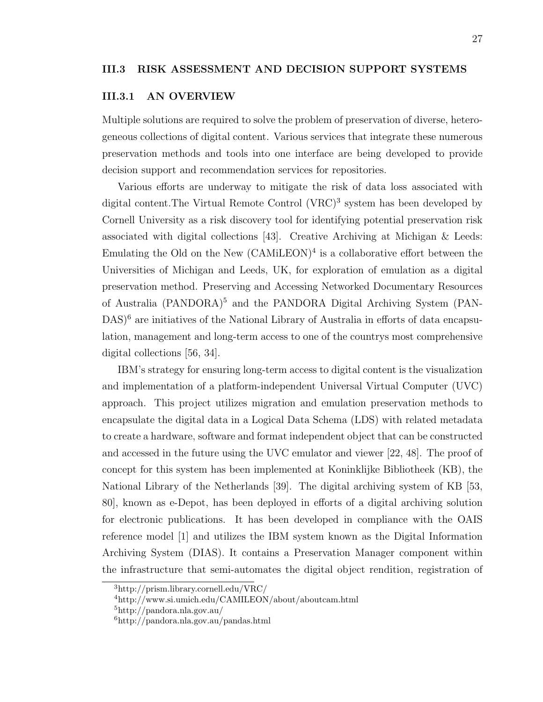#### III.3.1 AN OVERVIEW

Multiple solutions are required to solve the problem of preservation of diverse, heterogeneous collections of digital content. Various services that integrate these numerous preservation methods and tools into one interface are being developed to provide decision support and recommendation services for repositories.

Various efforts are underway to mitigate the risk of data loss associated with digital content. The Virtual Remote Control (VRC)<sup>3</sup> system has been developed by Cornell University as a risk discovery tool for identifying potential preservation risk associated with digital collections [43]. Creative Archiving at Michigan & Leeds: Emulating the Old on the New  $(CAMiLEON)^4$  is a collaborative effort between the Universities of Michigan and Leeds, UK, for exploration of emulation as a digital preservation method. Preserving and Accessing Networked Documentary Resources of Australia (PANDORA)<sup>5</sup> and the PANDORA Digital Archiving System (PAN-DAS)<sup>6</sup> are initiatives of the National Library of Australia in efforts of data encapsulation, management and long-term access to one of the countrys most comprehensive digital collections [56, 34].

IBM's strategy for ensuring long-term access to digital content is the visualization and implementation of a platform-independent Universal Virtual Computer (UVC) approach. This project utilizes migration and emulation preservation methods to encapsulate the digital data in a Logical Data Schema (LDS) with related metadata to create a hardware, software and format independent object that can be constructed and accessed in the future using the UVC emulator and viewer [22, 48]. The proof of concept for this system has been implemented at Koninklijke Bibliotheek (KB), the National Library of the Netherlands [39]. The digital archiving system of KB [53, 80], known as e-Depot, has been deployed in efforts of a digital archiving solution for electronic publications. It has been developed in compliance with the OAIS reference model [1] and utilizes the IBM system known as the Digital Information Archiving System (DIAS). It contains a Preservation Manager component within the infrastructure that semi-automates the digital object rendition, registration of

<sup>3</sup>http://prism.library.cornell.edu/VRC/

<sup>4</sup>http://www.si.umich.edu/CAMILEON/about/aboutcam.html

<sup>5</sup>http://pandora.nla.gov.au/

<sup>6</sup>http://pandora.nla.gov.au/pandas.html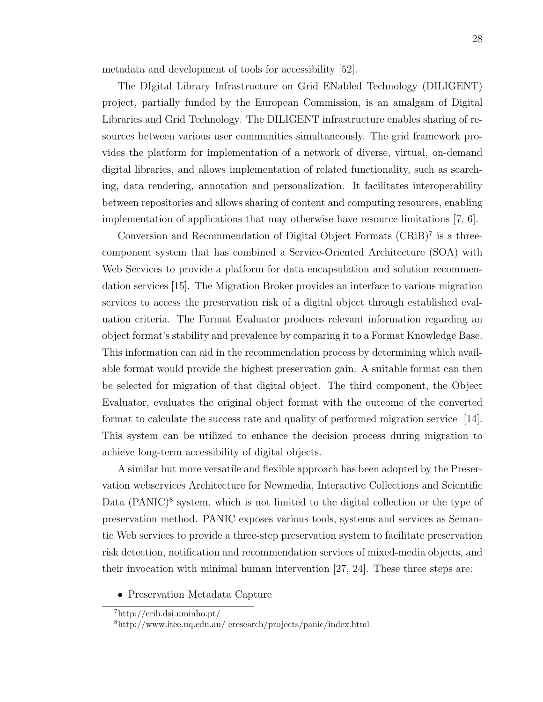metadata and development of tools for accessibility [52].

The DIgital Library Infrastructure on Grid ENabled Technology (DILIGENT) project, partially funded by the European Commission, is an amalgam of Digital Libraries and Grid Technology. The DILIGENT infrastructure enables sharing of resources between various user communities simultaneously. The grid framework provides the platform for implementation of a network of diverse, virtual, on-demand digital libraries, and allows implementation of related functionality, such as searching, data rendering, annotation and personalization. It facilitates interoperability between repositories and allows sharing of content and computing resources, enabling implementation of applications that may otherwise have resource limitations [7, 6].

Conversion and Recommendation of Digital Object Formats  $(CRiB)^7$  is a threecomponent system that has combined a Service-Oriented Architecture (SOA) with Web Services to provide a platform for data encapsulation and solution recommendation services [15]. The Migration Broker provides an interface to various migration services to access the preservation risk of a digital object through established evaluation criteria. The Format Evaluator produces relevant information regarding an object format's stability and prevalence by comparing it to a Format Knowledge Base. This information can aid in the recommendation process by determining which available format would provide the highest preservation gain. A suitable format can then be selected for migration of that digital object. The third component, the Object Evaluator, evaluates the original object format with the outcome of the converted format to calculate the success rate and quality of performed migration service [14]. This system can be utilized to enhance the decision process during migration to achieve long-term accessibility of digital objects.

A similar but more versatile and flexible approach has been adopted by the Preservation webservices Architecture for Newmedia, Interactive Collections and Scientific Data (PANIC)<sup>8</sup> system, which is not limited to the digital collection or the type of preservation method. PANIC exposes various tools, systems and services as Semantic Web services to provide a three-step preservation system to facilitate preservation risk detection, notification and recommendation services of mixed-media objects, and their invocation with minimal human intervention [27, 24]. These three steps are:

• Preservation Metadata Capture

<sup>7</sup>http://crib.dsi.uminho.pt/

<sup>8</sup>http://www.itee.uq.edu.au/ eresearch/projects/panic/index.html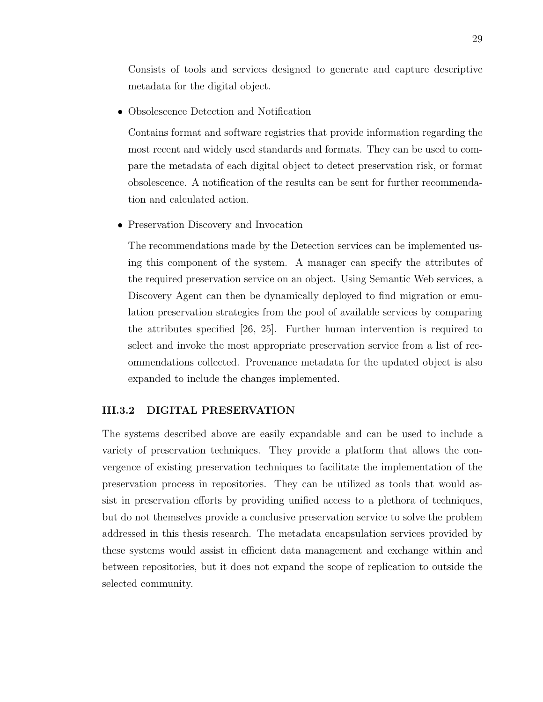Consists of tools and services designed to generate and capture descriptive metadata for the digital object.

• Obsolescence Detection and Notification

Contains format and software registries that provide information regarding the most recent and widely used standards and formats. They can be used to compare the metadata of each digital object to detect preservation risk, or format obsolescence. A notification of the results can be sent for further recommendation and calculated action.

• Preservation Discovery and Invocation

The recommendations made by the Detection services can be implemented using this component of the system. A manager can specify the attributes of the required preservation service on an object. Using Semantic Web services, a Discovery Agent can then be dynamically deployed to find migration or emulation preservation strategies from the pool of available services by comparing the attributes specified [26, 25]. Further human intervention is required to select and invoke the most appropriate preservation service from a list of recommendations collected. Provenance metadata for the updated object is also expanded to include the changes implemented.

#### III.3.2 DIGITAL PRESERVATION

The systems described above are easily expandable and can be used to include a variety of preservation techniques. They provide a platform that allows the convergence of existing preservation techniques to facilitate the implementation of the preservation process in repositories. They can be utilized as tools that would assist in preservation efforts by providing unified access to a plethora of techniques, but do not themselves provide a conclusive preservation service to solve the problem addressed in this thesis research. The metadata encapsulation services provided by these systems would assist in efficient data management and exchange within and between repositories, but it does not expand the scope of replication to outside the selected community.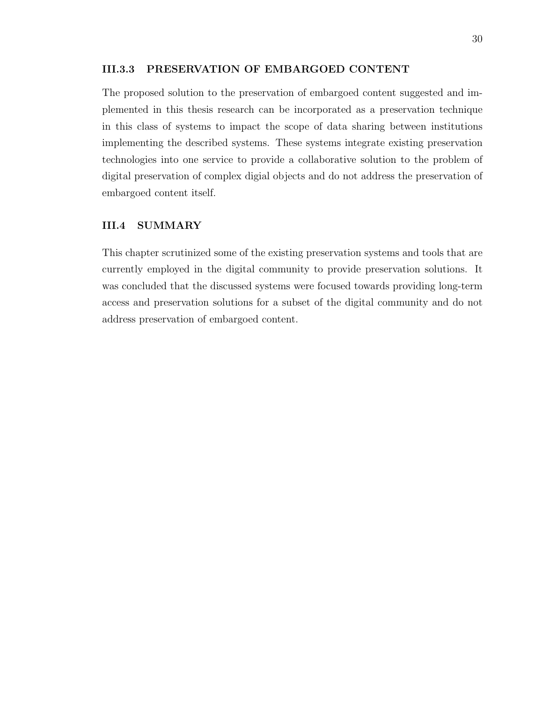## III.3.3 PRESERVATION OF EMBARGOED CONTENT

The proposed solution to the preservation of embargoed content suggested and implemented in this thesis research can be incorporated as a preservation technique in this class of systems to impact the scope of data sharing between institutions implementing the described systems. These systems integrate existing preservation technologies into one service to provide a collaborative solution to the problem of digital preservation of complex digial objects and do not address the preservation of embargoed content itself.

## III.4 SUMMARY

This chapter scrutinized some of the existing preservation systems and tools that are currently employed in the digital community to provide preservation solutions. It was concluded that the discussed systems were focused towards providing long-term access and preservation solutions for a subset of the digital community and do not address preservation of embargoed content.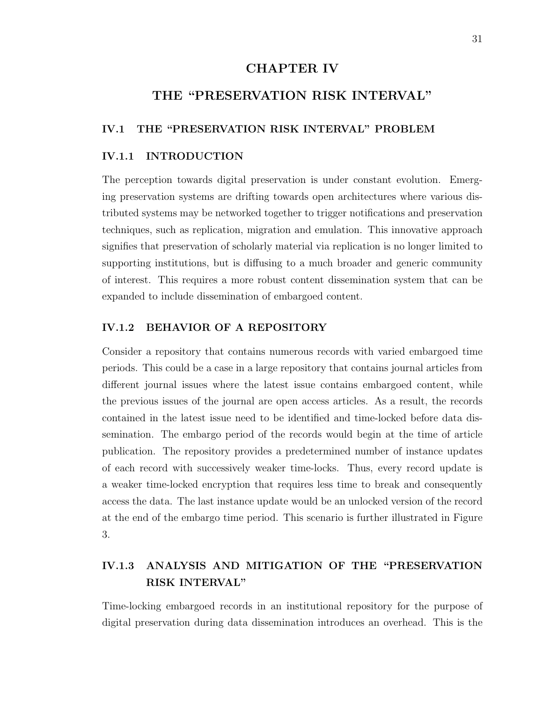# CHAPTER IV

# THE "PRESERVATION RISK INTERVAL"

# IV.1 THE "PRESERVATION RISK INTERVAL" PROBLEM

## IV.1.1 INTRODUCTION

The perception towards digital preservation is under constant evolution. Emerging preservation systems are drifting towards open architectures where various distributed systems may be networked together to trigger notifications and preservation techniques, such as replication, migration and emulation. This innovative approach signifies that preservation of scholarly material via replication is no longer limited to supporting institutions, but is diffusing to a much broader and generic community of interest. This requires a more robust content dissemination system that can be expanded to include dissemination of embargoed content.

# IV.1.2 BEHAVIOR OF A REPOSITORY

Consider a repository that contains numerous records with varied embargoed time periods. This could be a case in a large repository that contains journal articles from different journal issues where the latest issue contains embargoed content, while the previous issues of the journal are open access articles. As a result, the records contained in the latest issue need to be identified and time-locked before data dissemination. The embargo period of the records would begin at the time of article publication. The repository provides a predetermined number of instance updates of each record with successively weaker time-locks. Thus, every record update is a weaker time-locked encryption that requires less time to break and consequently access the data. The last instance update would be an unlocked version of the record at the end of the embargo time period. This scenario is further illustrated in Figure 3.

# IV.1.3 ANALYSIS AND MITIGATION OF THE "PRESERVATION RISK INTERVAL"

Time-locking embargoed records in an institutional repository for the purpose of digital preservation during data dissemination introduces an overhead. This is the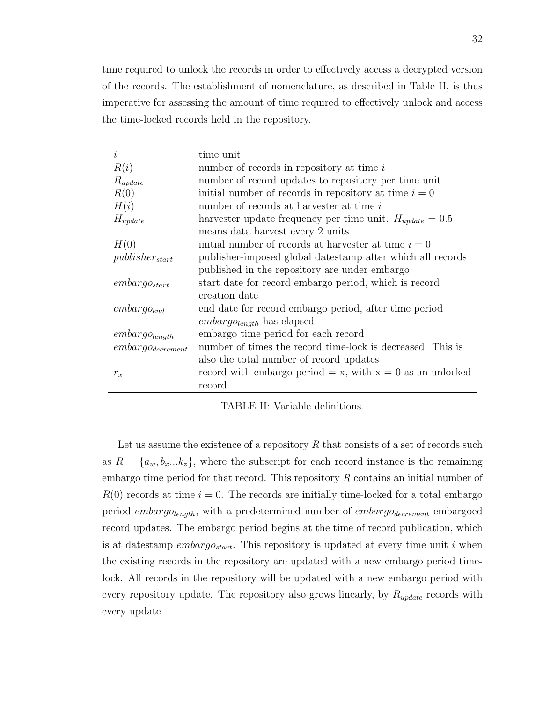time required to unlock the records in order to effectively access a decrypted version of the records. The establishment of nomenclature, as described in Table II, is thus imperative for assessing the amount of time required to effectively unlock and access the time-locked records held in the repository.

| i                     | time unit                                                    |
|-----------------------|--------------------------------------------------------------|
|                       |                                                              |
| R(i)                  | number of records in repository at time $i$                  |
| $R_{update}$          | number of record updates to repository per time unit         |
| R(0)                  | initial number of records in repository at time $i = 0$      |
| H(i)                  | number of records at harvester at time i                     |
| $H_{update}$          | harvester update frequency per time unit. $H_{update} = 0.5$ |
|                       | means data harvest every 2 units                             |
| H(0)                  | initial number of records at harvester at time $i=0$         |
| $pubits her_{start}$  | publisher-imposed global datestamp after which all records   |
|                       | published in the repository are under embargo                |
| $embargo_{start}$     | start date for record embargo period, which is record        |
|                       | creation date                                                |
| $embargo_{end}$       | end date for record embargo period, after time period        |
|                       | $embargo_{length}$ has elapsed                               |
| $embargo_{length}$    | embargo time period for each record                          |
| $embargo_{decrement}$ | number of times the record time-lock is decreased. This is   |
|                       | also the total number of record updates                      |
| $r_x$                 | record with embargo period = x, with $x = 0$ as an unlocked  |
|                       | record                                                       |

TABLE II: Variable definitions.

Let us assume the existence of a repository  $R$  that consists of a set of records such as  $R = \{a_w, b_x...k_z\}$ , where the subscript for each record instance is the remaining embargo time period for that record. This repository R contains an initial number of  $R(0)$  records at time  $i = 0$ . The records are initially time-locked for a total embargo period  $embargo_{length}$ , with a predetermined number of  $embargo_{decrement}$  embargoed record updates. The embargo period begins at the time of record publication, which is at datestamp *embargo<sub>start</sub>*. This repository is updated at every time unit i when the existing records in the repository are updated with a new embargo period timelock. All records in the repository will be updated with a new embargo period with every repository update. The repository also grows linearly, by  $R_{update}$  records with every update.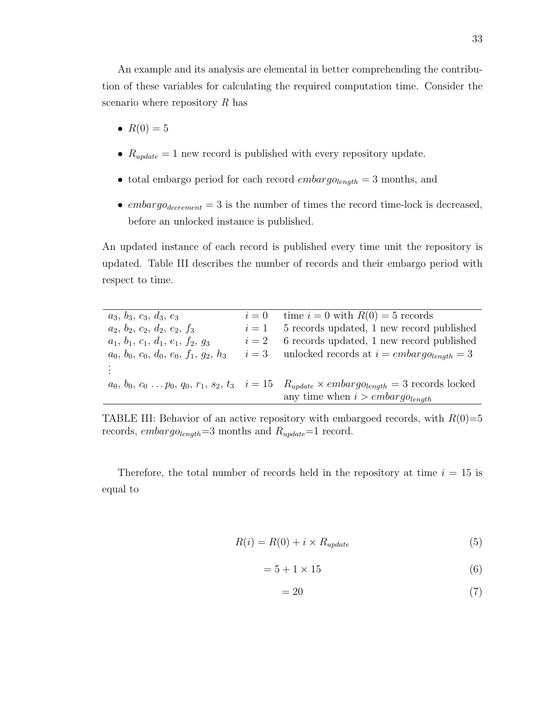An example and its analysis are elemental in better comprehending the contribution of these variables for calculating the required computation time. Consider the scenario where repository  $R$  has

- $R(0) = 5$
- $R_{update} = 1$  new record is published with every repository update.
- total embargo period for each record  $embargo_{length} = 3$  months, and
- $embargo_{decrement} = 3$  is the number of times the record time-lock is decreased, before an unlocked instance is published.

An updated instance of each record is published every time unit the repository is updated. Table III describes the number of records and their embargo period with respect to time.

| $a_3, b_3, c_3, d_3, e_3$                | $i=0$ | time $i = 0$ with $R(0) = 5$ records                                                                            |
|------------------------------------------|-------|-----------------------------------------------------------------------------------------------------------------|
| $a_2, b_2, c_2, d_2, e_2, f_3$           | $i=1$ | 5 records updated, 1 new record published                                                                       |
| $a_1, b_1, c_1, d_1, e_1, f_2, g_3$      | $i=2$ | 6 records updated, 1 new record published                                                                       |
| $a_0, b_0, c_0, d_0, e_0, f_1, g_2, h_3$ |       | $i=3$ unlocked records at $i = embargo_{lendh} = 3$                                                             |
|                                          |       |                                                                                                                 |
|                                          |       | $a_0, b_0, c_0 \ldots p_0, q_0, r_1, s_2, t_3$ $i = 15$ $R_{update} \times embargo_{length} = 3$ records locked |
|                                          |       | any time when $i$ > embargo <sub>length</sub>                                                                   |

TABLE III: Behavior of an active repository with embargoed records, with  $R(0)=5$ records,  $embargo_{length}=3$  months and  $R_{update}=1$  record.

Therefore, the total number of records held in the repository at time  $i = 15$  is equal to

$$
R(i) = R(0) + i \times R_{update}
$$
\n<sup>(5)</sup>

$$
=5+1\times15
$$
 (6)

$$
=20\tag{7}
$$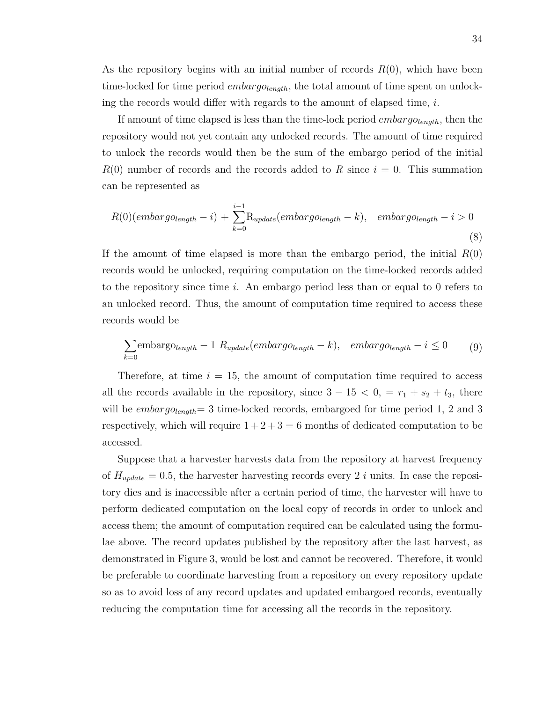As the repository begins with an initial number of records  $R(0)$ , which have been time-locked for time period *embargo* $_{length}$ , the total amount of time spent on unlocking the records would differ with regards to the amount of elapsed time, i.

If amount of time elapsed is less than the time-lock period *embargo* $_{length}$ , then the repository would not yet contain any unlocked records. The amount of time required to unlock the records would then be the sum of the embargo period of the initial  $R(0)$  number of records and the records added to R since  $i = 0$ . This summation can be represented as

$$
R(0)(embarg_{\text{O}length} - i) + \sum_{k=0}^{i-1} R_{\text{update}}(embarg_{\text{O}length} - k), \quad embarg_{\text{O}length} - i > 0 \tag{8}
$$

If the amount of time elapsed is more than the embargo period, the initial  $R(0)$ records would be unlocked, requiring computation on the time-locked records added to the repository since time  $i$ . An embargo period less than or equal to  $0$  refers to an unlocked record. Thus, the amount of computation time required to access these records would be

$$
\sum_{k=0} \text{embarg}_{\text{O}(\text{length})} - 1 R_{\text{update}}(\text{embarg}_{\text{O}(\text{length})} - k), \quad \text{embarg}_{\text{O}(\text{length})} - i \le 0 \tag{9}
$$

Therefore, at time  $i = 15$ , the amount of computation time required to access all the records available in the repository, since  $3 - 15 < 0$ , =  $r_1 + s_2 + t_3$ , there will be  $embargo_{length}$  = 3 time-locked records, embargoed for time period 1, 2 and 3 respectively, which will require  $1 + 2 + 3 = 6$  months of dedicated computation to be accessed.

Suppose that a harvester harvests data from the repository at harvest frequency of  $H_{update} = 0.5$ , the harvester harvesting records every 2 i units. In case the repository dies and is inaccessible after a certain period of time, the harvester will have to perform dedicated computation on the local copy of records in order to unlock and access them; the amount of computation required can be calculated using the formulae above. The record updates published by the repository after the last harvest, as demonstrated in Figure 3, would be lost and cannot be recovered. Therefore, it would be preferable to coordinate harvesting from a repository on every repository update so as to avoid loss of any record updates and updated embargoed records, eventually reducing the computation time for accessing all the records in the repository.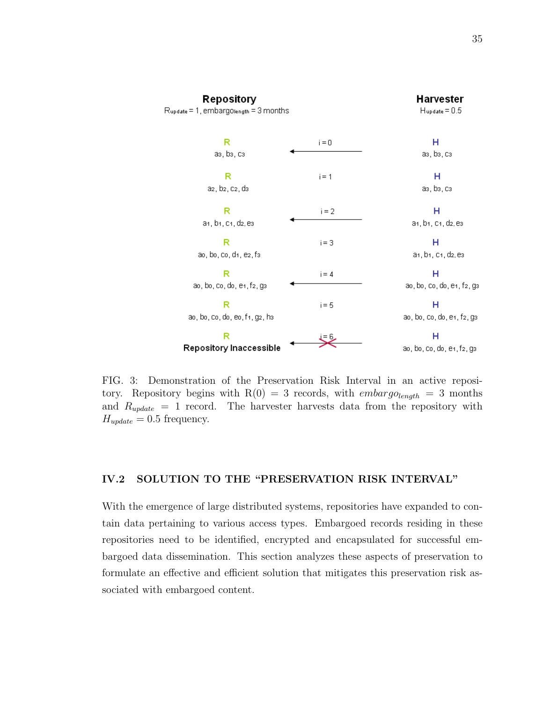

FIG. 3: Demonstration of the Preservation Risk Interval in an active repository. Repository begins with  $R(0) = 3$  records, with *embargo*<sub>length</sub> = 3 months and  $R_{update} = 1$  record. The harvester harvests data from the repository with  $H_{update} = 0.5$  frequency.

# IV.2 SOLUTION TO THE "PRESERVATION RISK INTERVAL"

With the emergence of large distributed systems, repositories have expanded to contain data pertaining to various access types. Embargoed records residing in these repositories need to be identified, encrypted and encapsulated for successful embargoed data dissemination. This section analyzes these aspects of preservation to formulate an effective and efficient solution that mitigates this preservation risk associated with embargoed content.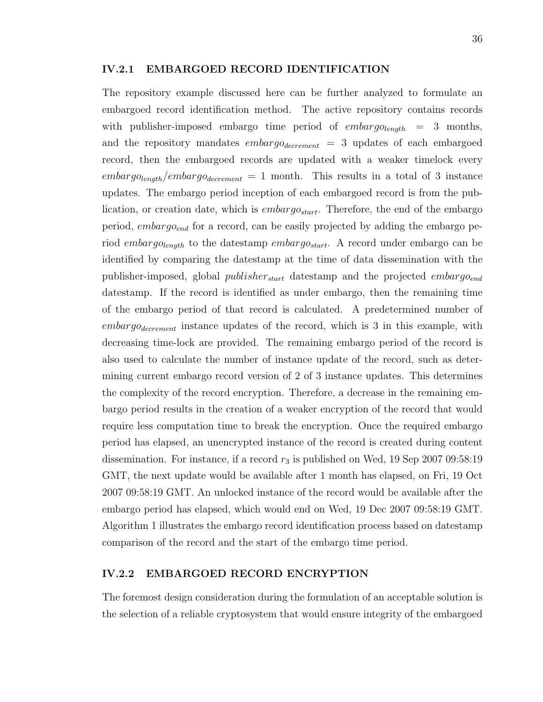#### IV.2.1 EMBARGOED RECORD IDENTIFICATION

The repository example discussed here can be further analyzed to formulate an embargoed record identification method. The active repository contains records with publisher-imposed embargo time period of  $embargo_{lendh}$  = 3 months, and the repository mandates  $embargo_{decrement} = 3$  updates of each embargoed record, then the embargoed records are updated with a weaker timelock every  $embargo_{length}/embargo_{decrement} = 1$  month. This results in a total of 3 instance updates. The embargo period inception of each embargoed record is from the publication, or creation date, which is  $embarg\theta_{start}$ . Therefore, the end of the embargo period,  $embargo_{end}$  for a record, can be easily projected by adding the embargo period embargolength to the datestamp embargostart. A record under embargo can be identified by comparing the datestamp at the time of data dissemination with the publisher-imposed, global *publisher*<sub>start</sub> datestamp and the projected *embargo*<sub>end</sub> datestamp. If the record is identified as under embargo, then the remaining time of the embargo period of that record is calculated. A predetermined number of  $embargo_{decrement}$  instance updates of the record, which is 3 in this example, with decreasing time-lock are provided. The remaining embargo period of the record is also used to calculate the number of instance update of the record, such as determining current embargo record version of 2 of 3 instance updates. This determines the complexity of the record encryption. Therefore, a decrease in the remaining embargo period results in the creation of a weaker encryption of the record that would require less computation time to break the encryption. Once the required embargo period has elapsed, an unencrypted instance of the record is created during content dissemination. For instance, if a record  $r_3$  is published on Wed, 19 Sep 2007 09:58:19 GMT, the next update would be available after 1 month has elapsed, on Fri, 19 Oct 2007 09:58:19 GMT. An unlocked instance of the record would be available after the embargo period has elapsed, which would end on Wed, 19 Dec 2007 09:58:19 GMT. Algorithm 1 illustrates the embargo record identification process based on datestamp comparison of the record and the start of the embargo time period.

#### IV.2.2 EMBARGOED RECORD ENCRYPTION

The foremost design consideration during the formulation of an acceptable solution is the selection of a reliable cryptosystem that would ensure integrity of the embargoed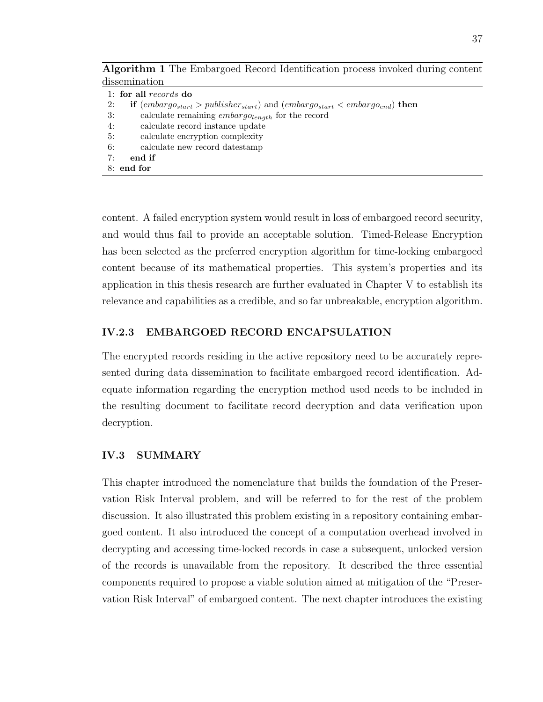Algorithm 1 The Embargoed Record Identification process invoked during content dissemination

content. A failed encryption system would result in loss of embargoed record security, and would thus fail to provide an acceptable solution. Timed-Release Encryption has been selected as the preferred encryption algorithm for time-locking embargoed content because of its mathematical properties. This system's properties and its application in this thesis research are further evaluated in Chapter V to establish its relevance and capabilities as a credible, and so far unbreakable, encryption algorithm.

# IV.2.3 EMBARGOED RECORD ENCAPSULATION

The encrypted records residing in the active repository need to be accurately represented during data dissemination to facilitate embargoed record identification. Adequate information regarding the encryption method used needs to be included in the resulting document to facilitate record decryption and data verification upon decryption.

# IV.3 SUMMARY

This chapter introduced the nomenclature that builds the foundation of the Preservation Risk Interval problem, and will be referred to for the rest of the problem discussion. It also illustrated this problem existing in a repository containing embargoed content. It also introduced the concept of a computation overhead involved in decrypting and accessing time-locked records in case a subsequent, unlocked version of the records is unavailable from the repository. It described the three essential components required to propose a viable solution aimed at mitigation of the "Preservation Risk Interval" of embargoed content. The next chapter introduces the existing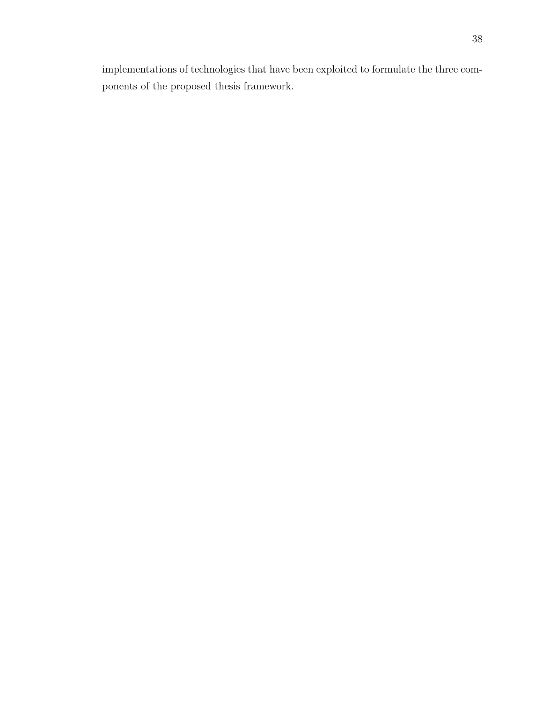implementations of technologies that have been exploited to formulate the three components of the proposed thesis framework.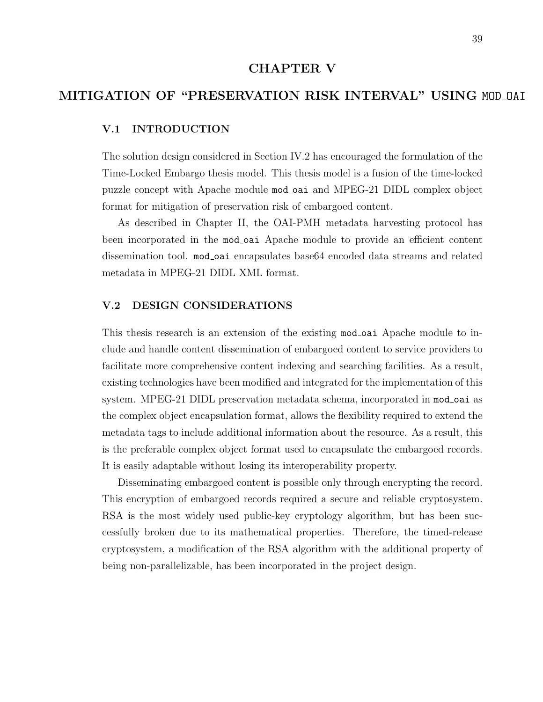# CHAPTER V

# MITIGATION OF "PRESERVATION RISK INTERVAL" USING MOD OAI

# V.1 INTRODUCTION

The solution design considered in Section IV.2 has encouraged the formulation of the Time-Locked Embargo thesis model. This thesis model is a fusion of the time-locked puzzle concept with Apache module mod oai and MPEG-21 DIDL complex object format for mitigation of preservation risk of embargoed content.

As described in Chapter II, the OAI-PMH metadata harvesting protocol has been incorporated in the mod<sub>oai</sub> Apache module to provide an efficient content dissemination tool. mod oai encapsulates base64 encoded data streams and related metadata in MPEG-21 DIDL XML format.

## V.2 DESIGN CONSIDERATIONS

This thesis research is an extension of the existing mod oai Apache module to include and handle content dissemination of embargoed content to service providers to facilitate more comprehensive content indexing and searching facilities. As a result, existing technologies have been modified and integrated for the implementation of this system. MPEG-21 DIDL preservation metadata schema, incorporated in mod<sub>oai</sub> as the complex object encapsulation format, allows the flexibility required to extend the metadata tags to include additional information about the resource. As a result, this is the preferable complex object format used to encapsulate the embargoed records. It is easily adaptable without losing its interoperability property.

Disseminating embargoed content is possible only through encrypting the record. This encryption of embargoed records required a secure and reliable cryptosystem. RSA is the most widely used public-key cryptology algorithm, but has been successfully broken due to its mathematical properties. Therefore, the timed-release cryptosystem, a modification of the RSA algorithm with the additional property of being non-parallelizable, has been incorporated in the project design.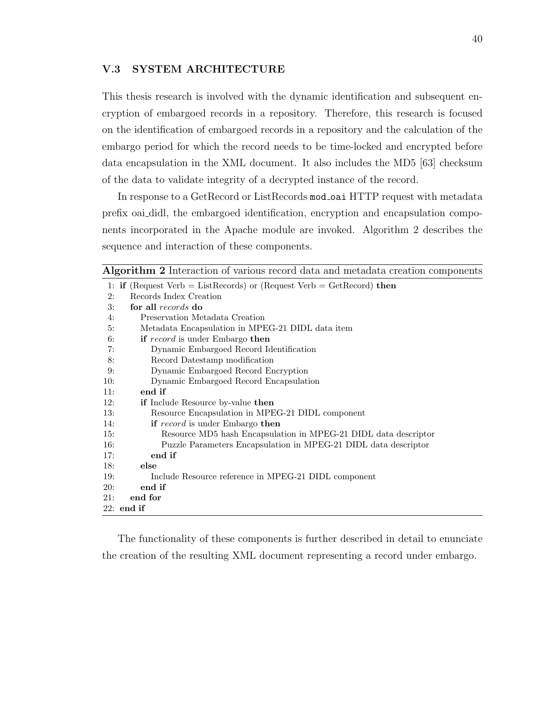#### V.3 SYSTEM ARCHITECTURE

This thesis research is involved with the dynamic identification and subsequent encryption of embargoed records in a repository. Therefore, this research is focused on the identification of embargoed records in a repository and the calculation of the embargo period for which the record needs to be time-locked and encrypted before data encapsulation in the XML document. It also includes the MD5 [63] checksum of the data to validate integrity of a decrypted instance of the record.

In response to a GetRecord or ListRecords mod oai HTTP request with metadata prefix oai didl, the embargoed identification, encryption and encapsulation components incorporated in the Apache module are invoked. Algorithm 2 describes the sequence and interaction of these components.

Algorithm 2 Interaction of various record data and metadata creation components

|                 | 1: if (Request Verb = ListRecords) or (Request Verb = GetRecord) then |
|-----------------|-----------------------------------------------------------------------|
| 2:              | Records Index Creation                                                |
| $\mathcal{R}$ : | for all records do                                                    |
| 4:              | Preservation Metadata Creation                                        |
| 5:              | Metadata Encapsulation in MPEG-21 DIDL data item                      |
| 6:              | if record is under Embargo then                                       |
| 7:              | Dynamic Embargoed Record Identification                               |
| 8:              | Record Datestamp modification                                         |
| 9:              | Dynamic Embargoed Record Encryption                                   |
| 10:             | Dynamic Embargoed Record Encapsulation                                |
| 11:             | end if                                                                |
| 12:             | <b>if</b> Include Resource by-value then                              |
| 13:             | Resource Encapsulation in MPEG-21 DIDL component                      |
| 14:             | if record is under Embargo then                                       |
| 15:             | Resource MD5 hash Encapsulation in MPEG-21 DIDL data descriptor       |
| 16:             | Puzzle Parameters Encapsulation in MPEG-21 DIDL data descriptor       |
| 17:             | end if                                                                |
| 18:             | else                                                                  |
| 19:             | Include Resource reference in MPEG-21 DIDL component                  |
| 20:             | end if                                                                |
| 21:             | end for                                                               |
|                 | $22:$ end if                                                          |
|                 |                                                                       |

The functionality of these components is further described in detail to enunciate the creation of the resulting XML document representing a record under embargo.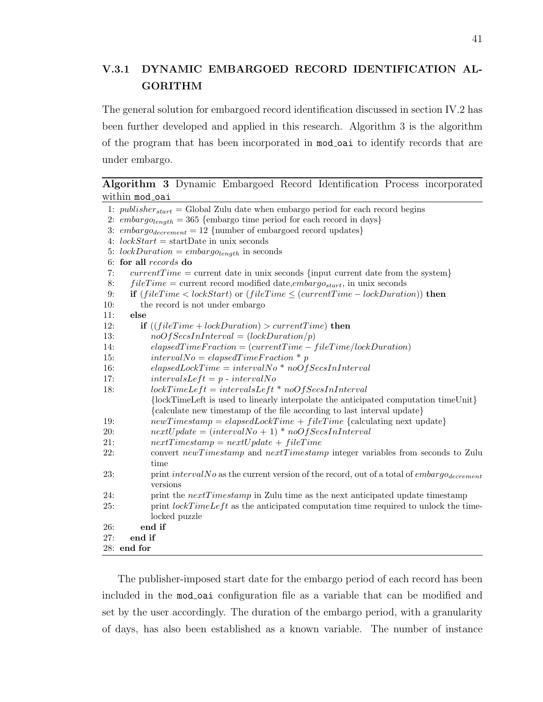# V.3.1 DYNAMIC EMBARGOED RECORD IDENTIFICATION AL-GORITHM

The general solution for embargoed record identification discussed in section IV.2 has been further developed and applied in this research. Algorithm 3 is the algorithm of the program that has been incorporated in mod oai to identify records that are under embargo.

Algorithm 3 Dynamic Embargoed Record Identification Process incorporated within mod\_oai

|            | 1: <i>publisher</i> <sub>start</sub> = Global Zulu date when embargo period for each record begins |  |  |
|------------|----------------------------------------------------------------------------------------------------|--|--|
|            | 2: embargo <sub>length</sub> = 365 {embargo time period for each record in days}                   |  |  |
|            | 3: embargo <sub>decrement</sub> = 12 {number of embargoed record updates}                          |  |  |
|            | 4: $lockStart = startDate$ in unix seconds                                                         |  |  |
|            | 5: lockDuration = $embargo_{length}$ in seconds                                                    |  |  |
|            | 6: for all records do                                                                              |  |  |
| 7:         | $currentTime = current$ date in unix seconds {input current date from the system}                  |  |  |
| 8:         | $fileTime = current record modified date, embargo_{start}$ , in unix seconds                       |  |  |
| 9:         | <b>if</b> $(fileTime < lockStart)$ or $(fileTime \leq (currentTime - lockDuration))$ then          |  |  |
| 10:        | the record is not under embargo                                                                    |  |  |
| 11:        | else                                                                                               |  |  |
| 12:        | <b>if</b> $((fileTime + lockDuration) > currentTime)$ then                                         |  |  |
| 13:        | $noOfSecsInInterval = (lockDuration/p)$                                                            |  |  |
| 14:        | $elapse dTime Fraction = (current Time - file Time / lockDuration)$                                |  |  |
| 15:        | $intervalNo = elapsedTimeFraction * p$                                                             |  |  |
| 16:        | $elapsedLockTime = intervalNo * noOfSecsInInterval$                                                |  |  |
| 17:        | $intervalsLeft = p - intervalNo$                                                                   |  |  |
| 18:        | $lockTimeLeft = intervalsLeft * noOfSecsInInterval$                                                |  |  |
|            | {lockTimeLeft is used to linearly interpolate the anticipated computation timeUnit}                |  |  |
|            | {calculate new timestamp of the file according to last interval update}                            |  |  |
| 19:        | $newTimestamp = elapsedLockTime + fileTime$ {calculating next update}                              |  |  |
| 20:        | $nextUpdate = (intervalNo + 1) * noOfSecsInInterval$                                               |  |  |
| 21:        | $nextTimestamp = nextUpdate + fileTime$                                                            |  |  |
| 22:        | convert newTimestamp and nextTimestamp integer variables from seconds to Zulu                      |  |  |
|            | time                                                                                               |  |  |
| 23:        | print interval No as the current version of the record, out of a total of embargodecrement         |  |  |
|            | versions                                                                                           |  |  |
| 24:        | print the $nextTimestamp$ in Zulu time as the next anticipated update timestamp                    |  |  |
| <b>25:</b> | print $lockTimeLeft$ as the anticipated computation time required to unlock the time-              |  |  |
|            | locked puzzle                                                                                      |  |  |
| 26:        | end if                                                                                             |  |  |
| 27:        | end if                                                                                             |  |  |
|            | $28:$ end for                                                                                      |  |  |

The publisher-imposed start date for the embargo period of each record has been included in the mod oai configuration file as a variable that can be modified and set by the user accordingly. The duration of the embargo period, with a granularity of days, has also been established as a known variable. The number of instance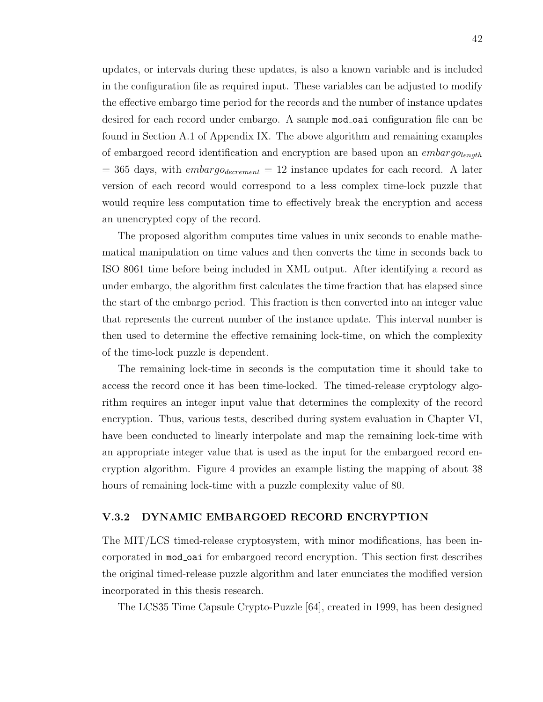updates, or intervals during these updates, is also a known variable and is included in the configuration file as required input. These variables can be adjusted to modify the effective embargo time period for the records and the number of instance updates desired for each record under embargo. A sample mod-oai configuration file can be found in Section A.1 of Appendix IX. The above algorithm and remaining examples of embargoed record identification and encryption are based upon an  $embargo_{length}$  $= 365$  days, with *embargo*<sub>decrement</sub>  $= 12$  instance updates for each record. A later version of each record would correspond to a less complex time-lock puzzle that would require less computation time to effectively break the encryption and access an unencrypted copy of the record.

The proposed algorithm computes time values in unix seconds to enable mathematical manipulation on time values and then converts the time in seconds back to ISO 8061 time before being included in XML output. After identifying a record as under embargo, the algorithm first calculates the time fraction that has elapsed since the start of the embargo period. This fraction is then converted into an integer value that represents the current number of the instance update. This interval number is then used to determine the effective remaining lock-time, on which the complexity of the time-lock puzzle is dependent.

The remaining lock-time in seconds is the computation time it should take to access the record once it has been time-locked. The timed-release cryptology algorithm requires an integer input value that determines the complexity of the record encryption. Thus, various tests, described during system evaluation in Chapter VI, have been conducted to linearly interpolate and map the remaining lock-time with an appropriate integer value that is used as the input for the embargoed record encryption algorithm. Figure 4 provides an example listing the mapping of about 38 hours of remaining lock-time with a puzzle complexity value of 80.

# V.3.2 DYNAMIC EMBARGOED RECORD ENCRYPTION

The MIT/LCS timed-release cryptosystem, with minor modifications, has been incorporated in mod oai for embargoed record encryption. This section first describes the original timed-release puzzle algorithm and later enunciates the modified version incorporated in this thesis research.

The LCS35 Time Capsule Crypto-Puzzle [64], created in 1999, has been designed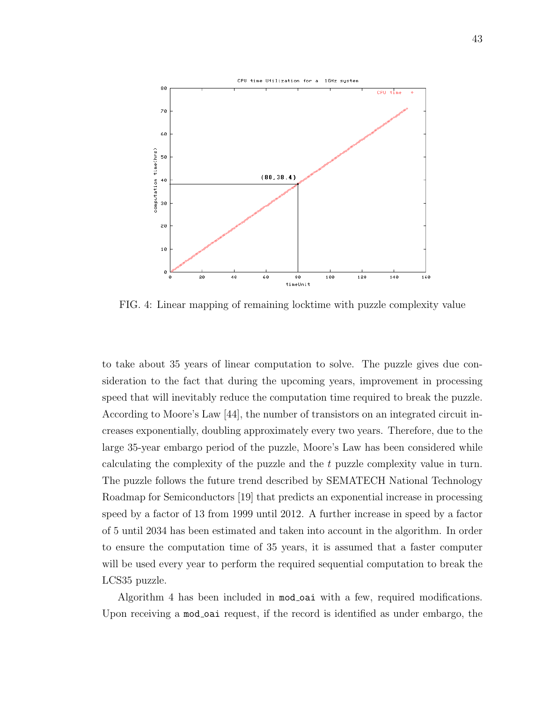

FIG. 4: Linear mapping of remaining locktime with puzzle complexity value

to take about 35 years of linear computation to solve. The puzzle gives due consideration to the fact that during the upcoming years, improvement in processing speed that will inevitably reduce the computation time required to break the puzzle. According to Moore's Law [44], the number of transistors on an integrated circuit increases exponentially, doubling approximately every two years. Therefore, due to the large 35-year embargo period of the puzzle, Moore's Law has been considered while calculating the complexity of the puzzle and the t puzzle complexity value in turn. The puzzle follows the future trend described by SEMATECH National Technology Roadmap for Semiconductors [19] that predicts an exponential increase in processing speed by a factor of 13 from 1999 until 2012. A further increase in speed by a factor of 5 until 2034 has been estimated and taken into account in the algorithm. In order to ensure the computation time of 35 years, it is assumed that a faster computer will be used every year to perform the required sequential computation to break the LCS35 puzzle.

Algorithm 4 has been included in mod oai with a few, required modifications. Upon receiving a mod-oai request, if the record is identified as under embargo, the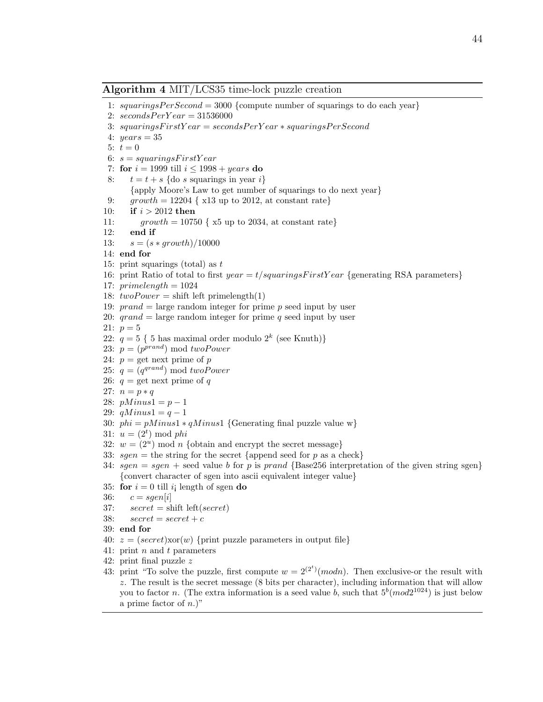#### Algorithm 4 MIT/LCS35 time-lock puzzle creation

```
1: squaringsPerSecond = 3000 {compute number of squarings to do each year}
2: secondsPerYear = 315360003: squaring sFirstYear = secondsPerYear * squaringsPerSecond4: years = 355: t = 06: s = squaringsFirstYear7: for i = 1999 till i \leq 1998 + years do
8: t = t + s {do s squarings in year i}
      {apply Moore's Law to get number of squarings to do next year}
9: growth = 12204 { x13 up to 2012, at constant rate}
10: if i > 2012 then
11: growth = 10750 { x5 up to 2034, at constant rate}
12: end if
13: s = (s * growth)/1000014: end for
15: print squarings (total) as t16: print Ratio of total to first year = t/squaringsFirstYear {generating RSA parameters}
17: primelength = 102418: twoPower = shift left prime length(1)19: prand = large random integer for prime p seed input by user20: qrand = large random integer for prime q seed input by user21: p = 522: q = 5 \{ 5 \text{ has maximal order modulo } 2^k \text{ (see Knuth)} \}23: p = (p^{prand}) \mod twoPower24: p = get next prime of p
25: q = (q^{grand}) \mod twoPower26: q = \text{get next prime of } q27: n = p * q28: pMinus1 = p - 129: qMinus1 = q - 130: phi = pMinus1 * qMinus1 {Generating final puzzle value w}
31: u = (2^t) \bmod phi32: w = (2^u) \mod n {obtain and encrypt the secret message}
33: sgen = the string for the secret {append seed for p as a check}
34: sgen = sgen + seed value b for p is prand {Base256 interpretation of the given string sgen}
    {convert character of sgen into ascii equivalent integer value}
35: for i = 0 till i length of sgen do
36: c = \text{sgen}[i]37: secret = shift left(secret)38: secret = secret + c39: end for
40: z = (secret)xor(w) {print puzzle parameters in output file}
41: print n and t parameters
42: print final puzzle z
43: print "To solve the puzzle, first compute w = 2^{(2^t)} \pmod{n}. Then exclusive-or the result with
    z. The result is the secret message (8 bits per character), including information that will allow
    you to factor n. (The extra information is a seed value b, such that 5^b (mod 2^{1024}) is just below
    a prime factor of n.)"
```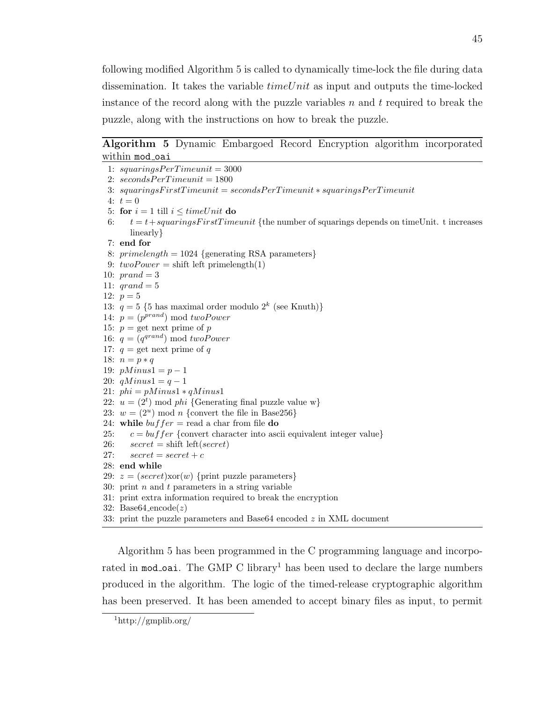following modified Algorithm 5 is called to dynamically time-lock the file during data dissemination. It takes the variable  $timeUnit$  as input and outputs the time-locked instance of the record along with the puzzle variables  $n$  and  $t$  required to break the puzzle, along with the instructions on how to break the puzzle.

# Algorithm 5 Dynamic Embargoed Record Encryption algorithm incorporated within mod\_oai

```
1: squaring SPer Time unit = 30002: secondsPerTimeunit = 18003: squaring sFirst Timeunit = secondsPer Timeunit * squaring sPer Timeunit4: t = 05: for i = 1 till i \leq timeUnit do
 6: t = t + squaringsFirstTimeunit {the number of squarings depends on timeUnit. t increases
      linearly}
7: end for
8: primelength = 1024 {generating RSA parameters}
9: twoPower = shift left prime length(1)10: prand = 311: qrand = 512: p = 513: q = 5 {5 has maximal order modulo 2^k (see Knuth)}
14: p = (p^{prand}) \mod twoPower15: p = \text{get next prime of } p16: q = (q^{grand}) \mod twoPower17: q = \text{get next prime of } q18: n = p * q19: pMinus1 = p - 120: qMinus1 = q - 121: phi = pMinus1 * qMinus122: u = (2<sup>t</sup>) \mod phi {Generating final puzzle value w}
23: w = (2^u) \mod n {convert the file in Base256}
24: while buffer = read a char from file do
25: c = buffer {convert character into ascii equivalent integer value}
26: secret = shift left(secret)27: secret = secret + c28: end while
29: z = (secret)xor(w) {print puzzle parameters}
30: print n and t parameters in a string variable
31: print extra information required to break the encryption
32: Base64 encode(z)33: print the puzzle parameters and Base64 encoded z in XML document
```
Algorithm 5 has been programmed in the C programming language and incorporated in mod oai. The GMP C library<sup>1</sup> has been used to declare the large numbers produced in the algorithm. The logic of the timed-release cryptographic algorithm has been preserved. It has been amended to accept binary files as input, to permit

<sup>1</sup>http://gmplib.org/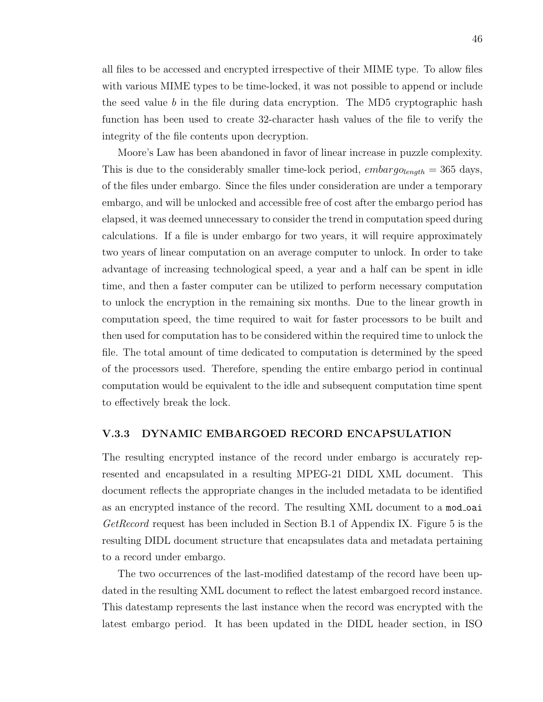all files to be accessed and encrypted irrespective of their MIME type. To allow files with various MIME types to be time-locked, it was not possible to append or include the seed value b in the file during data encryption. The MD5 cryptographic hash function has been used to create 32-character hash values of the file to verify the integrity of the file contents upon decryption.

Moore's Law has been abandoned in favor of linear increase in puzzle complexity. This is due to the considerably smaller time-lock period,  $embargo_{length} = 365$  days, of the files under embargo. Since the files under consideration are under a temporary embargo, and will be unlocked and accessible free of cost after the embargo period has elapsed, it was deemed unnecessary to consider the trend in computation speed during calculations. If a file is under embargo for two years, it will require approximately two years of linear computation on an average computer to unlock. In order to take advantage of increasing technological speed, a year and a half can be spent in idle time, and then a faster computer can be utilized to perform necessary computation to unlock the encryption in the remaining six months. Due to the linear growth in computation speed, the time required to wait for faster processors to be built and then used for computation has to be considered within the required time to unlock the file. The total amount of time dedicated to computation is determined by the speed of the processors used. Therefore, spending the entire embargo period in continual computation would be equivalent to the idle and subsequent computation time spent to effectively break the lock.

### V.3.3 DYNAMIC EMBARGOED RECORD ENCAPSULATION

The resulting encrypted instance of the record under embargo is accurately represented and encapsulated in a resulting MPEG-21 DIDL XML document. This document reflects the appropriate changes in the included metadata to be identified as an encrypted instance of the record. The resulting XML document to a mod-oai  $GetRecord$  request has been included in Section B.1 of Appendix IX. Figure 5 is the resulting DIDL document structure that encapsulates data and metadata pertaining to a record under embargo.

The two occurrences of the last-modified datestamp of the record have been updated in the resulting XML document to reflect the latest embargoed record instance. This datestamp represents the last instance when the record was encrypted with the latest embargo period. It has been updated in the DIDL header section, in ISO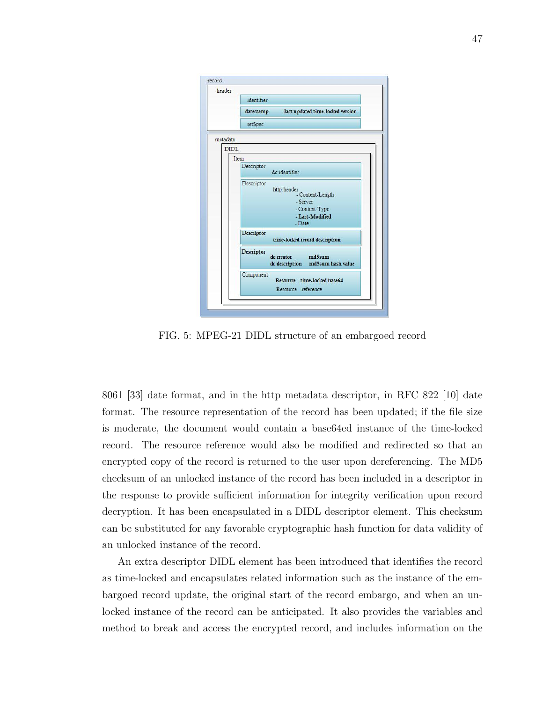| identifier                                                                                     |
|------------------------------------------------------------------------------------------------|
|                                                                                                |
| last updated time-locked version<br>datestamp                                                  |
| setSpec                                                                                        |
| metadata                                                                                       |
| <b>DIDL</b>                                                                                    |
| Item                                                                                           |
| Descriptor<br>dc:identifier                                                                    |
| Descriptor<br>http:header<br>- Content-Length<br>- Server<br>- Content-Type<br>- Last-Modified |
| - Date                                                                                         |
| <b>Descriptor</b><br>time-locked record description                                            |
| Descriptor<br>md5sum<br>dc:creator<br>dc:description md5sum hash value                         |
| Component<br>Resource time-locked base64<br>Resource reference                                 |
|                                                                                                |

FIG. 5: MPEG-21 DIDL structure of an embargoed record

8061 [33] date format, and in the http metadata descriptor, in RFC 822 [10] date format. The resource representation of the record has been updated; if the file size is moderate, the document would contain a base64ed instance of the time-locked record. The resource reference would also be modified and redirected so that an encrypted copy of the record is returned to the user upon dereferencing. The MD5 checksum of an unlocked instance of the record has been included in a descriptor in the response to provide sufficient information for integrity verification upon record decryption. It has been encapsulated in a DIDL descriptor element. This checksum can be substituted for any favorable cryptographic hash function for data validity of an unlocked instance of the record.

An extra descriptor DIDL element has been introduced that identifies the record as time-locked and encapsulates related information such as the instance of the embargoed record update, the original start of the record embargo, and when an unlocked instance of the record can be anticipated. It also provides the variables and method to break and access the encrypted record, and includes information on the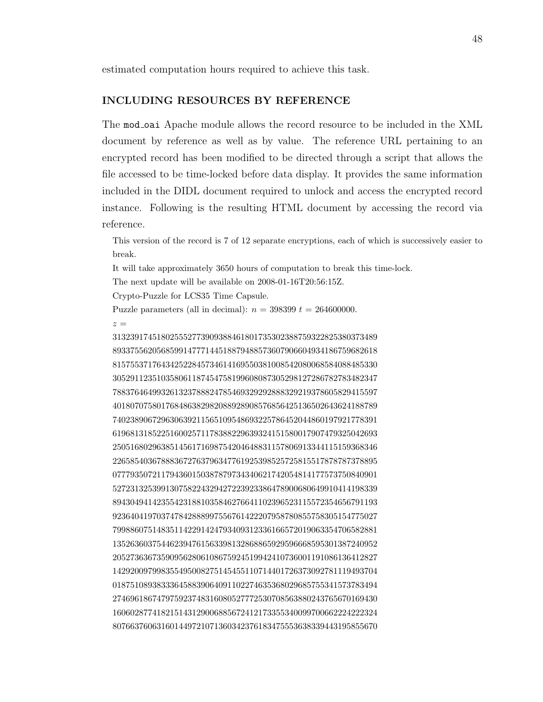estimated computation hours required to achieve this task.

### INCLUDING RESOURCES BY REFERENCE

The mod oai Apache module allows the record resource to be included in the XML document by reference as well as by value. The reference URL pertaining to an encrypted record has been modified to be directed through a script that allows the file accessed to be time-locked before data display. It provides the same information included in the DIDL document required to unlock and access the encrypted record instance. Following is the resulting HTML document by accessing the record via reference.

This version of the record is 7 of 12 separate encryptions, each of which is successively easier to break.

It will take approximately 3650 hours of computation to break this time-lock.

The next update will be available on 2008-01-16T20:56:15Z.

Crypto-Puzzle for LCS35 Time Capsule.

Puzzle parameters (all in decimal):  $n = 398399$   $t = 264600000$ .

 $z =$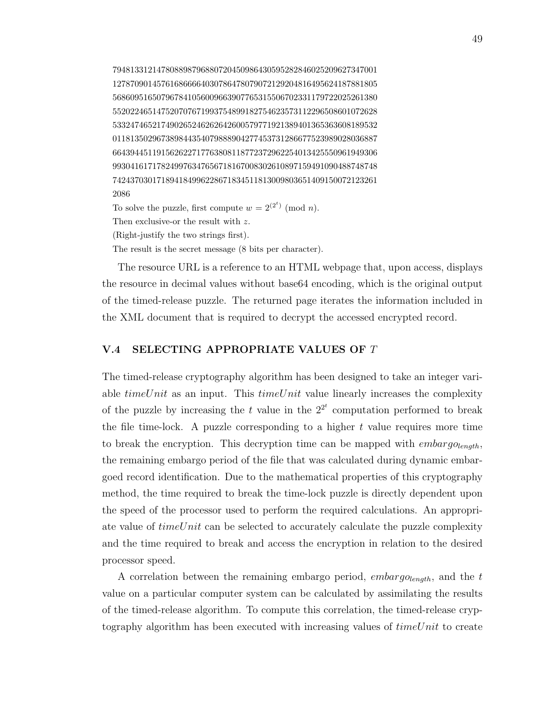794813312147808898796880720450986430595282846025209627347001 127870901457616866664030786478079072129204816495624187881805 568609516507967841056009663907765315506702331179722025261380 552022465147520707671993754899182754623573112296508601072628 533247465217490265246262642600579771921389401365363608189532 011813502967389844354079888904277453731286677523989028036887 664394451191562622717763808118772372962254013425550961949306 993041617178249976347656718167008302610897159491090488748748 742437030171894184996228671834511813009803651409150072123261 2086 To solve the puzzle, first compute  $w = 2^{(2^t)} \pmod{n}$ . Then exclusive-or the result with z.

(Right-justify the two strings first).

The result is the secret message (8 bits per character).

The resource URL is a reference to an HTML webpage that, upon access, displays the resource in decimal values without base64 encoding, which is the original output of the timed-release puzzle. The returned page iterates the information included in the XML document that is required to decrypt the accessed encrypted record.

# V.4 SELECTING APPROPRIATE VALUES OF T

The timed-release cryptography algorithm has been designed to take an integer variable  $timeUnit$  as an input. This  $timeUnit$  value linearly increases the complexity of the puzzle by increasing the t value in the  $2^{2^t}$  computation performed to break the file time-lock. A puzzle corresponding to a higher  $t$  value requires more time to break the encryption. This decryption time can be mapped with  $embarg_{\theta}$ the remaining embargo period of the file that was calculated during dynamic embargoed record identification. Due to the mathematical properties of this cryptography method, the time required to break the time-lock puzzle is directly dependent upon the speed of the processor used to perform the required calculations. An appropriate value of  $timeUnit$  can be selected to accurately calculate the puzzle complexity and the time required to break and access the encryption in relation to the desired processor speed.

A correlation between the remaining embargo period, *embargo* $_{length}$ , and the t value on a particular computer system can be calculated by assimilating the results of the timed-release algorithm. To compute this correlation, the timed-release cryptography algorithm has been executed with increasing values of  $timeUnit$  to create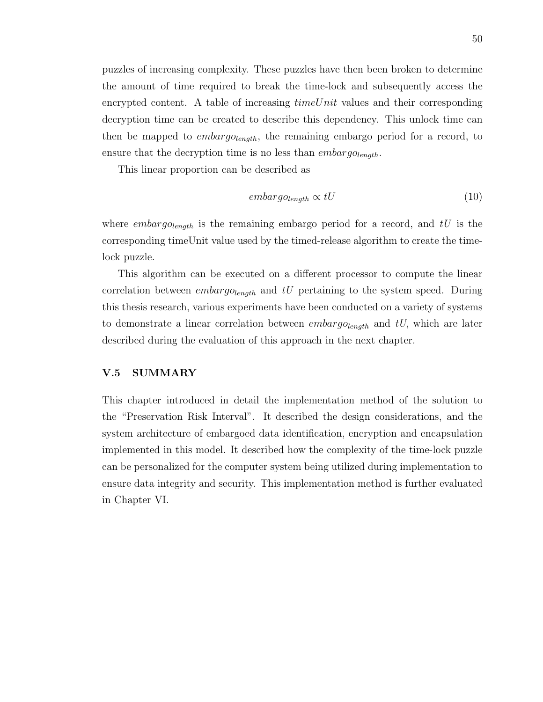puzzles of increasing complexity. These puzzles have then been broken to determine the amount of time required to break the time-lock and subsequently access the encrypted content. A table of increasing  $timeUnit$  values and their corresponding decryption time can be created to describe this dependency. This unlock time can then be mapped to *embargo* $_{length}$ , the remaining embargo period for a record, to ensure that the decryption time is no less than  $embargo_{lendh}$ .

This linear proportion can be described as

$$
embarg_{\textit{Olength}} \propto tU\tag{10}
$$

where *embargo*<sub>length</sub> is the remaining embargo period for a record, and  $tU$  is the corresponding timeUnit value used by the timed-release algorithm to create the timelock puzzle.

This algorithm can be executed on a different processor to compute the linear correlation between  $embarg_{\theta}$  and tU pertaining to the system speed. During this thesis research, various experiments have been conducted on a variety of systems to demonstrate a linear correlation between  $embargo_{length}$  and  $tU$ , which are later described during the evaluation of this approach in the next chapter.

## V.5 SUMMARY

This chapter introduced in detail the implementation method of the solution to the "Preservation Risk Interval". It described the design considerations, and the system architecture of embargoed data identification, encryption and encapsulation implemented in this model. It described how the complexity of the time-lock puzzle can be personalized for the computer system being utilized during implementation to ensure data integrity and security. This implementation method is further evaluated in Chapter VI.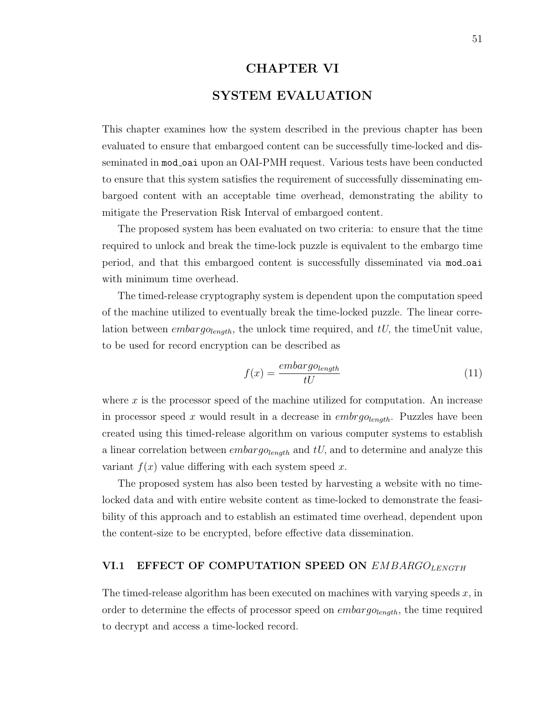# CHAPTER VI

# SYSTEM EVALUATION

This chapter examines how the system described in the previous chapter has been evaluated to ensure that embargoed content can be successfully time-locked and disseminated in mod\_oai upon an OAI-PMH request. Various tests have been conducted to ensure that this system satisfies the requirement of successfully disseminating embargoed content with an acceptable time overhead, demonstrating the ability to mitigate the Preservation Risk Interval of embargoed content.

The proposed system has been evaluated on two criteria: to ensure that the time required to unlock and break the time-lock puzzle is equivalent to the embargo time period, and that this embargoed content is successfully disseminated via mod oai with minimum time overhead.

The timed-release cryptography system is dependent upon the computation speed of the machine utilized to eventually break the time-locked puzzle. The linear correlation between *embargo<sub>length</sub>*, the unlock time required, and  $tU$ , the timeUnit value, to be used for record encryption can be described as

$$
f(x) = \frac{embarg_{\text{Olength}}}{tU} \tag{11}
$$

where  $x$  is the processor speed of the machine utilized for computation. An increase in processor speed x would result in a decrease in  $embrgo_{length}$ . Puzzles have been created using this timed-release algorithm on various computer systems to establish a linear correlation between  $embargo_{length}$  and  $tU$ , and to determine and analyze this variant  $f(x)$  value differing with each system speed x.

The proposed system has also been tested by harvesting a website with no timelocked data and with entire website content as time-locked to demonstrate the feasibility of this approach and to establish an estimated time overhead, dependent upon the content-size to be encrypted, before effective data dissemination.

# VI.1 EFFECT OF COMPUTATION SPEED ON  $EMBARGO_{LENGTH}$

The timed-release algorithm has been executed on machines with varying speeds  $x$ , in order to determine the effects of processor speed on  $embargo_{length}$ , the time required to decrypt and access a time-locked record.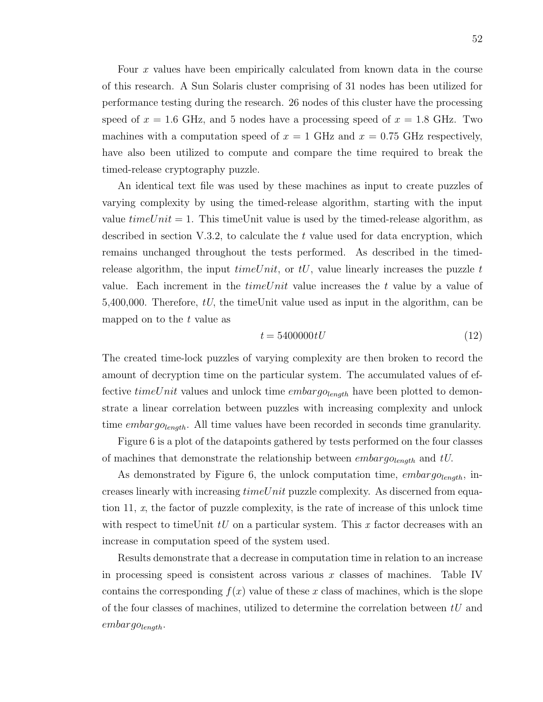Four x values have been empirically calculated from known data in the course of this research. A Sun Solaris cluster comprising of 31 nodes has been utilized for performance testing during the research. 26 nodes of this cluster have the processing speed of  $x = 1.6$  GHz, and 5 nodes have a processing speed of  $x = 1.8$  GHz. Two machines with a computation speed of  $x = 1$  GHz and  $x = 0.75$  GHz respectively, have also been utilized to compute and compare the time required to break the timed-release cryptography puzzle.

An identical text file was used by these machines as input to create puzzles of varying complexity by using the timed-release algorithm, starting with the input value  $timeUnit = 1$ . This timeUnit value is used by the timed-release algorithm, as described in section  $V.3.2$ , to calculate the t value used for data encryption, which remains unchanged throughout the tests performed. As described in the timedrelease algorithm, the input  $timeUnit$ , or  $tU$ , value linearly increases the puzzle t value. Each increment in the  $timeUnit$  value increases the t value by a value of 5,400,000. Therefore,  $tU$ , the timeUnit value used as input in the algorithm, can be mapped on to the  $t$  value as

$$
t = 5400000tU\tag{12}
$$

The created time-lock puzzles of varying complexity are then broken to record the amount of decryption time on the particular system. The accumulated values of effective timeUnit values and unlock time  $embargo_{lenath}$  have been plotted to demonstrate a linear correlation between puzzles with increasing complexity and unlock time  $embargo_{length}$ . All time values have been recorded in seconds time granularity.

Figure 6 is a plot of the datapoints gathered by tests performed on the four classes of machines that demonstrate the relationship between  $embargo_{length}$  and  $tU$ .

As demonstrated by Figure 6, the unlock computation time,  $embargo_{length}$ , increases linearly with increasing  $timeUnit$  puzzle complexity. As discerned from equation 11,  $x$ , the factor of puzzle complexity, is the rate of increase of this unlock time with respect to timeUnit  $tU$  on a particular system. This x factor decreases with an increase in computation speed of the system used.

Results demonstrate that a decrease in computation time in relation to an increase in processing speed is consistent across various  $x$  classes of machines. Table IV contains the corresponding  $f(x)$  value of these x class of machines, which is the slope of the four classes of machines, utilized to determine the correlation between  $tU$  and  $embargo_{length}.$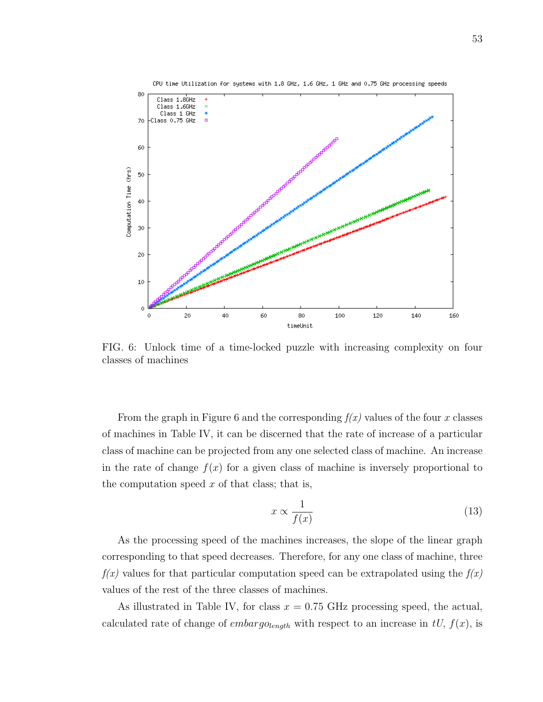

FIG. 6: Unlock time of a time-locked puzzle with increasing complexity on four classes of machines

From the graph in Figure 6 and the corresponding  $f(x)$  values of the four x classes of machines in Table IV, it can be discerned that the rate of increase of a particular class of machine can be projected from any one selected class of machine. An increase in the rate of change  $f(x)$  for a given class of machine is inversely proportional to the computation speed  $x$  of that class; that is,

$$
x \propto \frac{1}{f(x)}\tag{13}
$$

As the processing speed of the machines increases, the slope of the linear graph corresponding to that speed decreases. Therefore, for any one class of machine, three  $f(x)$  values for that particular computation speed can be extrapolated using the  $f(x)$ values of the rest of the three classes of machines.

As illustrated in Table IV, for class  $x = 0.75$  GHz processing speed, the actual, calculated rate of change of *embargo*<sub>length</sub> with respect to an increase in  $tU$ ,  $f(x)$ , is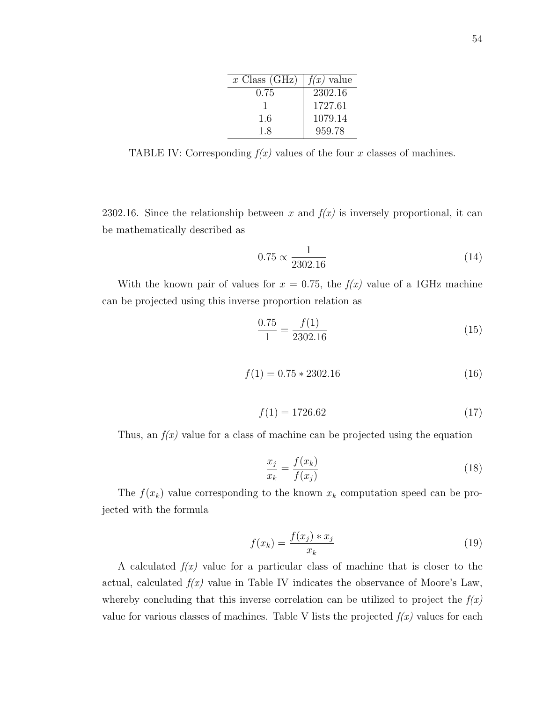| $x$ Class (GHz) | $f(x)$ value |
|-----------------|--------------|
| 0.75            | 2302.16      |
|                 | 1727.61      |
| 1.6             | 1079.14      |
| 1.8             | 959.78       |

TABLE IV: Corresponding  $f(x)$  values of the four x classes of machines.

2302.16. Since the relationship between x and  $f(x)$  is inversely proportional, it can be mathematically described as

$$
0.75 \propto \frac{1}{2302.16} \tag{14}
$$

With the known pair of values for  $x = 0.75$ , the  $f(x)$  value of a 1GHz machine can be projected using this inverse proportion relation as

$$
\frac{0.75}{1} = \frac{f(1)}{2302.16}
$$
 (15)

$$
f(1) = 0.75 \times 2302.16 \tag{16}
$$

$$
f(1) = 1726.62 \tag{17}
$$

Thus, an  $f(x)$  value for a class of machine can be projected using the equation

$$
\frac{x_j}{x_k} = \frac{f(x_k)}{f(x_j)}\tag{18}
$$

The  $f(x_k)$  value corresponding to the known  $x_k$  computation speed can be projected with the formula

$$
f(x_k) = \frac{f(x_j) * x_j}{x_k} \tag{19}
$$

A calculated  $f(x)$  value for a particular class of machine that is closer to the actual, calculated  $f(x)$  value in Table IV indicates the observance of Moore's Law, whereby concluding that this inverse correlation can be utilized to project the  $f(x)$ value for various classes of machines. Table V lists the projected  $f(x)$  values for each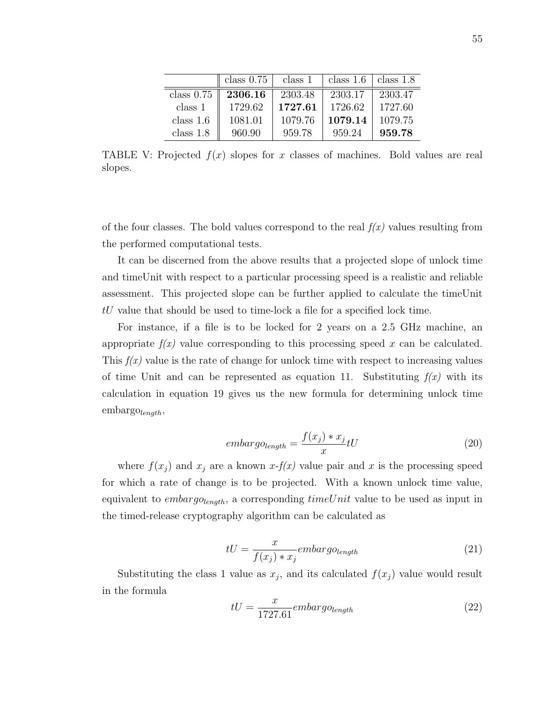|              | class $0.75$ | class 1 | class 1.6 | class $1.8$ |
|--------------|--------------|---------|-----------|-------------|
| class $0.75$ | 2306.16      | 2303.48 | 2303.17   | 2303.47     |
| class 1      | 1729.62      | 1727.61 | 1726.62   | 1727.60     |
| class $1.6$  | 1081.01      | 1079.76 | 1079.14   | 1079.75     |
| class $1.8$  | 960.90       | 959.78  | 959.24    | 959.78      |

TABLE V: Projected  $f(x)$  slopes for x classes of machines. Bold values are real slopes.

of the four classes. The bold values correspond to the real  $f(x)$  values resulting from the performed computational tests.

It can be discerned from the above results that a projected slope of unlock time and timeUnit with respect to a particular processing speed is a realistic and reliable assessment. This projected slope can be further applied to calculate the timeUnit tU value that should be used to time-lock a file for a specified lock time.

For instance, if a file is to be locked for 2 years on a 2.5 GHz machine, an appropriate  $f(x)$  value corresponding to this processing speed x can be calculated. This  $f(x)$  value is the rate of change for unlock time with respect to increasing values of time Unit and can be represented as equation 11. Substituting  $f(x)$  with its calculation in equation 19 gives us the new formula for determining unlock time  $embargo_{length}$ 

$$
embarg_{\textit{Olength}} = \frac{f(x_j) * x_j}{x} tU \tag{20}
$$

where  $f(x_j)$  and  $x_j$  are a known  $x-f(x)$  value pair and x is the processing speed for which a rate of change is to be projected. With a known unlock time value, equivalent to *embargo*<sub>length</sub>, a corresponding  $timeUnit$  value to be used as input in the timed-release cryptography algorithm can be calculated as

$$
tU = \frac{x}{f(x_j) * x_j} embargo_{length}
$$
\n(21)

Substituting the class 1 value as  $x_j$ , and its calculated  $f(x_j)$  value would result in the formula

$$
tU = \frac{x}{1727.61} embargo_{length} \tag{22}
$$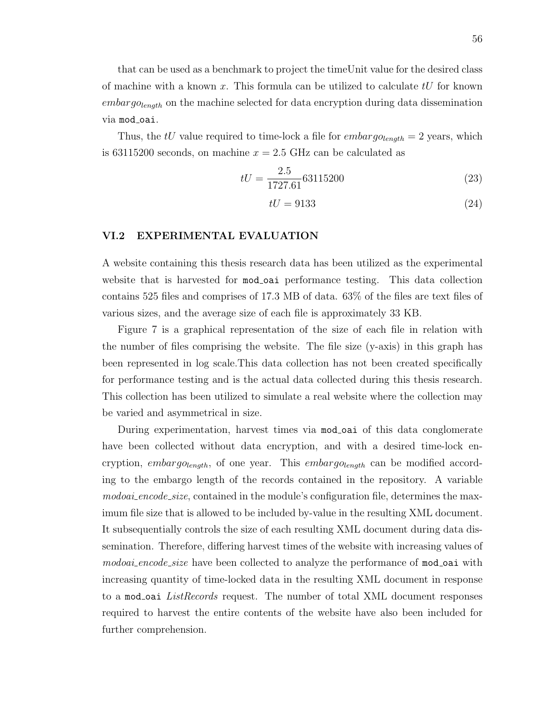that can be used as a benchmark to project the timeUnit value for the desired class of machine with a known x. This formula can be utilized to calculate  $tU$  for known  $embarg_{\theta length}$  on the machine selected for data encryption during data dissemination via mod\_oai.

Thus, the tU value required to time-lock a file for  $embarg_{\theta} = 2$  years, which is 63115200 seconds, on machine  $x = 2.5$  GHz can be calculated as

$$
tU = \frac{2.5}{1727.61}63115200\tag{23}
$$

$$
tU = 9133\tag{24}
$$

# VI.2 EXPERIMENTAL EVALUATION

A website containing this thesis research data has been utilized as the experimental website that is harvested for mod oai performance testing. This data collection contains 525 files and comprises of 17.3 MB of data. 63% of the files are text files of various sizes, and the average size of each file is approximately 33 KB.

Figure 7 is a graphical representation of the size of each file in relation with the number of files comprising the website. The file size (y-axis) in this graph has been represented in log scale.This data collection has not been created specifically for performance testing and is the actual data collected during this thesis research. This collection has been utilized to simulate a real website where the collection may be varied and asymmetrical in size.

During experimentation, harvest times via mod oai of this data conglomerate have been collected without data encryption, and with a desired time-lock encryption, embargolength, of one year. This embargolength can be modified according to the embargo length of the records contained in the repository. A variable modoai\_encode\_size, contained in the module's configuration file, determines the maximum file size that is allowed to be included by-value in the resulting XML document. It subsequentially controls the size of each resulting XML document during data dissemination. Therefore, differing harvest times of the website with increasing values of *modoai\_encode\_size* have been collected to analyze the performance of **mod\_oai** with increasing quantity of time-locked data in the resulting XML document in response to a mod oai *ListRecords* request. The number of total XML document responses required to harvest the entire contents of the website have also been included for further comprehension.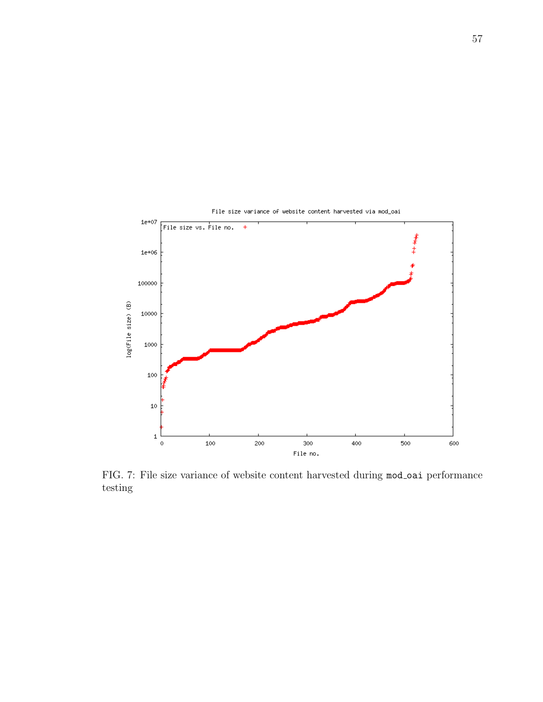

FIG. 7: File size variance of website content harvested during mod oai performance testing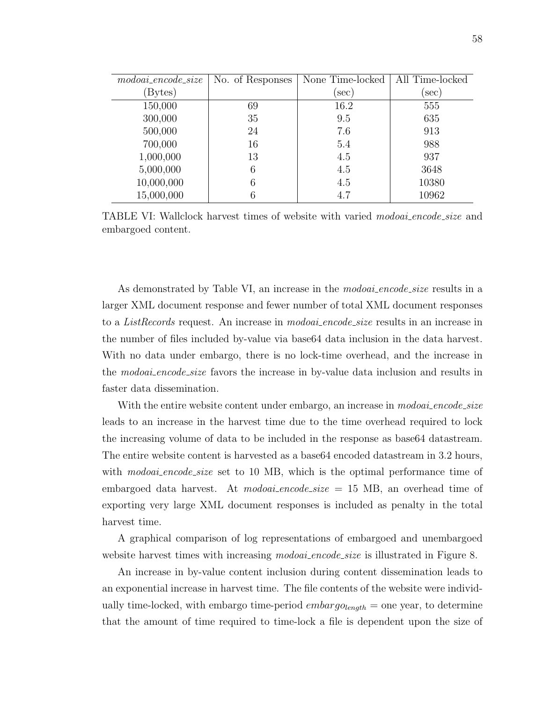| $\textit{modo} \textit{aa}$ : encode_size | No. of Responses | None Time-locked | All Time-locked |
|-------------------------------------------|------------------|------------------|-----------------|
| Bytes)                                    |                  | $(\sec)$         | $(\sec)$        |
| 150,000                                   | 69               | 16.2             | 555             |
| 300,000                                   | 35               | 9.5              | 635             |
| 500,000                                   | 24               | 7.6              | 913             |
| 700,000                                   | 16               | 5.4              | 988             |
| 1,000,000                                 | 13               | 4.5              | 937             |
| 5,000,000                                 | 6                | 4.5              | 3648            |
| 10,000,000                                | 6                | 4.5              | 10380           |
| 15,000,000                                | 6                | 4.7              | 10962           |

TABLE VI: Wallclock harvest times of website with varied modoai encode size and embargoed content.

As demonstrated by Table VI, an increase in the *modoai\_encode\_size* results in a larger XML document response and fewer number of total XML document responses to a *ListRecords* request. An increase in *modoai\_encode\_size* results in an increase in the number of files included by-value via base64 data inclusion in the data harvest. With no data under embargo, there is no lock-time overhead, and the increase in the *modoai-encode-size* favors the increase in by-value data inclusion and results in faster data dissemination.

With the entire website content under embargo, an increase in *modoai\_encode\_size* leads to an increase in the harvest time due to the time overhead required to lock the increasing volume of data to be included in the response as base64 datastream. The entire website content is harvested as a base64 encoded datastream in 3.2 hours, with modoai\_encode\_size set to 10 MB, which is the optimal performance time of embargoed data harvest. At *modoai-encode\_size* = 15 MB, an overhead time of exporting very large XML document responses is included as penalty in the total harvest time.

A graphical comparison of log representations of embargoed and unembargoed website harvest times with increasing *modoai\_encode\_size* is illustrated in Figure 8.

An increase in by-value content inclusion during content dissemination leads to an exponential increase in harvest time. The file contents of the website were individually time-locked, with embargo time-period  $embarg_{\theta_{\text{length}}} =$  one year, to determine that the amount of time required to time-lock a file is dependent upon the size of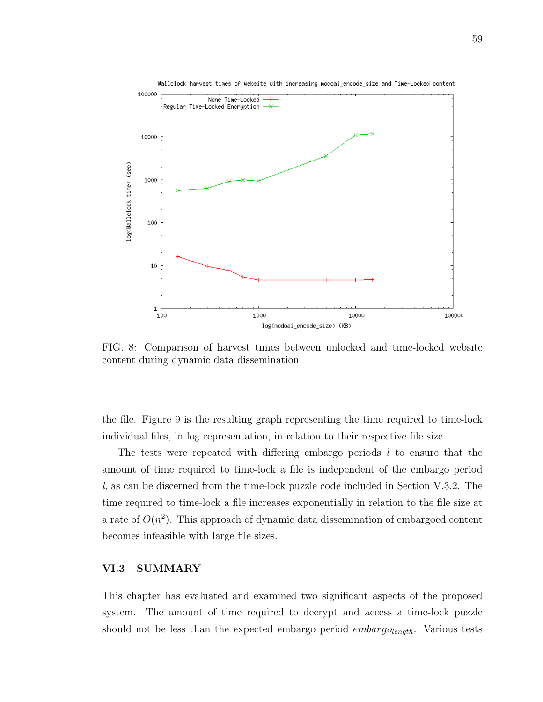

FIG. 8: Comparison of harvest times between unlocked and time-locked website content during dynamic data dissemination

the file. Figure 9 is the resulting graph representing the time required to time-lock individual files, in log representation, in relation to their respective file size.

The tests were repeated with differing embargo periods  $l$  to ensure that the amount of time required to time-lock a file is independent of the embargo period l, as can be discerned from the time-lock puzzle code included in Section V.3.2. The time required to time-lock a file increases exponentially in relation to the file size at a rate of  $O(n^2)$ . This approach of dynamic data dissemination of embargoed content becomes infeasible with large file sizes.

#### VI.3 SUMMARY

This chapter has evaluated and examined two significant aspects of the proposed system. The amount of time required to decrypt and access a time-lock puzzle should not be less than the expected embargo period  $embargo_{length}$ . Various tests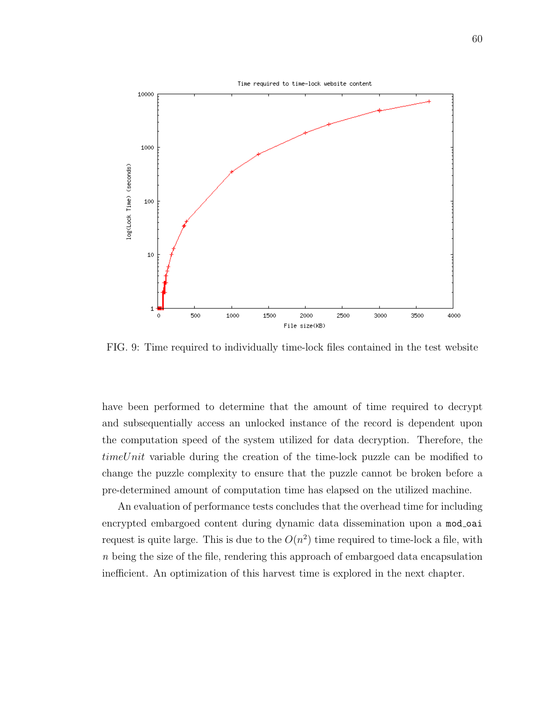

FIG. 9: Time required to individually time-lock files contained in the test website

have been performed to determine that the amount of time required to decrypt and subsequentially access an unlocked instance of the record is dependent upon the computation speed of the system utilized for data decryption. Therefore, the timeUnit variable during the creation of the time-lock puzzle can be modified to change the puzzle complexity to ensure that the puzzle cannot be broken before a pre-determined amount of computation time has elapsed on the utilized machine.

An evaluation of performance tests concludes that the overhead time for including encrypted embargoed content during dynamic data dissemination upon a mod\_oai request is quite large. This is due to the  $O(n^2)$  time required to time-lock a file, with n being the size of the file, rendering this approach of embargoed data encapsulation inefficient. An optimization of this harvest time is explored in the next chapter.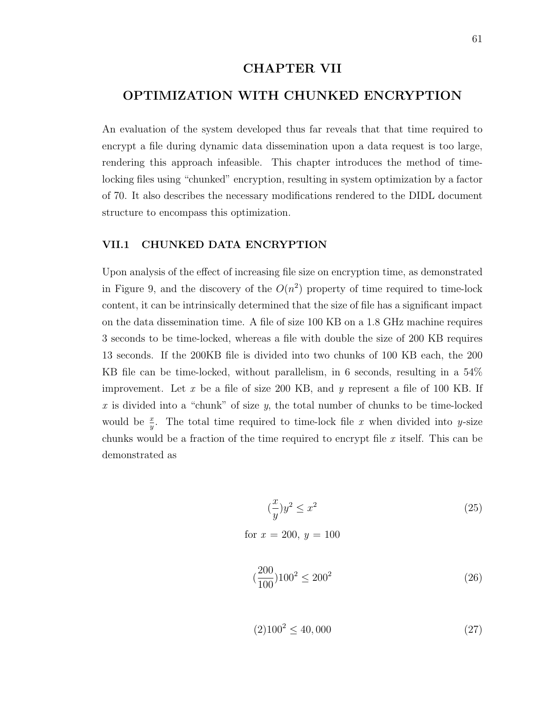# CHAPTER VII

# OPTIMIZATION WITH CHUNKED ENCRYPTION

An evaluation of the system developed thus far reveals that that time required to encrypt a file during dynamic data dissemination upon a data request is too large, rendering this approach infeasible. This chapter introduces the method of timelocking files using "chunked" encryption, resulting in system optimization by a factor of 70. It also describes the necessary modifications rendered to the DIDL document structure to encompass this optimization.

#### VII.1 CHUNKED DATA ENCRYPTION

Upon analysis of the effect of increasing file size on encryption time, as demonstrated in Figure 9, and the discovery of the  $O(n^2)$  property of time required to time-lock content, it can be intrinsically determined that the size of file has a significant impact on the data dissemination time. A file of size 100 KB on a 1.8 GHz machine requires 3 seconds to be time-locked, whereas a file with double the size of 200 KB requires 13 seconds. If the 200KB file is divided into two chunks of 100 KB each, the 200 KB file can be time-locked, without parallelism, in 6 seconds, resulting in a 54% improvement. Let x be a file of size 200 KB, and y represent a file of 100 KB. If x is divided into a "chunk" of size  $y$ , the total number of chunks to be time-locked would be  $\frac{x}{y}$ . The total time required to time-lock file x when divided into y-size chunks would be a fraction of the time required to encrypt file  $x$  itself. This can be demonstrated as

$$
\left(\frac{x}{y}\right)y^2 \le x^2\tag{25}
$$

for  $x = 200, y = 100$ 

$$
(\frac{200}{100})100^2 \le 200^2 \tag{26}
$$

$$
(2)100^2 \le 40,000\tag{27}
$$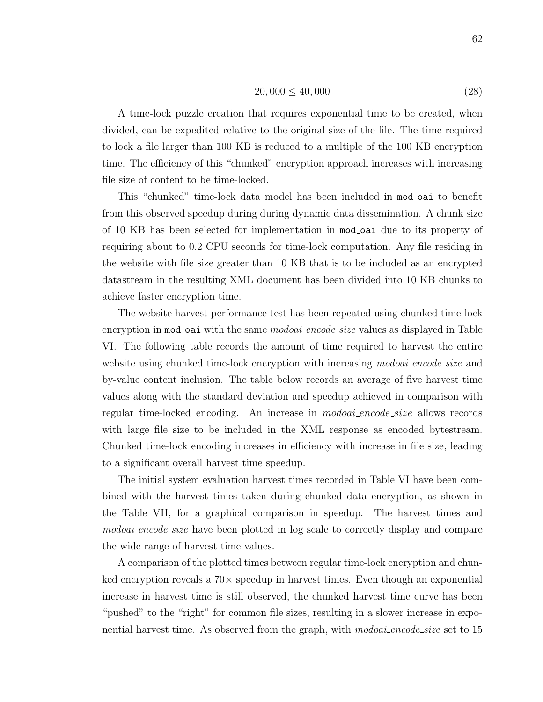$$
20,000 \le 40,000 \tag{28}
$$

A time-lock puzzle creation that requires exponential time to be created, when divided, can be expedited relative to the original size of the file. The time required to lock a file larger than 100 KB is reduced to a multiple of the 100 KB encryption time. The efficiency of this "chunked" encryption approach increases with increasing file size of content to be time-locked.

This "chunked" time-lock data model has been included in mod oai to benefit from this observed speedup during during dynamic data dissemination. A chunk size of 10 KB has been selected for implementation in mod oai due to its property of requiring about to 0.2 CPU seconds for time-lock computation. Any file residing in the website with file size greater than 10 KB that is to be included as an encrypted datastream in the resulting XML document has been divided into 10 KB chunks to achieve faster encryption time.

The website harvest performance test has been repeated using chunked time-lock encryption in mod oai with the same *modoai* encode size values as displayed in Table VI. The following table records the amount of time required to harvest the entire website using chunked time-lock encryption with increasing modoai-encode-size and by-value content inclusion. The table below records an average of five harvest time values along with the standard deviation and speedup achieved in comparison with regular time-locked encoding. An increase in modoai encode size allows records with large file size to be included in the XML response as encoded bytestream. Chunked time-lock encoding increases in efficiency with increase in file size, leading to a significant overall harvest time speedup.

The initial system evaluation harvest times recorded in Table VI have been combined with the harvest times taken during chunked data encryption, as shown in the Table VII, for a graphical comparison in speedup. The harvest times and *modoai\_encode\_size* have been plotted in log scale to correctly display and compare the wide range of harvest time values.

A comparison of the plotted times between regular time-lock encryption and chunked encryption reveals a  $70\times$  speedup in harvest times. Even though an exponential increase in harvest time is still observed, the chunked harvest time curve has been "pushed" to the "right" for common file sizes, resulting in a slower increase in exponential harvest time. As observed from the graph, with *modoai\_encode\_size* set to 15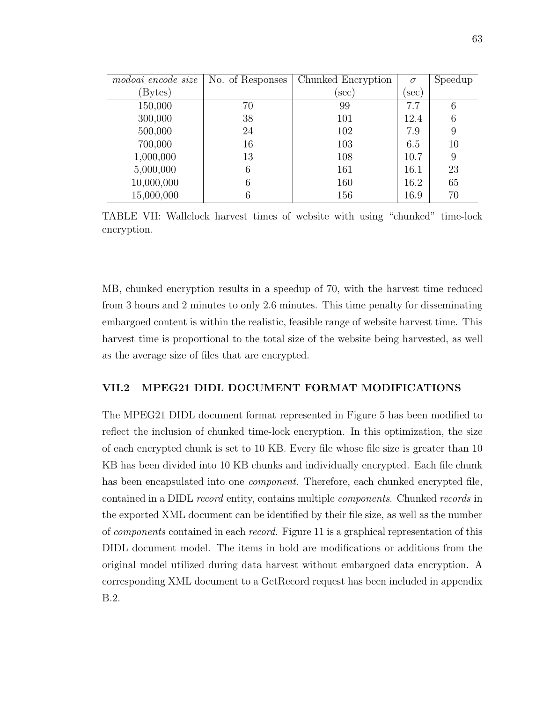| $\textit{modo} \textit{aa}$ i.encode_size | No. of Responses | Chunked Encryption | $\sigma$ | Speedup |
|-------------------------------------------|------------------|--------------------|----------|---------|
| (Bytes)                                   |                  | $(\sec)$           | sec)     |         |
| 150,000                                   | 70               | 99                 | 7.7      | 6       |
| 300,000                                   | 38               | 101                | 12.4     | 6       |
| 500,000                                   | 24               | 102                | 7.9      | 9       |
| 700,000                                   | 16               | 103                | 6.5      | 10      |
| 1,000,000                                 | 13               | 108                | 10.7     | 9       |
| 5,000,000                                 | 6                | 161                | 16.1     | 23      |
| 10,000,000                                | 6                | 160                | 16.2     | 65      |
| 15,000,000                                | 6                | 156                | 16.9     | 70      |

TABLE VII: Wallclock harvest times of website with using "chunked" time-lock encryption.

MB, chunked encryption results in a speedup of 70, with the harvest time reduced from 3 hours and 2 minutes to only 2.6 minutes. This time penalty for disseminating embargoed content is within the realistic, feasible range of website harvest time. This harvest time is proportional to the total size of the website being harvested, as well as the average size of files that are encrypted.

#### VII.2 MPEG21 DIDL DOCUMENT FORMAT MODIFICATIONS

The MPEG21 DIDL document format represented in Figure 5 has been modified to reflect the inclusion of chunked time-lock encryption. In this optimization, the size of each encrypted chunk is set to 10 KB. Every file whose file size is greater than 10 KB has been divided into 10 KB chunks and individually encrypted. Each file chunk has been encapsulated into one *component*. Therefore, each chunked encrypted file, contained in a DIDL record entity, contains multiple components. Chunked records in the exported XML document can be identified by their file size, as well as the number of components contained in each record. Figure 11 is a graphical representation of this DIDL document model. The items in bold are modifications or additions from the original model utilized during data harvest without embargoed data encryption. A corresponding XML document to a GetRecord request has been included in appendix B.2.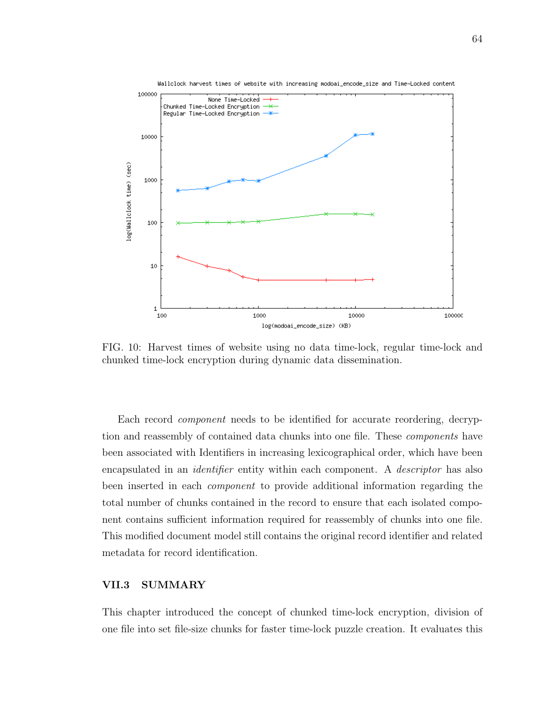

FIG. 10: Harvest times of website using no data time-lock, regular time-lock and chunked time-lock encryption during dynamic data dissemination.

Each record component needs to be identified for accurate reordering, decryption and reassembly of contained data chunks into one file. These components have been associated with Identifiers in increasing lexicographical order, which have been encapsulated in an *identifier* entity within each component. A *descriptor* has also been inserted in each component to provide additional information regarding the total number of chunks contained in the record to ensure that each isolated component contains sufficient information required for reassembly of chunks into one file. This modified document model still contains the original record identifier and related metadata for record identification.

#### VII.3 SUMMARY

This chapter introduced the concept of chunked time-lock encryption, division of one file into set file-size chunks for faster time-lock puzzle creation. It evaluates this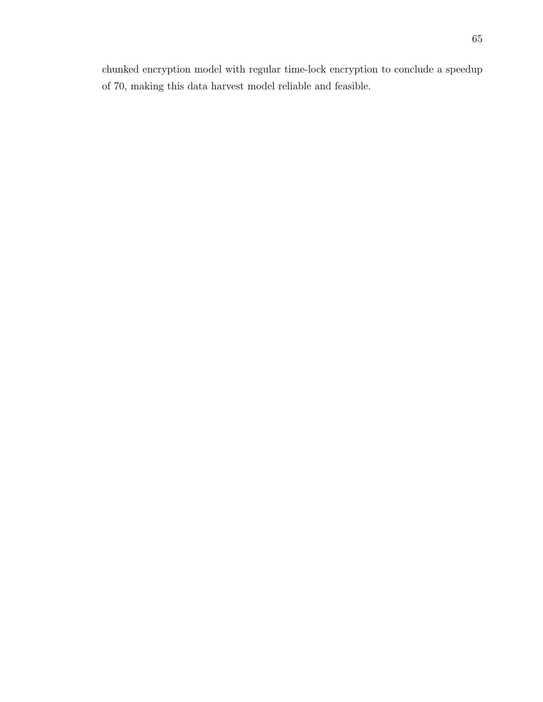chunked encryption model with regular time-lock encryption to conclude a speedup of 70, making this data harvest model reliable and feasible.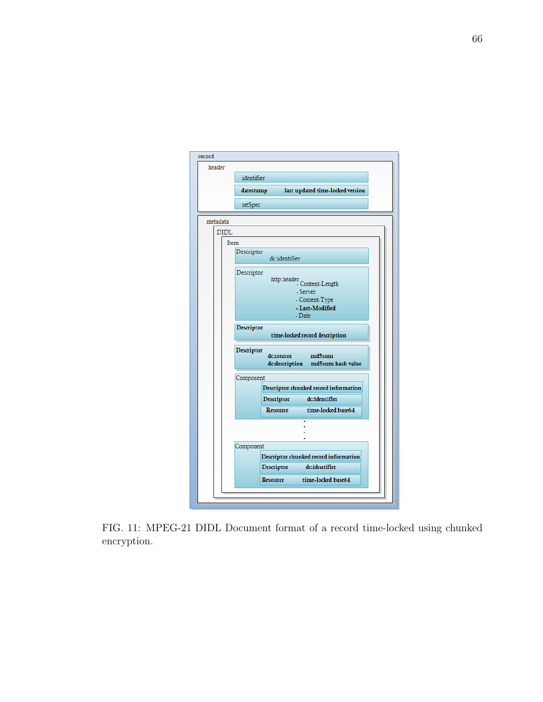| header      |                                                                        |
|-------------|------------------------------------------------------------------------|
|             | identifier                                                             |
|             | last updated time-locked version<br>datestamp                          |
|             |                                                                        |
|             | setSpec                                                                |
| metadata    |                                                                        |
| <b>DIDL</b> |                                                                        |
| Item        |                                                                        |
|             | Descriptor<br>dc:identifier                                            |
|             | Descriptor                                                             |
|             | http:header<br>Content-Length                                          |
|             | - Server                                                               |
|             | - Content-Type<br>- Last-Modified                                      |
|             | - Date                                                                 |
|             | Descriptor<br>time-locked record description                           |
|             | Descriptor<br>md5sum<br>dc:creator<br>dc:description md5sum hash value |
|             | Component                                                              |
|             | Descriptor chunked record information                                  |
|             | dc:identifier<br>Descriptor                                            |
|             | <b>Resource</b><br>time-locked base64                                  |
|             |                                                                        |
|             |                                                                        |
|             | Component                                                              |
|             | Descriptor chunked record information                                  |
|             | dc:identifier<br>Descriptor                                            |
|             |                                                                        |

FIG. 11: MPEG-21 DIDL Document format of a record time-locked using chunked encryption.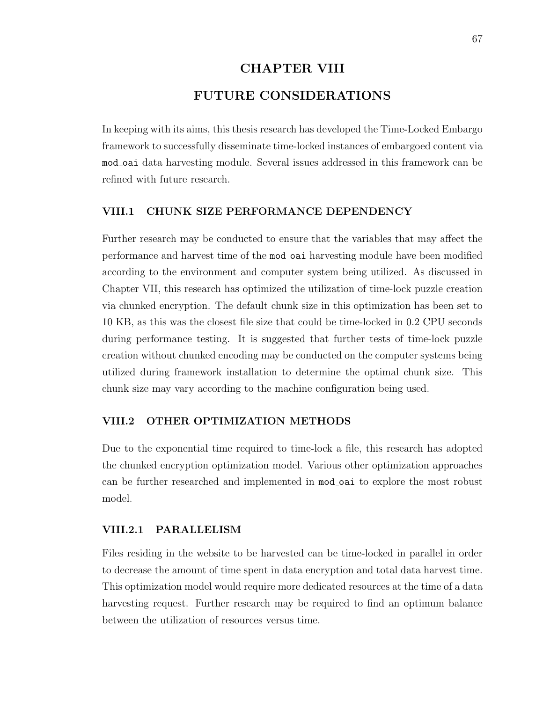# CHAPTER VIII FUTURE CONSIDERATIONS

In keeping with its aims, this thesis research has developed the Time-Locked Embargo framework to successfully disseminate time-locked instances of embargoed content via mod oai data harvesting module. Several issues addressed in this framework can be refined with future research.

#### VIII.1 CHUNK SIZE PERFORMANCE DEPENDENCY

Further research may be conducted to ensure that the variables that may affect the performance and harvest time of the mod oai harvesting module have been modified according to the environment and computer system being utilized. As discussed in Chapter VII, this research has optimized the utilization of time-lock puzzle creation via chunked encryption. The default chunk size in this optimization has been set to 10 KB, as this was the closest file size that could be time-locked in 0.2 CPU seconds during performance testing. It is suggested that further tests of time-lock puzzle creation without chunked encoding may be conducted on the computer systems being utilized during framework installation to determine the optimal chunk size. This chunk size may vary according to the machine configuration being used.

#### VIII.2 OTHER OPTIMIZATION METHODS

Due to the exponential time required to time-lock a file, this research has adopted the chunked encryption optimization model. Various other optimization approaches can be further researched and implemented in mod oai to explore the most robust model.

#### VIII.2.1 PARALLELISM

Files residing in the website to be harvested can be time-locked in parallel in order to decrease the amount of time spent in data encryption and total data harvest time. This optimization model would require more dedicated resources at the time of a data harvesting request. Further research may be required to find an optimum balance between the utilization of resources versus time.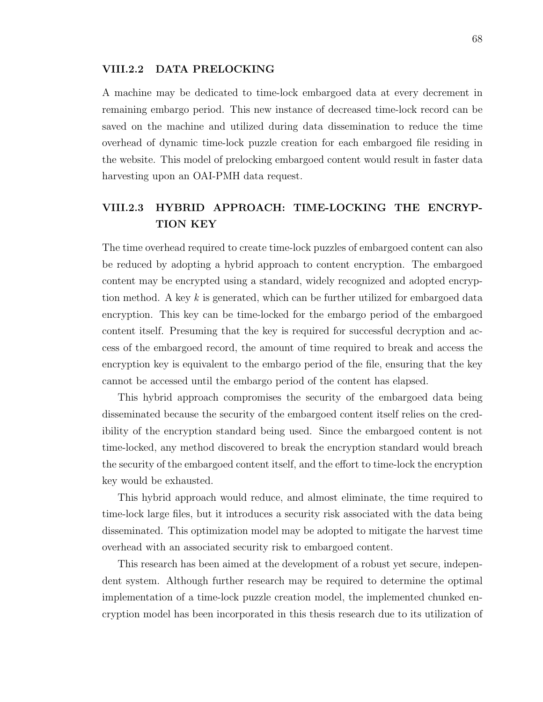#### VIII.2.2 DATA PRELOCKING

A machine may be dedicated to time-lock embargoed data at every decrement in remaining embargo period. This new instance of decreased time-lock record can be saved on the machine and utilized during data dissemination to reduce the time overhead of dynamic time-lock puzzle creation for each embargoed file residing in the website. This model of prelocking embargoed content would result in faster data harvesting upon an OAI-PMH data request.

## VIII.2.3 HYBRID APPROACH: TIME-LOCKING THE ENCRYP-TION KEY

The time overhead required to create time-lock puzzles of embargoed content can also be reduced by adopting a hybrid approach to content encryption. The embargoed content may be encrypted using a standard, widely recognized and adopted encryption method. A key k is generated, which can be further utilized for embargoed data encryption. This key can be time-locked for the embargo period of the embargoed content itself. Presuming that the key is required for successful decryption and access of the embargoed record, the amount of time required to break and access the encryption key is equivalent to the embargo period of the file, ensuring that the key cannot be accessed until the embargo period of the content has elapsed.

This hybrid approach compromises the security of the embargoed data being disseminated because the security of the embargoed content itself relies on the credibility of the encryption standard being used. Since the embargoed content is not time-locked, any method discovered to break the encryption standard would breach the security of the embargoed content itself, and the effort to time-lock the encryption key would be exhausted.

This hybrid approach would reduce, and almost eliminate, the time required to time-lock large files, but it introduces a security risk associated with the data being disseminated. This optimization model may be adopted to mitigate the harvest time overhead with an associated security risk to embargoed content.

This research has been aimed at the development of a robust yet secure, independent system. Although further research may be required to determine the optimal implementation of a time-lock puzzle creation model, the implemented chunked encryption model has been incorporated in this thesis research due to its utilization of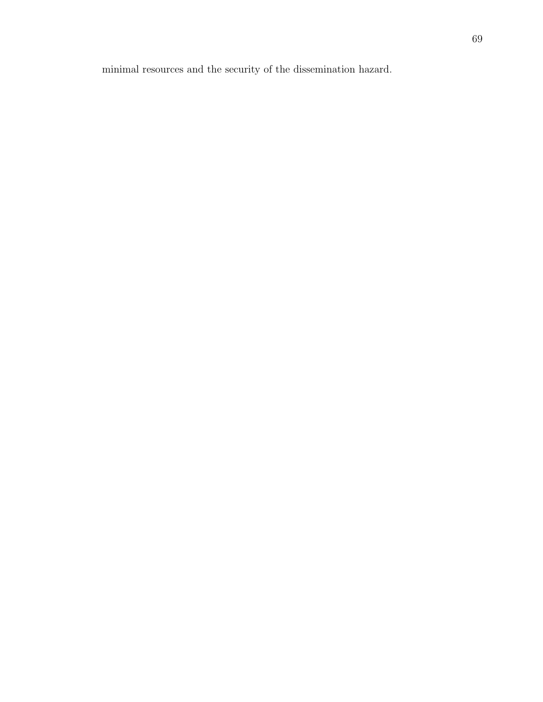minimal resources and the security of the dissemination hazard.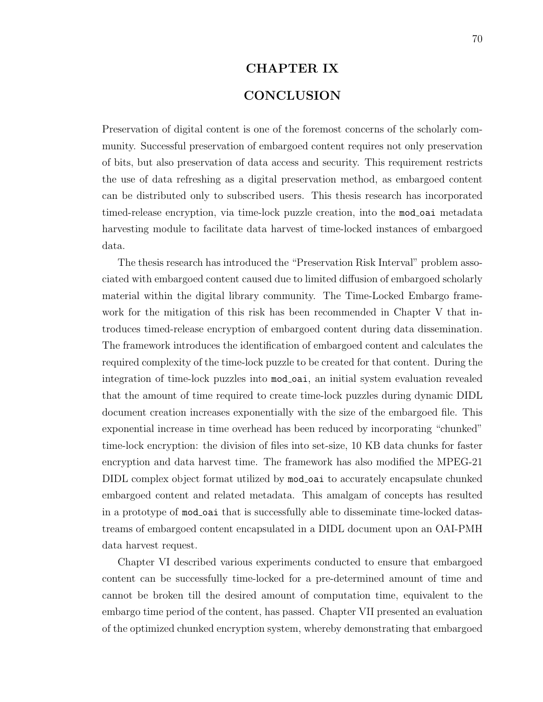# CHAPTER IX **CONCLUSION**

Preservation of digital content is one of the foremost concerns of the scholarly community. Successful preservation of embargoed content requires not only preservation of bits, but also preservation of data access and security. This requirement restricts the use of data refreshing as a digital preservation method, as embargoed content can be distributed only to subscribed users. This thesis research has incorporated timed-release encryption, via time-lock puzzle creation, into the mod-oai metadata harvesting module to facilitate data harvest of time-locked instances of embargoed data.

The thesis research has introduced the "Preservation Risk Interval" problem associated with embargoed content caused due to limited diffusion of embargoed scholarly material within the digital library community. The Time-Locked Embargo framework for the mitigation of this risk has been recommended in Chapter V that introduces timed-release encryption of embargoed content during data dissemination. The framework introduces the identification of embargoed content and calculates the required complexity of the time-lock puzzle to be created for that content. During the integration of time-lock puzzles into  $mod\_oai$ , an initial system evaluation revealed that the amount of time required to create time-lock puzzles during dynamic DIDL document creation increases exponentially with the size of the embargoed file. This exponential increase in time overhead has been reduced by incorporating "chunked" time-lock encryption: the division of files into set-size, 10 KB data chunks for faster encryption and data harvest time. The framework has also modified the MPEG-21 DIDL complex object format utilized by mod oai to accurately encapsulate chunked embargoed content and related metadata. This amalgam of concepts has resulted in a prototype of mod oai that is successfully able to disseminate time-locked datastreams of embargoed content encapsulated in a DIDL document upon an OAI-PMH data harvest request.

Chapter VI described various experiments conducted to ensure that embargoed content can be successfully time-locked for a pre-determined amount of time and cannot be broken till the desired amount of computation time, equivalent to the embargo time period of the content, has passed. Chapter VII presented an evaluation of the optimized chunked encryption system, whereby demonstrating that embargoed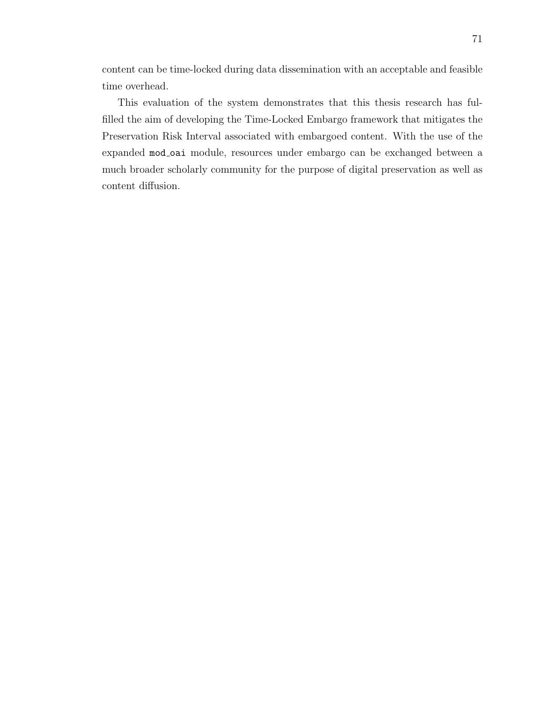content can be time-locked during data dissemination with an acceptable and feasible time overhead.

This evaluation of the system demonstrates that this thesis research has fulfilled the aim of developing the Time-Locked Embargo framework that mitigates the Preservation Risk Interval associated with embargoed content. With the use of the expanded mod\_oai module, resources under embargo can be exchanged between a much broader scholarly community for the purpose of digital preservation as well as content diffusion.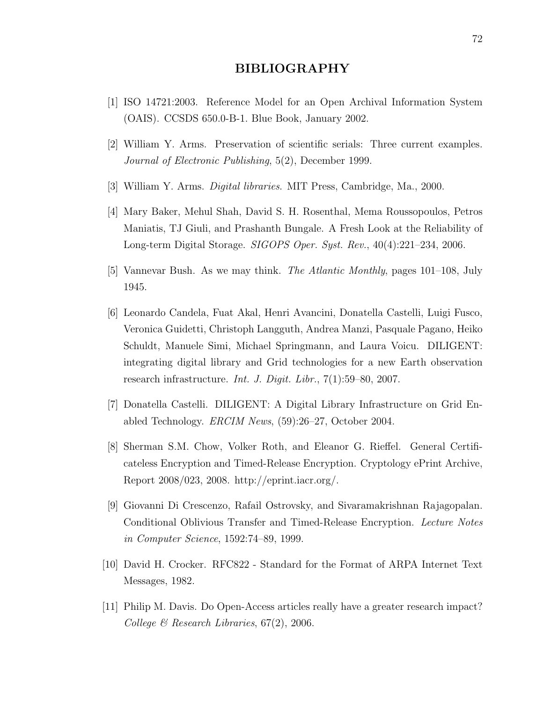#### BIBLIOGRAPHY

- [1] ISO 14721:2003. Reference Model for an Open Archival Information System (OAIS). CCSDS 650.0-B-1. Blue Book, January 2002.
- [2] William Y. Arms. Preservation of scientific serials: Three current examples. Journal of Electronic Publishing, 5(2), December 1999.
- [3] William Y. Arms. Digital libraries. MIT Press, Cambridge, Ma., 2000.
- [4] Mary Baker, Mehul Shah, David S. H. Rosenthal, Mema Roussopoulos, Petros Maniatis, TJ Giuli, and Prashanth Bungale. A Fresh Look at the Reliability of Long-term Digital Storage. SIGOPS Oper. Syst. Rev., 40(4):221–234, 2006.
- [5] Vannevar Bush. As we may think. The Atlantic Monthly, pages 101–108, July 1945.
- [6] Leonardo Candela, Fuat Akal, Henri Avancini, Donatella Castelli, Luigi Fusco, Veronica Guidetti, Christoph Langguth, Andrea Manzi, Pasquale Pagano, Heiko Schuldt, Manuele Simi, Michael Springmann, and Laura Voicu. DILIGENT: integrating digital library and Grid technologies for a new Earth observation research infrastructure. Int. J. Digit. Libr., 7(1):59–80, 2007.
- [7] Donatella Castelli. DILIGENT: A Digital Library Infrastructure on Grid Enabled Technology. ERCIM News, (59):26–27, October 2004.
- [8] Sherman S.M. Chow, Volker Roth, and Eleanor G. Rieffel. General Certificateless Encryption and Timed-Release Encryption. Cryptology ePrint Archive, Report 2008/023, 2008. http://eprint.iacr.org/.
- [9] Giovanni Di Crescenzo, Rafail Ostrovsky, and Sivaramakrishnan Rajagopalan. Conditional Oblivious Transfer and Timed-Release Encryption. Lecture Notes in Computer Science, 1592:74–89, 1999.
- [10] David H. Crocker. RFC822 Standard for the Format of ARPA Internet Text Messages, 1982.
- [11] Philip M. Davis. Do Open-Access articles really have a greater research impact? College & Research Libraries,  $67(2)$ , 2006.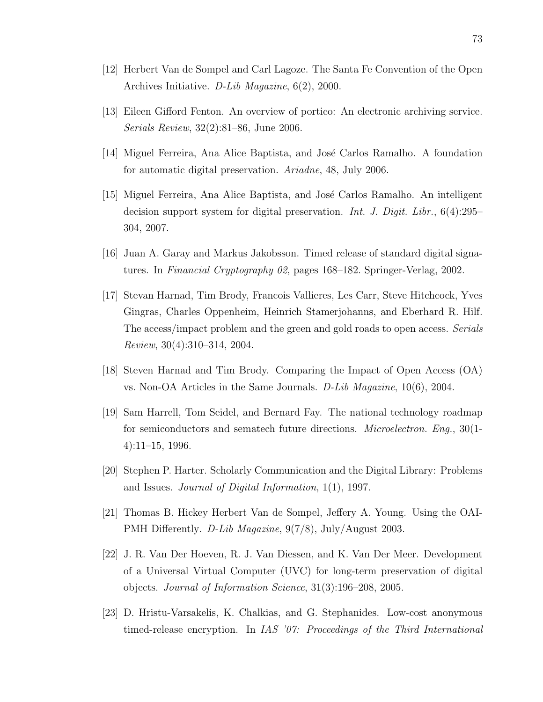- [12] Herbert Van de Sompel and Carl Lagoze. The Santa Fe Convention of the Open Archives Initiative. D-Lib Magazine, 6(2), 2000.
- [13] Eileen Gifford Fenton. An overview of portico: An electronic archiving service. Serials Review, 32(2):81–86, June 2006.
- [14] Miguel Ferreira, Ana Alice Baptista, and José Carlos Ramalho. A foundation for automatic digital preservation. Ariadne, 48, July 2006.
- [15] Miguel Ferreira, Ana Alice Baptista, and José Carlos Ramalho. An intelligent decision support system for digital preservation. Int. J. Digit. Libr.,  $6(4):295-$ 304, 2007.
- [16] Juan A. Garay and Markus Jakobsson. Timed release of standard digital signatures. In Financial Cryptography 02, pages 168–182. Springer-Verlag, 2002.
- [17] Stevan Harnad, Tim Brody, Francois Vallieres, Les Carr, Steve Hitchcock, Yves Gingras, Charles Oppenheim, Heinrich Stamerjohanns, and Eberhard R. Hilf. The access/impact problem and the green and gold roads to open access. Serials Review, 30(4):310–314, 2004.
- [18] Steven Harnad and Tim Brody. Comparing the Impact of Open Access (OA) vs. Non-OA Articles in the Same Journals. D-Lib Magazine, 10(6), 2004.
- [19] Sam Harrell, Tom Seidel, and Bernard Fay. The national technology roadmap for semiconductors and sematech future directions. Microelectron. Eng., 30(1- 4):11–15, 1996.
- [20] Stephen P. Harter. Scholarly Communication and the Digital Library: Problems and Issues. Journal of Digital Information, 1(1), 1997.
- [21] Thomas B. Hickey Herbert Van de Sompel, Jeffery A. Young. Using the OAI-PMH Differently. D-Lib Magazine, 9(7/8), July/August 2003.
- [22] J. R. Van Der Hoeven, R. J. Van Diessen, and K. Van Der Meer. Development of a Universal Virtual Computer (UVC) for long-term preservation of digital objects. Journal of Information Science, 31(3):196–208, 2005.
- [23] D. Hristu-Varsakelis, K. Chalkias, and G. Stephanides. Low-cost anonymous timed-release encryption. In IAS '07: Proceedings of the Third International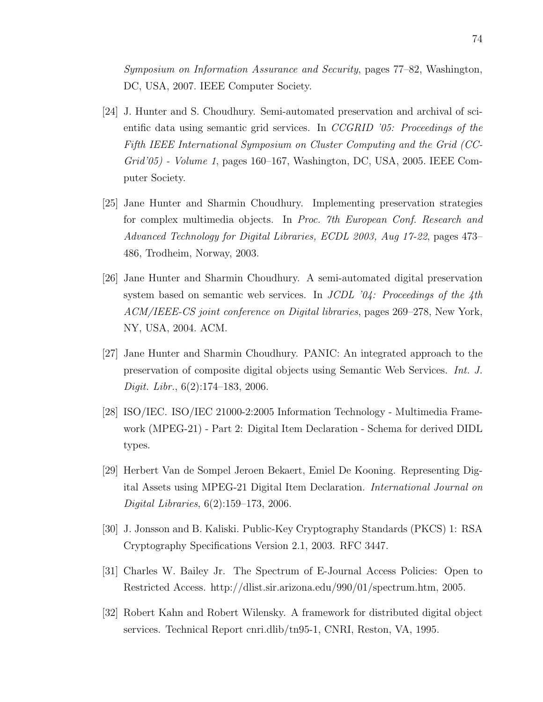Symposium on Information Assurance and Security, pages 77–82, Washington, DC, USA, 2007. IEEE Computer Society.

- [24] J. Hunter and S. Choudhury. Semi-automated preservation and archival of scientific data using semantic grid services. In  $CCGRID$  '05: Proceedings of the Fifth IEEE International Symposium on Cluster Computing and the Grid (CC-Grid'05) - Volume 1, pages 160–167, Washington, DC, USA, 2005. IEEE Computer Society.
- [25] Jane Hunter and Sharmin Choudhury. Implementing preservation strategies for complex multimedia objects. In Proc. 7th European Conf. Research and Advanced Technology for Digital Libraries, ECDL 2003, Aug 17-22, pages 473– 486, Trodheim, Norway, 2003.
- [26] Jane Hunter and Sharmin Choudhury. A semi-automated digital preservation system based on semantic web services. In JCDL  $\partial \mathcal{L}$ : Proceedings of the  $\mathcal{L}$ th ACM/IEEE-CS joint conference on Digital libraries, pages 269–278, New York, NY, USA, 2004. ACM.
- [27] Jane Hunter and Sharmin Choudhury. PANIC: An integrated approach to the preservation of composite digital objects using Semantic Web Services. Int. J. Digit. Libr., 6(2):174–183, 2006.
- [28] ISO/IEC. ISO/IEC 21000-2:2005 Information Technology Multimedia Framework (MPEG-21) - Part 2: Digital Item Declaration - Schema for derived DIDL types.
- [29] Herbert Van de Sompel Jeroen Bekaert, Emiel De Kooning. Representing Digital Assets using MPEG-21 Digital Item Declaration. International Journal on Digital Libraries, 6(2):159–173, 2006.
- [30] J. Jonsson and B. Kaliski. Public-Key Cryptography Standards (PKCS) 1: RSA Cryptography Specifications Version 2.1, 2003. RFC 3447.
- [31] Charles W. Bailey Jr. The Spectrum of E-Journal Access Policies: Open to Restricted Access. http://dlist.sir.arizona.edu/990/01/spectrum.htm, 2005.
- [32] Robert Kahn and Robert Wilensky. A framework for distributed digital object services. Technical Report cnri.dlib/tn95-1, CNRI, Reston, VA, 1995.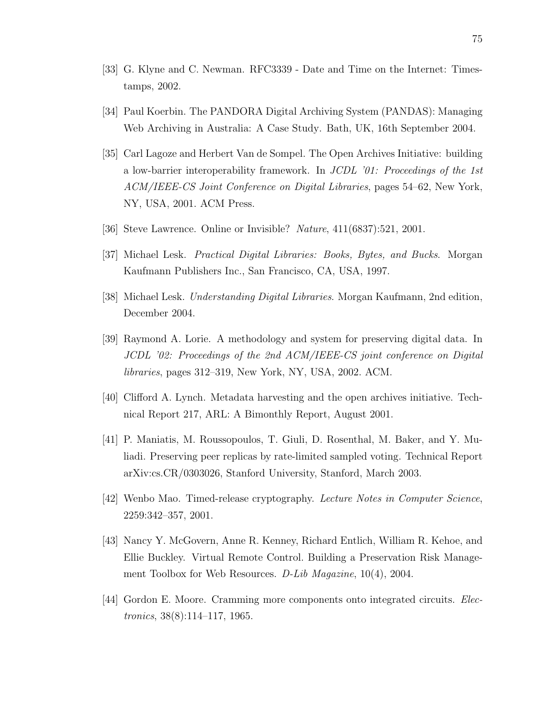- [33] G. Klyne and C. Newman. RFC3339 Date and Time on the Internet: Timestamps, 2002.
- [34] Paul Koerbin. The PANDORA Digital Archiving System (PANDAS): Managing Web Archiving in Australia: A Case Study. Bath, UK, 16th September 2004.
- [35] Carl Lagoze and Herbert Van de Sompel. The Open Archives Initiative: building a low-barrier interoperability framework. In JCDL '01: Proceedings of the 1st ACM/IEEE-CS Joint Conference on Digital Libraries, pages 54–62, New York, NY, USA, 2001. ACM Press.
- [36] Steve Lawrence. Online or Invisible? Nature, 411(6837):521, 2001.
- [37] Michael Lesk. Practical Digital Libraries: Books, Bytes, and Bucks. Morgan Kaufmann Publishers Inc., San Francisco, CA, USA, 1997.
- [38] Michael Lesk. Understanding Digital Libraries. Morgan Kaufmann, 2nd edition, December 2004.
- [39] Raymond A. Lorie. A methodology and system for preserving digital data. In JCDL '02: Proceedings of the 2nd ACM/IEEE-CS joint conference on Digital libraries, pages 312–319, New York, NY, USA, 2002. ACM.
- [40] Clifford A. Lynch. Metadata harvesting and the open archives initiative. Technical Report 217, ARL: A Bimonthly Report, August 2001.
- [41] P. Maniatis, M. Roussopoulos, T. Giuli, D. Rosenthal, M. Baker, and Y. Muliadi. Preserving peer replicas by rate-limited sampled voting. Technical Report arXiv:cs.CR/0303026, Stanford University, Stanford, March 2003.
- [42] Wenbo Mao. Timed-release cryptography. Lecture Notes in Computer Science, 2259:342–357, 2001.
- [43] Nancy Y. McGovern, Anne R. Kenney, Richard Entlich, William R. Kehoe, and Ellie Buckley. Virtual Remote Control. Building a Preservation Risk Management Toolbox for Web Resources. D-Lib Magazine, 10(4), 2004.
- [44] Gordon E. Moore. Cramming more components onto integrated circuits. Electronics, 38(8):114–117, 1965.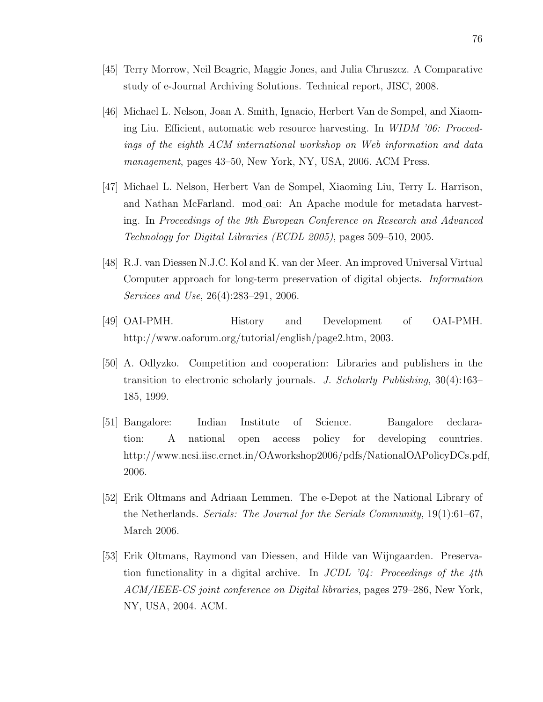- [45] Terry Morrow, Neil Beagrie, Maggie Jones, and Julia Chruszcz. A Comparative study of e-Journal Archiving Solutions. Technical report, JISC, 2008.
- [46] Michael L. Nelson, Joan A. Smith, Ignacio, Herbert Van de Sompel, and Xiaoming Liu. Efficient, automatic web resource harvesting. In WIDM '06: Proceedings of the eighth ACM international workshop on Web information and data management, pages 43–50, New York, NY, USA, 2006. ACM Press.
- [47] Michael L. Nelson, Herbert Van de Sompel, Xiaoming Liu, Terry L. Harrison, and Nathan McFarland. mod oai: An Apache module for metadata harvesting. In Proceedings of the 9th European Conference on Research and Advanced Technology for Digital Libraries (ECDL 2005), pages 509–510, 2005.
- [48] R.J. van Diessen N.J.C. Kol and K. van der Meer. An improved Universal Virtual Computer approach for long-term preservation of digital objects. Information Services and Use, 26(4):283–291, 2006.
- [49] OAI-PMH. History and Development of OAI-PMH. http://www.oaforum.org/tutorial/english/page2.htm, 2003.
- [50] A. Odlyzko. Competition and cooperation: Libraries and publishers in the transition to electronic scholarly journals. J. Scholarly Publishing, 30(4):163– 185, 1999.
- [51] Bangalore: Indian Institute of Science. Bangalore declaration: A national open access policy for developing countries. http://www.ncsi.iisc.ernet.in/OAworkshop2006/pdfs/NationalOAPolicyDCs.pdf, 2006.
- [52] Erik Oltmans and Adriaan Lemmen. The e-Depot at the National Library of the Netherlands. Serials: The Journal for the Serials Community, 19(1):61–67, March 2006.
- [53] Erik Oltmans, Raymond van Diessen, and Hilde van Wijngaarden. Preservation functionality in a digital archive. In  $JCDL$  '04: Proceedings of the 4th ACM/IEEE-CS joint conference on Digital libraries, pages 279–286, New York, NY, USA, 2004. ACM.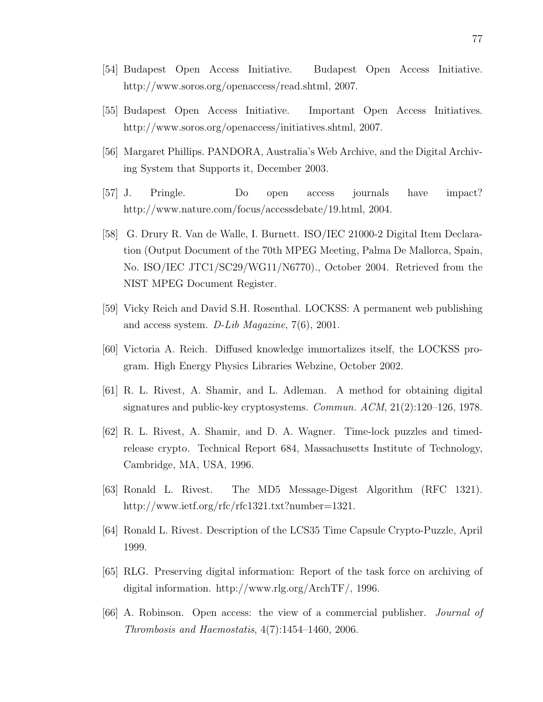- [54] Budapest Open Access Initiative. Budapest Open Access Initiative. http://www.soros.org/openaccess/read.shtml, 2007.
- [55] Budapest Open Access Initiative. Important Open Access Initiatives. http://www.soros.org/openaccess/initiatives.shtml, 2007.
- [56] Margaret Phillips. PANDORA, Australia's Web Archive, and the Digital Archiving System that Supports it, December 2003.
- [57] J. Pringle. Do open access journals have impact? http://www.nature.com/focus/accessdebate/19.html, 2004.
- [58] G. Drury R. Van de Walle, I. Burnett. ISO/IEC 21000-2 Digital Item Declaration (Output Document of the 70th MPEG Meeting, Palma De Mallorca, Spain, No. ISO/IEC JTC1/SC29/WG11/N6770)., October 2004. Retrieved from the NIST MPEG Document Register.
- [59] Vicky Reich and David S.H. Rosenthal. LOCKSS: A permanent web publishing and access system. D-Lib Magazine, 7(6), 2001.
- [60] Victoria A. Reich. Diffused knowledge immortalizes itself, the LOCKSS program. High Energy Physics Libraries Webzine, October 2002.
- [61] R. L. Rivest, A. Shamir, and L. Adleman. A method for obtaining digital signatures and public-key cryptosystems. Commun. ACM, 21(2):120–126, 1978.
- [62] R. L. Rivest, A. Shamir, and D. A. Wagner. Time-lock puzzles and timedrelease crypto. Technical Report 684, Massachusetts Institute of Technology, Cambridge, MA, USA, 1996.
- [63] Ronald L. Rivest. The MD5 Message-Digest Algorithm (RFC 1321). http://www.ietf.org/rfc/rfc1321.txt?number=1321.
- [64] Ronald L. Rivest. Description of the LCS35 Time Capsule Crypto-Puzzle, April 1999.
- [65] RLG. Preserving digital information: Report of the task force on archiving of digital information. http://www.rlg.org/ArchTF/, 1996.
- [66] A. Robinson. Open access: the view of a commercial publisher. Journal of Thrombosis and Haemostatis, 4(7):1454–1460, 2006.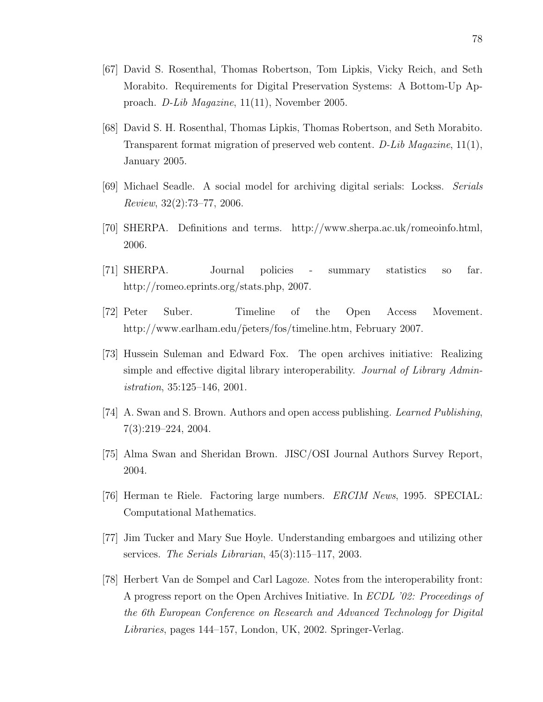- [67] David S. Rosenthal, Thomas Robertson, Tom Lipkis, Vicky Reich, and Seth Morabito. Requirements for Digital Preservation Systems: A Bottom-Up Approach. D-Lib Magazine, 11(11), November 2005.
- [68] David S. H. Rosenthal, Thomas Lipkis, Thomas Robertson, and Seth Morabito. Transparent format migration of preserved web content. D-Lib Magazine, 11(1), January 2005.
- [69] Michael Seadle. A social model for archiving digital serials: Lockss. Serials Review, 32(2):73–77, 2006.
- [70] SHERPA. Definitions and terms. http://www.sherpa.ac.uk/romeoinfo.html, 2006.
- [71] SHERPA. Journal policies summary statistics so far. http://romeo.eprints.org/stats.php, 2007.
- [72] Peter Suber. Timeline of the Open Access Movement. http://www.earlham.edu/p̃eters/fos/timeline.htm, February 2007.
- [73] Hussein Suleman and Edward Fox. The open archives initiative: Realizing simple and effective digital library interoperability. Journal of Library Administration, 35:125–146, 2001.
- [74] A. Swan and S. Brown. Authors and open access publishing. Learned Publishing, 7(3):219–224, 2004.
- [75] Alma Swan and Sheridan Brown. JISC/OSI Journal Authors Survey Report, 2004.
- [76] Herman te Riele. Factoring large numbers. ERCIM News, 1995. SPECIAL: Computational Mathematics.
- [77] Jim Tucker and Mary Sue Hoyle. Understanding embargoes and utilizing other services. The Serials Librarian,  $45(3):115-117$ , 2003.
- [78] Herbert Van de Sompel and Carl Lagoze. Notes from the interoperability front: A progress report on the Open Archives Initiative. In ECDL '02: Proceedings of the 6th European Conference on Research and Advanced Technology for Digital Libraries, pages 144–157, London, UK, 2002. Springer-Verlag.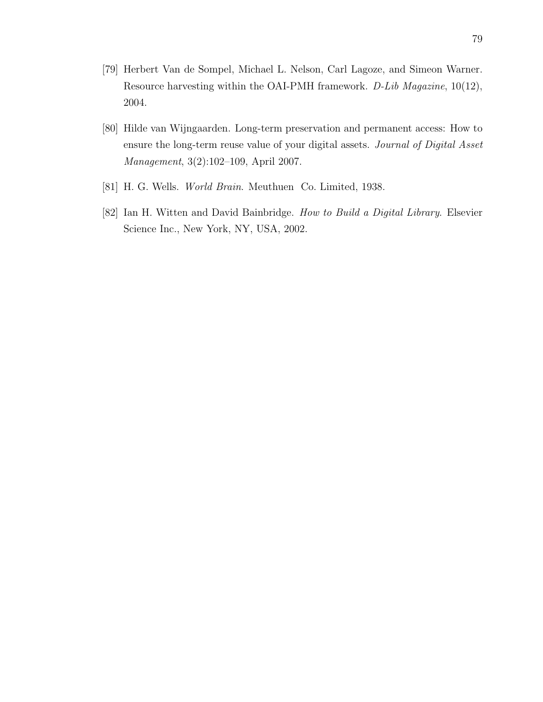- [79] Herbert Van de Sompel, Michael L. Nelson, Carl Lagoze, and Simeon Warner. Resource harvesting within the OAI-PMH framework. D-Lib Magazine, 10(12), 2004.
- [80] Hilde van Wijngaarden. Long-term preservation and permanent access: How to ensure the long-term reuse value of your digital assets. Journal of Digital Asset Management, 3(2):102–109, April 2007.
- [81] H. G. Wells. World Brain. Meuthuen Co. Limited, 1938.
- [82] Ian H. Witten and David Bainbridge. How to Build a Digital Library. Elsevier Science Inc., New York, NY, USA, 2002.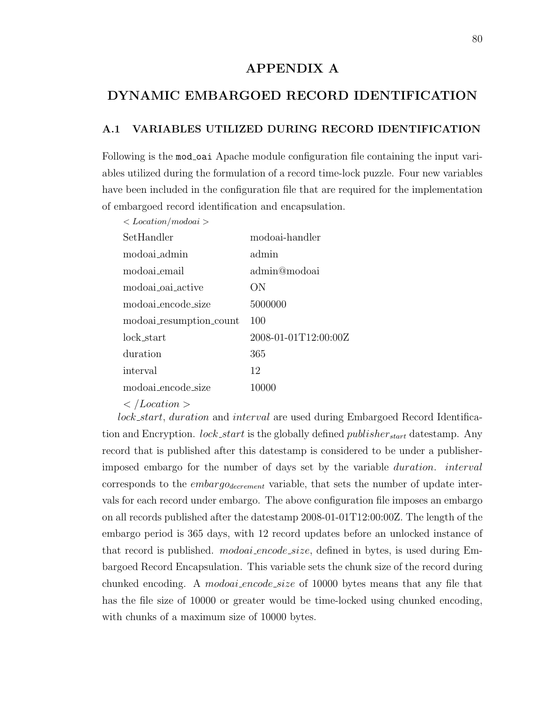## APPENDIX A

## DYNAMIC EMBARGOED RECORD IDENTIFICATION

#### A.1 VARIABLES UTILIZED DURING RECORD IDENTIFICATION

Following is the mod oai Apache module configuration file containing the input variables utilized during the formulation of a record time-lock puzzle. Four new variables have been included in the configuration file that are required for the implementation of embargoed record identification and encapsulation.

 $\langle$  Location/modoai  $\rangle$ 

| SetHandler              | modoai-handler       |
|-------------------------|----------------------|
| modoai admin            | admin                |
| modoai_email            | admin@modoai         |
| modoai oai active       | OΝ                   |
| modoai encode size      | 5000000              |
| modoai_resumption_count | 100                  |
| lock start              | 2008-01-01T12:00:00Z |
| duration                | 365                  |
| interval                | 12                   |
| modoai_encode_size      | 10000                |
|                         |                      |

 $\langle$  /Location  $\rangle$ 

lock start, duration and interval are used during Embargoed Record Identification and Encryption. *lock\_start* is the globally defined *publisher*<sub>start</sub> datestamp. Any record that is published after this datestamp is considered to be under a publisherimposed embargo for the number of days set by the variable duration. interval corresponds to the  $embargo_{decrement}$  variable, that sets the number of update intervals for each record under embargo. The above configuration file imposes an embargo on all records published after the datestamp 2008-01-01T12:00:00Z. The length of the embargo period is 365 days, with 12 record updates before an unlocked instance of that record is published. *modoai\_encode\_size*, defined in bytes, is used during Embargoed Record Encapsulation. This variable sets the chunk size of the record during chunked encoding. A *modoai-encode-size* of 10000 bytes means that any file that has the file size of 10000 or greater would be time-locked using chunked encoding, with chunks of a maximum size of 10000 bytes.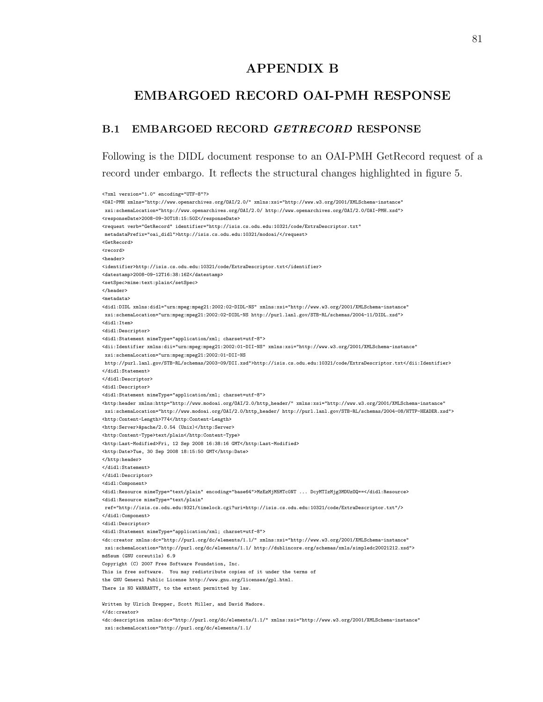### APPENDIX B

## EMBARGOED RECORD OAI-PMH RESPONSE

#### B.1 EMBARGOED RECORD GETRECORD RESPONSE

Following is the DIDL document response to an OAI-PMH GetRecord request of a record under embargo. It reflects the structural changes highlighted in figure 5.

<?xml version="1.0" encoding="UTF-8"?> <OAI-PMH xmlns="http://www.openarchives.org/OAI/2.0/" xmlns:xsi="http://www.w3.org/2001/XMLSchema-instance" xsi:schemaLocation="http://www.openarchives.org/OAI/2.0/ http://www.openarchives.org/OAI/2.0/OAI-PMH.xsd"> <responseDate>2008-09-30T18:15:50Z</responseDate> <request verb="GetRecord" identifier="http://isis.cs.odu.edu:10321/code/ExtraDescriptor.txt" metadataPrefix="oai\_didl">http://isis.cs.odu.edu:10321/modoai/</request> <GetRecord> <record> <header> <identifier>http://isis.cs.odu.edu:10321/code/ExtraDescriptor.txt</identifier> <datestamp>2008-09-12T16:38:16Z</datestamp> <setSpec>mime:text:plain</setSpec> </header> <metadata> <didl:DIDL xmlns:didl="urn:mpeg:mpeg21:2002:02-DIDL-NS" xmlns:xsi="http://www.w3.org/2001/XMLSchema-instance" xsi:schemaLocation="urn:mpeg:mpeg21:2002:02-DIDL-NS http://purl.lanl.gov/STB-RL/schemas/2004-11/DIDL.xsd"> <didl:Item> <didl:Descriptor> <didl:Statement mimeType="application/xml; charset=utf-8"> <dii:Identifier xmlns:dii="urn:mpeg:mpeg21:2002:01-DII-NS" xmlns:xsi="http://www.w3.org/2001/XMLSchema-instance" xsi:schemaLocation="urn:mpeg:mpeg21:2002:01-DII-NS http://purl.lanl.gov/STB-RL/schemas/2003-09/DII.xsd">http://isis.cs.odu.edu:10321/code/ExtraDescriptor.txt</dii:Identifier> </didl:Statement> </didl:Descriptor> <didl:Descriptor> <didl:Statement mimeType="application/xml; charset=utf-8"> <http:header xmlns:http="http://www.modoai.org/OAI/2.0/http\_header/" xmlns:xsi="http://www.w3.org/2001/XMLSchema-instance" xsi:schemaLocation="http://www.modoai.org/OAI/2.0/http\_header/ http://purl.lanl.gov/STB-RL/schemas/2004-08/HTTP-HEADER.xsd"> <http:Content-Length>774</http:Content-Length> <http:Server>Apache/2.0.54 (Unix)</http:Server> <http:Content-Type>text/plain</http:Content-Type> <http:Last-Modified>Fri, 12 Sep 2008 16:38:16 GMT</http:Last-Modified> <http:Date>Tue, 30 Sep 2008 18:15:50 GMT</http:Date> </http:header> </didl:Statement> </didl:Descriptor> <didl:Component> <didl:Resource mimeType="text/plain" encoding="base64">MzEzMjM5MTc0NT ... DcyMTIzMjg3MDUzOQ==</didl:Resource> <didl:Resource mimeType="text/plain" ref="http://isis.cs.odu.edu:9321/timelock.cgi?uri=http://isis.cs.odu.edu:10321/code/ExtraDescriptor.txt"/> </didl:Component> <didl:Descriptor> <didl:Statement mimeType="application/xml; charset=utf-8"> <dc:creator xmlns:dc="http://purl.org/dc/elements/1.1/" xmlns:xsi="http://www.w3.org/2001/XMLSchema-instance" xsi:schemaLocation="http://purl.org/dc/elements/1.1/ http://dublincore.org/schemas/xmls/simpledc20021212.xsd"> md5sum (GNU coreutils) 6.9 Copyright (C) 2007 Free Software Foundation, Inc. This is free software. You may redistribute copies of it under the terms of the GNU General Public License http://www.gnu.org/licenses/gpl.html. There is NO WARRANTY, to the extent permitted by law. Written by Ulrich Drepper, Scott Miller, and David Madore. </dc:creator> <dc:description xmlns:dc="http://purl.org/dc/elements/1.1/" xmlns:xsi="http://www.w3.org/2001/XMLSchema-instance" xsi:schemaLocation="http://purl.org/dc/elements/1.1/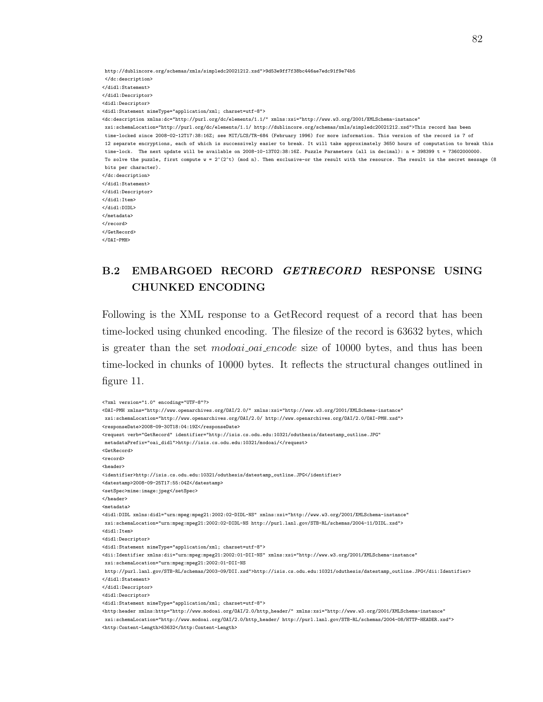http://dublincore.org/schemas/xmls/simpledc20021212.xsd">9d53e9ff7f38bc446ae7edc91f9e74b5 </dc:description> </didl:Statement> </didl:Descriptor> <didl:Descriptor> <didl:Statement mimeType="application/xml; charset=utf-8"> <dc:description xmlns:dc="http://purl.org/dc/elements/1.1/" xmlns:xsi="http://www.w3.org/2001/XMLSchema-instance" xsi:schemaLocation="http://purl.org/dc/elements/1.1/ http://dublincore.org/schemas/xmls/simpledc20021212.xsd">This record has been time-locked since 2008-02-12T17:38:16Z; see MIT/LCS/TR-684 (February 1996) for more information. This version of the record is 7 of 12 separate encryptions, each of which is successively easier to break. It will take approximately 3650 hours of computation to break this time-lock. The next update will be available on 2008-10-13T02:38:16Z. Puzzle Parameters (all in decimal): n = 398399 t = 73602000000. To solve the puzzle, first compute w =  $2^{\degree}$ (2^t) (mod n). Then exclusive-or the result with the resource. The result is the secret message (8) bits per character). </dc:description> </didl:Statement> </didl:Descriptor> </didl:Item> </didl:DIDL> </metadata> </record> </GetRecord> </OAI-PMH>

## B.2 EMBARGOED RECORD GETRECORD RESPONSE USING CHUNKED ENCODING

Following is the XML response to a GetRecord request of a record that has been time-locked using chunked encoding. The filesize of the record is 63632 bytes, which is greater than the set *modoai oai encode* size of 10000 bytes, and thus has been time-locked in chunks of 10000 bytes. It reflects the structural changes outlined in figure 11.

```
<?xml version="1.0" encoding="UTF-8"?>
<OAI-PMH xmlns="http://www.openarchives.org/OAI/2.0/" xmlns:xsi="http://www.w3.org/2001/XMLSchema-instance"
xsi:schemaLocation="http://www.openarchives.org/OAI/2.0/ http://www.openarchives.org/OAI/2.0/OAI-PMH.xsd">
<responseDate>2008-09-30T18:04:19Z</responseDate>
<request verb="GetRecord" identifier="http://isis.cs.odu.edu:10321/oduthesis/datestamp_outline.JPG"
metadataPrefix="oai_didl">http://isis.cs.odu.edu:10321/modoai/</request>
<GetRecord>
<record>
<header>
<identifier>http://isis.cs.odu.edu:10321/oduthesis/datestamp_outline.JPG</identifier>
<datestamp>2008-09-25T17:55:04Z</datestamp>
<setSpec>mime:image:jpeg</setSpec>
</header>
<metadata>
<didl:DIDL xmlns:didl="urn:mpeg:mpeg21:2002:02-DIDL-NS" xmlns:xsi="http://www.w3.org/2001/XMLSchema-instance"
xsi:schemaLocation="urn:mpeg:mpeg21:2002:02-DIDL-NS http://purl.lanl.gov/STB-RL/schemas/2004-11/DIDL.xsd">
<didl:Item>
<didl:Descriptor>
<didl:Statement mimeType="application/xml; charset=utf-8">
<dii:Identifier xmlns:dii="urn:mpeg:mpeg21:2002:01-DII-NS" xmlns:xsi="http://www.w3.org/2001/XMLSchema-instance"
xsi:schemaLocation="urn:mpeg:mpeg21:2002:01-DII-NS
http://purl.lanl.gov/STB-RL/schemas/2003-09/DII.xsd">http://isis.cs.odu.edu:10321/oduthesis/datestamp_outline.JPG</dii:Identifier>
</didl:Statement>
</didl:Descriptor>
<didl:Descriptor>
<didl:Statement mimeType="application/xml; charset=utf-8">
<http:header xmlns:http="http://www.modoai.org/OAI/2.0/http_header/" xmlns:xsi="http://www.w3.org/2001/XMLSchema-instance"
xsi:schemaLocation="http://www.modoai.org/OAI/2.0/http_header/ http://purl.lanl.gov/STB-RL/schemas/2004-08/HTTP-HEADER.xsd">
<http:Content-Length>63632</http:Content-Length>
```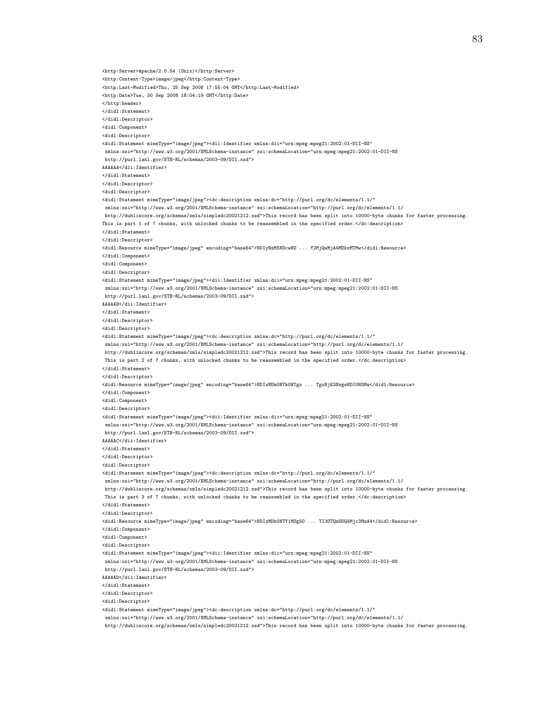<http:Server>Apache/2.0.54 (Unix)</http:Server> <http:Content-Type>image/jpeg</http:Content-Type> <http:Last-Modified>Thu, 25 Sep 2008 17:55:04 GMT</http:Last-Modified> <http:Date>Tue, 30 Sep 2008 18:04:19 GMT</http:Date> </http:header> </didl:Statement> </didl:Descriptor> <didl:Component> <didl:Descriptor> <didl:Statement mimeType="image/jpeg"><dii:Identifier xmlns:dii="urn:mpeg:mpeg21:2002:01-DII-NS" xmlns:xsi="http://www.w3.org/2001/XMLSchema-instance" xsi:schemaLocation="urn:mpeg:mpeg21:2002:01-DII-NS http://purl.lanl.gov/STB-RL/schemas/2003-09/DII.xsd"> AAAAAA</dii:Identifier> </didl:Statement> </didl:Descriptor> <didl:Descriptor> <didl:Statement mimeType="image/jpeg"><dc:description xmlns:dc="http://purl.org/dc/elements/1.1/" xmlns:xsi="http://www.w3.org/2001/XMLSchema-instance" xsi:schemaLocation="http://purl.org/dc/elements/1.1/ http://dublincore.org/schemas/xmls/simpledc20021212.xsd">This record has been split into 10000-byte chunks for faster processing. This is part 1 of 7 chunks, with unlocked chunks to be reassembled in the specified order.</dc:description> </didl:Statement> </didl:Descriptor> <didl:Resource mimeType="image/jpeg" encoding="base64">NDIyNzM5NDcwND ... Y2MjQwMjA4MDkxMTMw</didl:Resource> </didl:Component> <didl:Component> <didl:Descriptor> <didl:Statement mimeType="image/jpeg"><dii:Identifier xmlns:dii="urn:mpeg:mpeg21:2002:01-DII-NS" xmlns:xsi="http://www.w3.org/2001/XMLSchema-instance" xsi:schemaLocation="urn:mpeg:mpeg21:2002:01-DII-NS http://purl.lanl.gov/STB-RL/schemas/2003-09/DII.xsd"> AAAAAB</dii:Identifier> </didl:Statement> </didl:Descriptor> <didl:Descriptor> <didl:Statement mimeType="image/jpeg"><dc:description xmlns:dc="http://purl.org/dc/elements/1.1/" xmlns:xsi="http://www.w3.org/2001/XMLSchema-instance" xsi:schemaLocation="http://purl.org/dc/elements/1.1/ http://dublincore.org/schemas/xmls/simpledc20021212.xsd">This record has been split into 10000-byte chunks for faster processing. This is part 2 of 7 chunks, with unlocked chunks to be reassembled in the specified order.</dc:description> </didl:Statement> </didl:Descriptor> <didl:Resource mimeType="image/jpeg" encoding="base64">NDIxMDk0NTk0NTgx ... TgxNjE3NzgwNDI0NDMw</didl:Resource> </didl:Component> <didl:Component> <didl:Descriptor> <didl:Statement mimeType="image/jpeg"><dii:Identifier xmlns:dii="urn:mpeg:mpeg21:2002:01-DII-NS" xmlns:xsi="http://www.w3.org/2001/XMLSchema-instance" xsi:schemaLocation="urn:mpeg:mpeg21:2002:01-DII-NS http://purl.lanl.gov/STB-RL/schemas/2003-09/DII.xsd"> AAAAAC</dii:Identifier> </didl:Statement> </didl:Descriptor> <didl:Descriptor> <didl:Statement mimeType="image/jpeg"><dc:description xmlns:dc="http://purl.org/dc/elements/1.1/" xmlns:xsi="http://www.w3.org/2001/XMLSchema-instance" xsi:schemaLocation="http://purl.org/dc/elements/1.1/ http://dublincore.org/schemas/xmls/simpledc20021212.xsd">This record has been split into 10000-byte chunks for faster processing. This is part 3 of 7 chunks, with unlocked chunks to be reassembled in the specified order.</dc:description> </didl:Statement> </didl:Descriptor> <didl:Resource mimeType="image/jpeg" encoding="base64">NDIxMDk0NTY1MDg5O ... TI3OTQzODQ4Mjc3MzA4</didl:Resource> </didl:Component> <didl:Component> <didl:Descriptor> <didl:Statement mimeType="image/jpeg"><dii:Identifier xmlns:dii="urn:mpeg:mpeg21:2002:01-DII-NS" xmlns:xsi="http://www.w3.org/2001/XMLSchema-instance" xsi:schemaLocation="urn:mpeg:mpeg21:2002:01-DII-NS http://purl.lanl.gov/STB-RL/schemas/2003-09/DII.xsd"> AAAAAD</dii:Identifier> </didl:Statement> </didl:Descriptor> <didl:Descriptor>  $\verb|Add:Statement mineType="image/jpeg" > \verb|dc:description xmlns:dc="http://purl.org/dc/elements/1.1/"$ xmlns:xsi="http://www.w3.org/2001/XMLSchema-instance" xsi:schemaLocation="http://purl.org/dc/elements/1.1/ http://dublincore.org/schemas/xmls/simpledc20021212.xsd">This record has been split into 10000-byte chunks for faster processing.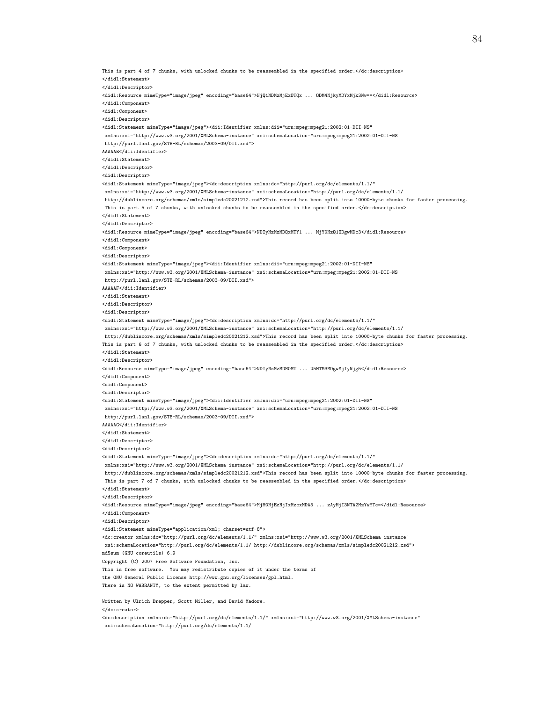This is part 4 of 7 chunks, with unlocked chunks to be reassembled in the specified order.</dc:description> </didl:Statement> </didl:Descriptor> <didl:Resource mimeType="image/jpeg" encoding="base64">NjQ1NDMzMjExOTQx ... ODM4NjkyMDYxMjk3Nw==</didl:Resource> </didl:Component> <didl:Component> <didl:Descriptor> <didl:Statement mimeType="image/jpeg"><dii:Identifier xmlns:dii="urn:mpeg:mpeg21:2002:01-DII-NS" xmlns:xsi="http://www.w3.org/2001/XMLSchema-instance" xsi:schemaLocation="urn:mpeg:mpeg21:2002:01-DII-NS http://purl.lanl.gov/STB-RL/schemas/2003-09/DII.xsd"> AAAAAE</dii:Identifier> </didl:Statement> </didl:Descriptor> <didl:Descriptor> <didl:Statement mimeType="image/jpeg"><dc:description xmlns:dc="http://purl.org/dc/elements/1.1/" xmlns:xsi="http://www.w3.org/2001/XMLSchema-instance" xsi:schemaLocation="http://purl.org/dc/elements/1.1/ http://dublincore.org/schemas/xmls/simpledc20021212.xsd">This record has been split into 10000-byte chunks for faster processing. This is part 5 of 7 chunks, with unlocked chunks to be reassembled in the specified order.</dc:description> </didl:Statement> </didl:Descriptor> <didl:Resource mimeType="image/jpeg" encoding="base64">NDIyNzMzMDQxMTY1 ... MjY0NzQ1ODgwMDc3</didl:Resource> </didl:Component> <didl:Component> <didl:Descriptor> <didl:Statement mimeType="image/jpeg"><dii:Identifier xmlns:dii="urn:mpeg:mpeg21:2002:01-DII-NS" xmlns:xsi="http://www.w3.org/2001/XMLSchema-instance" xsi:schemaLocation="urn:mpeg:mpeg21:2002:01-DII-NS http://purl.lanl.gov/STB-RL/schemas/2003-09/DII.xsd"> AAAAAF</dii:Identifier> </didl:Statement> </didl:Descriptor> <didl:Descriptor> <didl:Statement mimeType="image/jpeg"><dc:description xmlns:dc="http://purl.org/dc/elements/1.1/" xmlns:xsi="http://www.w3.org/2001/XMLSchema-instance" xsi:schemaLocation="http://purl.org/dc/elements/1.1/ http://dublincore.org/schemas/xmls/simpledc20021212.xsd">This record has been split into 10000-byte chunks for faster processing. This is part 6 of 7 chunks, with unlocked chunks to be reassembled in the specified order.</dc:description> </didl:Statement> </didl:Descriptor> <didl:Resource mimeType="image/jpeg" encoding="base64">NDIyNzMzMDM0MT ... U5MTM3MDgwMjIyNjg5</didl:Resource> </didl:Component> <didl:Component> <didl:Descriptor> <didl:Statement mimeType="image/jpeg"><dii:Identifier xmlns:dii="urn:mpeg:mpeg21:2002:01-DII-NS" xmlns:xsi="http://www.w3.org/2001/XMLSchema-instance" xsi:schemaLocation="urn:mpeg:mpeg21:2002:01-DII-NS http://purl.lanl.gov/STB-RL/schemas/2003-09/DII.xsd"> AAAAAG</dii:Identifier> </didl:Statement> </didl:Descriptor> <didl:Descriptor> <didl:Statement mimeType="image/jpeg"><dc:description xmlns:dc="http://purl.org/dc/elements/1.1/" xmlns:xsi="http://www.w3.org/2001/XMLSchema-instance" xsi:schemaLocation="http://purl.org/dc/elements/1.1/ http://dublincore.org/schemas/xmls/simpledc20021212.xsd">This record has been split into 10000-byte chunks for faster processing. This is part 7 of 7 chunks, with unlocked chunks to be reassembled in the specified order.</dc:description> </didl:Statement> </didl:Descriptor> <didl:Resource mimeType="image/jpeg" encoding="base64">MjM0NjEzNjIxMzcxMDA5 ... zAyMjI3NTA2MzYwMTc=</didl:Resource> </didl:Component> <didl:Descriptor>

<didl:Statement mimeType="application/xml; charset=utf-8">

 $\verb|%|CC: creator xmlns:dc="http://purl.org/dc/elements/1.1/" xmlns:xsi="http://www.w3.org/2001/XMLSchema-instance"$ xsi:schemaLocation="http://purl.org/dc/elements/1.1/ http://dublincore.org/schemas/xmls/simpledc20021212.xsd">

md5sum (GNU coreutils) 6.9

Copyright (C) 2007 Free Software Foundation, Inc.

This is free software. You may redistribute copies of it under the terms of

the GNU General Public License http://www.gnu.org/licenses/gpl.html.

There is NO WARRANTY, to the extent permitted by law.

Written by Ulrich Drepper, Scott Miller, and David Madore.

</dc:creator>

<dc:description xmlns:dc="http://purl.org/dc/elements/1.1/" xmlns:xsi="http://www.w3.org/2001/XMLSchema-instance" xsi:schemaLocation="http://purl.org/dc/elements/1.1/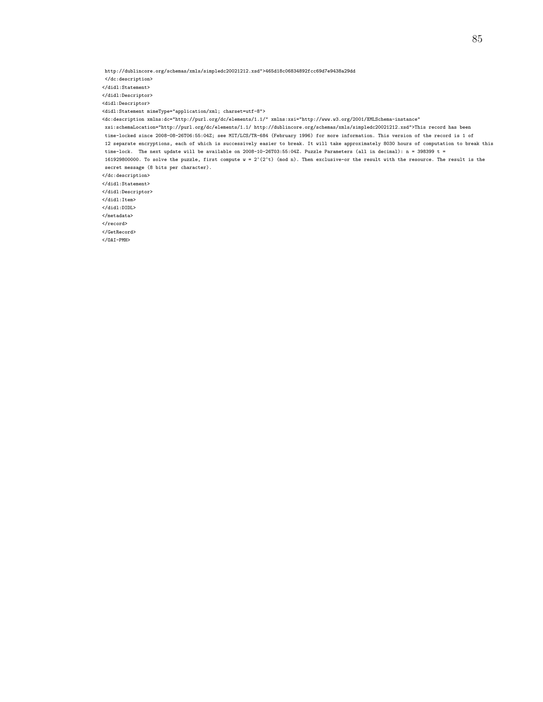http://dublincore.org/schemas/xmls/simpledc20021212.xsd">465d18c06834892fcc69d7e9438a29dd

</dc:description>

</didl:Statement>

</didl:Descriptor>

<didl:Descriptor>

 $\verb|$ 

<dc:description xmlns:dc="http://purl.org/dc/elements/1.1/" xmlns:xsi="http://www.w3.org/2001/XMLSchema-instance"

xsi:schemaLocation="http://purl.org/dc/elements/1.1/ http://dublincore.org/schemas/xmls/simpledc20021212.xsd">This record has been time-locked since 2008-08-26T06:55:04Z; see MIT/LCS/TR-684 (February 1996) for more information. This version of the record is 1 of 12 separate encryptions, each of which is successively easier to break. It will take approximately 8030 hours of computation to break this time-lock. The next update will be available on 2008-10-26T03:55:04Z. Puzzle Parameters (all in decimal): n = 398399 t = 161929800000. To solve the puzzle, first compute  $w = 2^c(2^t)$  (mod n). Then exclusive-or the result with the resource. The result is the secret message (8 bits per character).

</dc:description>

</didl:Statement> </didl:Descriptor>

</didl:Item>

</didl:DIDL>

</metadata>

</record>

</GetRecord>

</OAI-PMH>